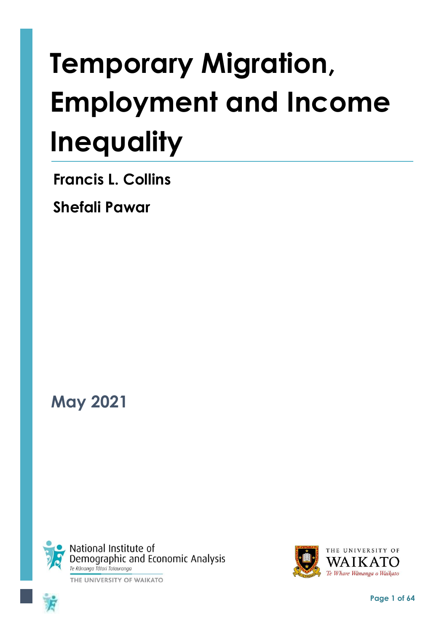# **Temporary Migration, Employment and Income Inequality**

**Francis L. Collins**

**Shefali Pawar**

**May 2021**







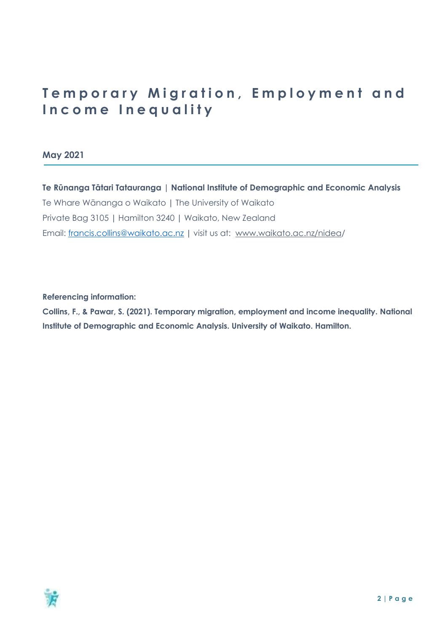# **Temporary Migration, Employment and Income Inequality**

**May 2021**

**Te Rūnanga Tātari Tatauranga | National Institute of Demographic and Economic Analysis** Te Whare Wānanga o Waikato **|** The University of Waikato Private Bag 3105 **|** Hamilton 3240 **|** Waikato, New Zealand Email: [francis.collins@waikato.ac.nz](mailto:francis.collins@waikato.ac.nz) **|** visit us at: [www.waikato.ac.nz/nidea/](http://www.waikato.ac.nz/nidea)

**Referencing information:** 

**Collins, F., & Pawar, S. (2021). Temporary migration, employment and income inequality. National Institute of Demographic and Economic Analysis. University of Waikato. Hamilton.**

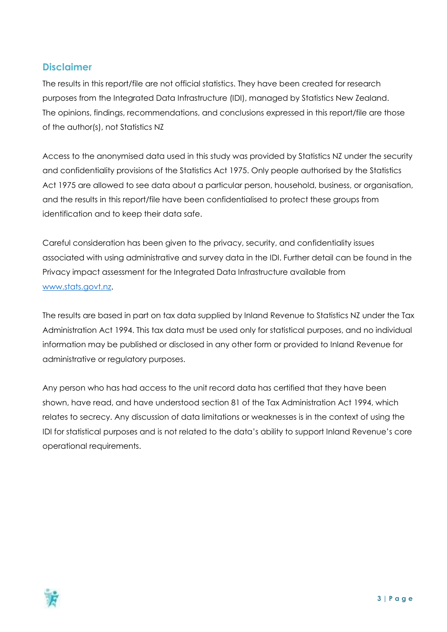#### **Disclaimer**

The results in this report/file are not official statistics. They have been created for research purposes from the Integrated Data Infrastructure (IDI), managed by Statistics New Zealand. The opinions, findings, recommendations, and conclusions expressed in this report/file are those of the author(s), not Statistics NZ

Access to the anonymised data used in this study was provided by Statistics NZ under the security and confidentiality provisions of the Statistics Act 1975. Only people authorised by the Statistics Act 1975 are allowed to see data about a particular person, household, business, or organisation, and the results in this report/file have been confidentialised to protect these groups from identification and to keep their data safe.

Careful consideration has been given to the privacy, security, and confidentiality issues associated with using administrative and survey data in the IDI. Further detail can be found in the Privacy impact assessment for the Integrated Data Infrastructure available from [www.stats.govt.nz.](http://www.stats.govt.nz/)

The results are based in part on tax data supplied by Inland Revenue to Statistics NZ under the Tax Administration Act 1994. This tax data must be used only for statistical purposes, and no individual information may be published or disclosed in any other form or provided to Inland Revenue for administrative or regulatory purposes.

Any person who has had access to the unit record data has certified that they have been shown, have read, and have understood section 81 of the Tax Administration Act 1994, which relates to secrecy. Any discussion of data limitations or weaknesses is in the context of using the IDI for statistical purposes and is not related to the data's ability to support Inland Revenue's core operational requirements.

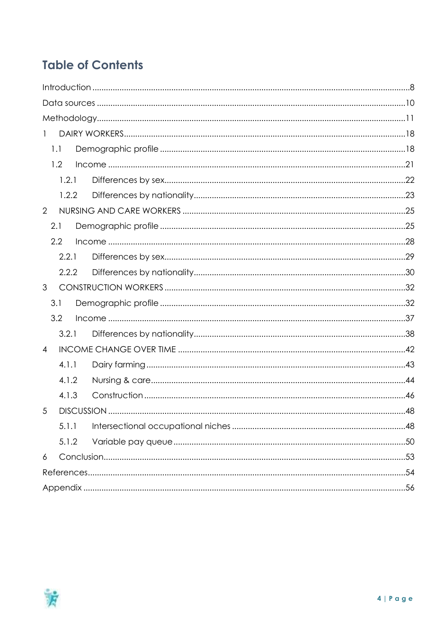# **Table of Contents**

| $\mathbf{1}$   |
|----------------|
| 1.1            |
| 1.2            |
| 1.2.1          |
| 1.2.2          |
| $\overline{2}$ |
| 2.1            |
| 2.2            |
| 2.2.1          |
| 2.2.2          |
| $\mathfrak{S}$ |
| 3.1            |
| 3.2            |
| 3.2.1          |
| $\overline{4}$ |
| 4.1.1          |
| 4.1.2          |
| 4.1.3          |
| 5              |
| 5.1.1          |
| 5.1.2          |
| 6              |
|                |
|                |

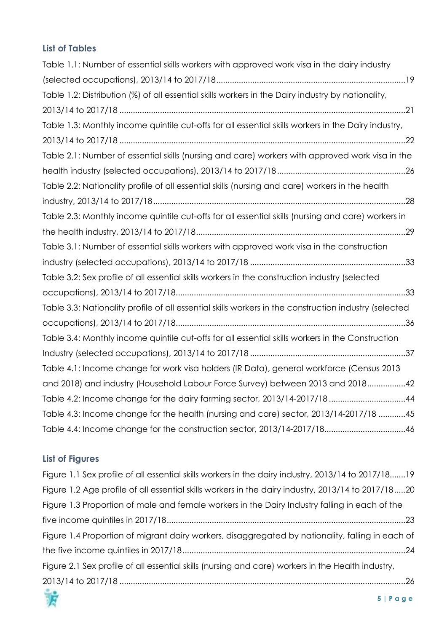## **List of Tables**

| Table 1.1: Number of essential skills workers with approved work visa in the dairy industry           |
|-------------------------------------------------------------------------------------------------------|
|                                                                                                       |
| Table 1.2: Distribution (%) of all essential skills workers in the Dairy industry by nationality,     |
|                                                                                                       |
| Table 1.3: Monthly income quintile cut-offs for all essential skills workers in the Dairy industry,   |
|                                                                                                       |
| Table 2.1: Number of essential skills (nursing and care) workers with approved work visa in the       |
|                                                                                                       |
| Table 2.2: Nationality profile of all essential skills (nursing and care) workers in the health       |
|                                                                                                       |
| Table 2.3: Monthly income quintile cut-offs for all essential skills (nursing and care) workers in    |
|                                                                                                       |
| Table 3.1: Number of essential skills workers with approved work visa in the construction             |
|                                                                                                       |
| Table 3.2: Sex profile of all essential skills workers in the construction industry (selected         |
|                                                                                                       |
| Table 3.3: Nationality profile of all essential skills workers in the construction industry (selected |
|                                                                                                       |
| Table 3.4: Monthly income quintile cut-offs for all essential skills workers in the Construction      |
|                                                                                                       |
| Table 4.1: Income change for work visa holders (IR Data), general workforce (Census 2013              |
| and 2018) and industry (Household Labour Force Survey) between 2013 and 201842                        |
| Table 4.2: Income change for the dairy farming sector, 2013/14-2017/1844                              |
| Table 4.3: Income change for the health (nursing and care) sector, 2013/14-2017/18 45                 |
| Table 4.4: Income change for the construction sector, 2013/14-2017/1846                               |

## **List of Figures**

| Figure 1.1 Sex profile of all essential skills workers in the dairy industry, 2013/14 to 2017/1819 |
|----------------------------------------------------------------------------------------------------|
| Figure 1.2 Age profile of all essential skills workers in the dairy industry, 2013/14 to 2017/1820 |
| Figure 1.3 Proportion of male and female workers in the Dairy Industry falling in each of the      |
|                                                                                                    |
| Figure 1.4 Proportion of migrant dairy workers, disaggregated by nationality, falling in each of   |
|                                                                                                    |
| Figure 2.1 Sex profile of all essential skills (nursing and care) workers in the Health industry,  |
| <b>CONTRACTOR</b>                                                                                  |

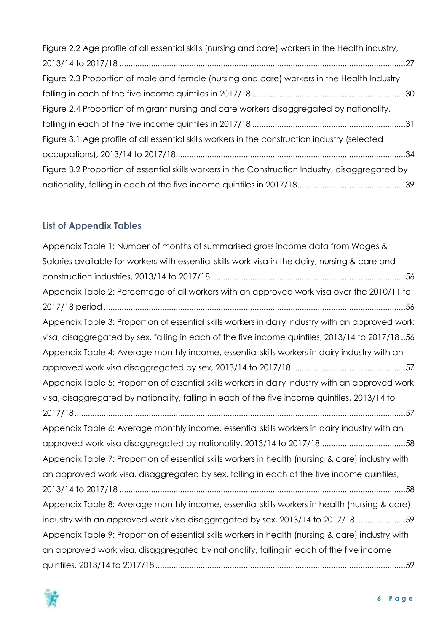| Figure 2.2 Age profile of all essential skills (nursing and care) workers in the Health industry, |  |
|---------------------------------------------------------------------------------------------------|--|
|                                                                                                   |  |
| Figure 2.3 Proportion of male and female (nursing and care) workers in the Health Industry        |  |
|                                                                                                   |  |
| Figure 2.4 Proportion of migrant nursing and care workers disaggregated by nationality,           |  |
|                                                                                                   |  |
| Figure 3.1 Age profile of all essential skills workers in the construction industry (selected     |  |
|                                                                                                   |  |
| Figure 3.2 Proportion of essential skills workers in the Construction Industry, disaggregated by  |  |
|                                                                                                   |  |

### **List of Appendix Tables**

| Appendix Table 1: Number of months of summarised gross income data from Wages &                   |
|---------------------------------------------------------------------------------------------------|
| Salaries available for workers with essential skills work visa in the dairy, nursing & care and   |
|                                                                                                   |
| Appendix Table 2: Percentage of all workers with an approved work visa over the 2010/11 to        |
|                                                                                                   |
| Appendix Table 3: Proportion of essential skills workers in dairy industry with an approved work  |
| visa, disaggregated by sex, falling in each of the five income quintiles, 2013/14 to 2017/1856    |
| Appendix Table 4: Average monthly income, essential skills workers in dairy industry with an      |
|                                                                                                   |
| Appendix Table 5: Proportion of essential skills workers in dairy industry with an approved work  |
| visa, disaggregated by nationality, falling in each of the five income quintiles, 2013/14 to      |
|                                                                                                   |
| Appendix Table 6: Average monthly income, essential skills workers in dairy industry with an      |
|                                                                                                   |
| approved work visa disaggregated by nationality, 2013/14 to 2017/1858                             |
| Appendix Table 7: Proportion of essential skills workers in health (nursing & care) industry with |
| an approved work visa, disaggregated by sex, falling in each of the five income quintiles,        |
|                                                                                                   |
| Appendix Table 8: Average monthly income, essential skills workers in health (nursing & care)     |
| industry with an approved work visa disaggregated by sex, 2013/14 to 2017/1859                    |
| Appendix Table 9: Proportion of essential skills workers in health (nursing & care) industry with |
| an approved work visa, disaggregated by nationality, falling in each of the five income           |

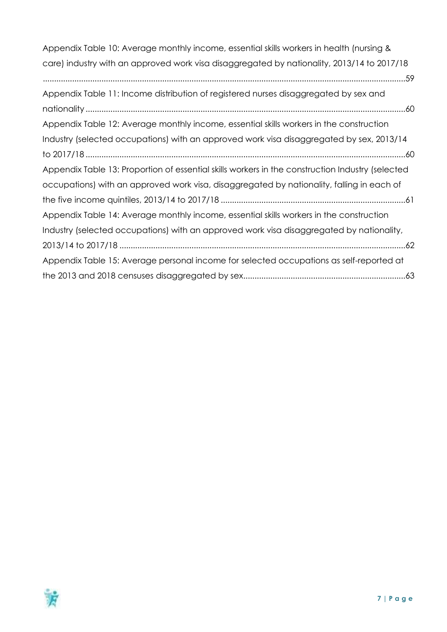[Appendix Table 10: Average monthly income, essential skills workers in](#page-58-2) health (nursing & [care\) industry with an approved work visa disaggregated by nationality, 2013/14 to 2017/18](#page-58-2) [.................................................................................................................................................................59](#page-58-2) [Appendix Table 11: Income distribution of registered nurses disaggregated by sex and](#page-59-0)  nationality [..............................................................................................................................................60](#page-59-0)

| Appendix Table 12: Average monthly income, essential skills workers in the construction          |
|--------------------------------------------------------------------------------------------------|
| Industry (selected occupations) with an approved work visa disaggregated by sex, 2013/14         |
|                                                                                                  |
| Appendix Table 13: Proportion of essential skills workers in the construction Industry (selected |
| occupations) with an approved work visa, disaggregated by nationality, falling in each of        |
|                                                                                                  |
| Appendix Table 14: Average monthly income, essential skills workers in the construction          |
| Industry (selected occupations) with an approved work visa disaggregated by nationality,         |
|                                                                                                  |
| Appendix Table 15: Average personal income for selected occupations as self-reported at          |
|                                                                                                  |

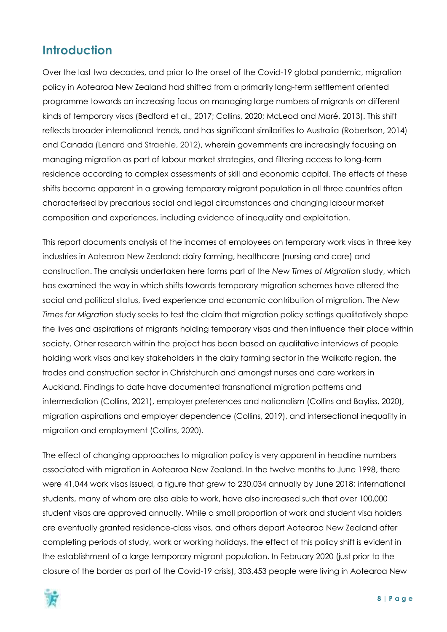## <span id="page-7-0"></span>**Introduction**

Over the last two decades, and prior to the onset of the Covid-19 global pandemic, migration policy in Aotearoa New Zealand had shifted from a primarily long-term settlement oriented programme towards an increasing focus on managing large numbers of migrants on different kinds of temporary visas (Bedford et al., 2017; Collins, 2020; McLeod and Maré, 2013). This shift reflects broader international trends, and has significant similarities to Australia (Robertson, 2014) and Canada (Lenard and Straehle, 2012), wherein governments are increasingly focusing on managing migration as part of labour market strategies, and filtering access to long-term residence according to complex assessments of skill and economic capital. The effects of these shifts become apparent in a growing temporary migrant population in all three countries often characterised by precarious social and legal circumstances and changing labour market composition and experiences, including evidence of inequality and exploitation.

This report documents analysis of the incomes of employees on temporary work visas in three key industries in Aotearoa New Zealand: dairy farming, healthcare (nursing and care) and construction. The analysis undertaken here forms part of the *New Times of Migration* study, which has examined the way in which shifts towards temporary migration schemes have altered the social and political status, lived experience and economic contribution of migration. The *New Times for Migration* study seeks to test the claim that migration policy settings qualitatively shape the lives and aspirations of migrants holding temporary visas and then influence their place within society. Other research within the project has been based on qualitative interviews of people holding work visas and key stakeholders in the dairy farming sector in the Waikato region, the trades and construction sector in Christchurch and amongst nurses and care workers in Auckland. Findings to date have documented transnational migration patterns and intermediation (Collins, 2021), employer preferences and nationalism (Collins and Bayliss, 2020), migration aspirations and employer dependence (Collins, 2019), and intersectional inequality in migration and employment (Collins, 2020).

The effect of changing approaches to migration policy is very apparent in headline numbers associated with migration in Aotearoa New Zealand. In the twelve months to June 1998, there were 41,044 work visas issued, a figure that grew to 230,034 annually by June 2018; international students, many of whom are also able to work, have also increased such that over 100,000 student visas are approved annually. While a small proportion of work and student visa holders are eventually granted residence-class visas, and others depart Aotearoa New Zealand after completing periods of study, work or working holidays, the effect of this policy shift is evident in the establishment of a large temporary migrant population. In February 2020 (just prior to the closure of the border as part of the Covid-19 crisis), 303,453 people were living in Aotearoa New

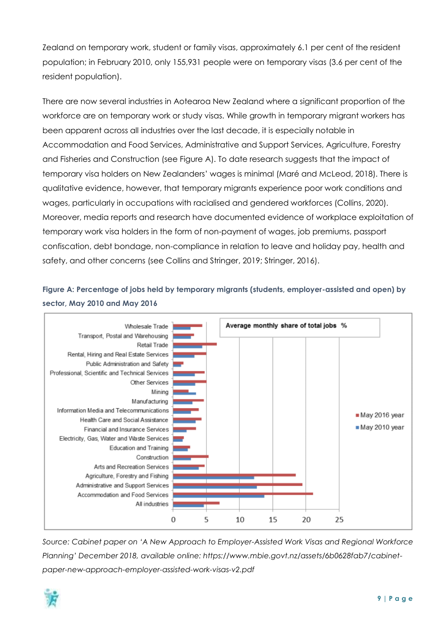Zealand on temporary work, student or family visas, approximately 6.1 per cent of the resident population; in February 2010, only 155,931 people were on temporary visas (3.6 per cent of the resident population).

There are now several industries in Aotearoa New Zealand where a significant proportion of the workforce are on temporary work or study visas. While growth in temporary migrant workers has been apparent across all industries over the last decade, it is especially notable in Accommodation and Food Services, Administrative and Support Services, Agriculture, Forestry and Fisheries and Construction (see Figure A). To date research suggests that the impact of temporary visa holders on New Zealanders' wages is minimal (Maré and McLeod, 2018). There is qualitative evidence, however, that temporary migrants experience poor work conditions and wages, particularly in occupations with racialised and gendered workforces (Collins, 2020). Moreover, media reports and research have documented evidence of workplace exploitation of temporary work visa holders in the form of non-payment of wages, job premiums, passport confiscation, debt bondage, non-compliance in relation to leave and holiday pay, health and safety, and other concerns (see Collins and Stringer, 2019; Stringer, 2016).

#### **Figure A: Percentage of jobs held by temporary migrants (students, employer-assisted and open) by sector, May 2010 and May 2016**



*Source: Cabinet paper on 'A New Approach to Employer-Assisted Work Visas and Regional Workforce Planning' December 2018, available online: https://www.mbie.govt.nz/assets/6b0628fab7/cabinetpaper-new-approach-employer-assisted-work-visas-v2.pdf*

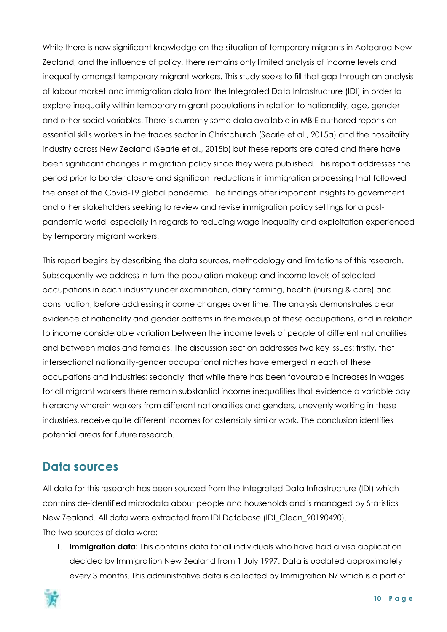While there is now significant knowledge on the situation of temporary migrants in Aotearoa New Zealand, and the influence of policy, there remains only limited analysis of income levels and inequality amongst temporary migrant workers. This study seeks to fill that gap through an analysis of labour market and immigration data from the Integrated Data Infrastructure (IDI) in order to explore inequality within temporary migrant populations in relation to nationality, age, gender and other social variables. There is currently some data available in MBIE authored reports on essential skills workers in the trades sector in Christchurch (Searle et al., 2015a) and the hospitality industry across New Zealand (Searle et al., 2015b) but these reports are dated and there have been significant changes in migration policy since they were published. This report addresses the period prior to border closure and significant reductions in immigration processing that followed the onset of the Covid-19 global pandemic. The findings offer important insights to government and other stakeholders seeking to review and revise immigration policy settings for a postpandemic world, especially in regards to reducing wage inequality and exploitation experienced by temporary migrant workers.

This report begins by describing the data sources, methodology and limitations of this research. Subsequently we address in turn the population makeup and income levels of selected occupations in each industry under examination, dairy farming, health (nursing & care) and construction, before addressing income changes over time. The analysis demonstrates clear evidence of nationality and gender patterns in the makeup of these occupations, and in relation to income considerable variation between the income levels of people of different nationalities and between males and females. The discussion section addresses two key issues: firstly, that intersectional nationality-gender occupational niches have emerged in each of these occupations and industries; secondly, that while there has been favourable increases in wages for all migrant workers there remain substantial income inequalities that evidence a variable pay hierarchy wherein workers from different nationalities and genders, unevenly working in these industries, receive quite different incomes for ostensibly similar work. The conclusion identifies potential areas for future research.

## <span id="page-9-0"></span>**Data sources**

All data for this research has been sourced from the Integrated Data Infrastructure (IDI) which contains de-identified microdata about people and households and is managed by Statistics New Zealand. All data were extracted from IDI Database (IDI\_Clean\_20190420). The two sources of data were:

1. **Immigration data:** This contains data for all individuals who have had a visa application decided by Immigration New Zealand from 1 July 1997. Data is updated approximately every 3 months. This administrative data is collected by Immigration NZ which is a part of

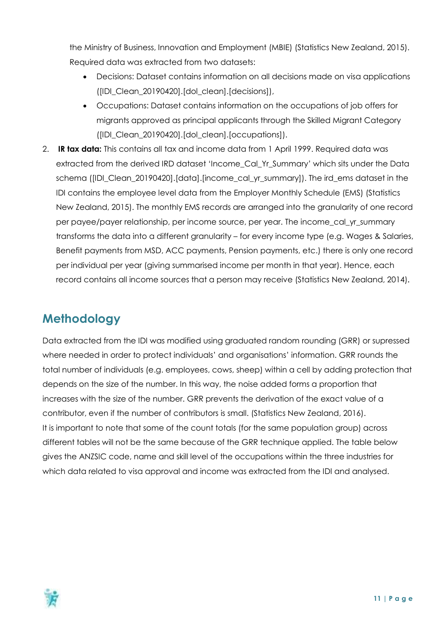the Ministry of Business, Innovation and Employment (MBIE) (Statistics New Zealand, 2015). Required data was extracted from two datasets:

- Decisions: Dataset contains information on all decisions made on visa applications ([IDI\_Clean\_20190420].[dol\_clean].[decisions]),
- Occupations: Dataset contains information on the occupations of job offers for migrants approved as principal applicants through the Skilled Migrant Category ([IDI\_Clean\_20190420].[dol\_clean].[occupations]).
- 2. **IR tax data:** This contains all tax and income data from 1 April 1999. Required data was extracted from the derived IRD dataset 'Income\_Cal\_Yr\_Summary' which sits under the Data schema ([IDI\_Clean\_20190420].[data].[income\_cal\_yr\_summary]). The ird\_ems dataset in the IDI contains the employee level data from the Employer Monthly Schedule (EMS) (Statistics New Zealand, 2015). The monthly EMS records are arranged into the granularity of one record per payee/payer relationship, per income source, per year. The income\_cal\_yr\_summary transforms the data into a different granularity – for every income type (e.g. Wages & Salaries, Benefit payments from MSD, ACC payments, Pension payments, etc.) there is only one record per individual per year (giving summarised income per month in that year). Hence, each record contains all income sources that a person may receive (Statistics New Zealand, 2014).

# <span id="page-10-0"></span>**Methodology**

Data extracted from the IDI was modified using graduated random rounding (GRR) or supressed where needed in order to protect individuals' and organisations' information. GRR rounds the total number of individuals (e.g. employees, cows, sheep) within a cell by adding protection that depends on the size of the number. In this way, the noise added forms a proportion that increases with the size of the number. GRR prevents the derivation of the exact value of a contributor, even if the number of contributors is small. (Statistics New Zealand, 2016). It is important to note that some of the count totals (for the same population group) across different tables will not be the same because of the GRR technique applied. The table below gives the ANZSIC code, name and skill level of the occupations within the three industries for which data related to visa approval and income was extracted from the IDI and analysed.

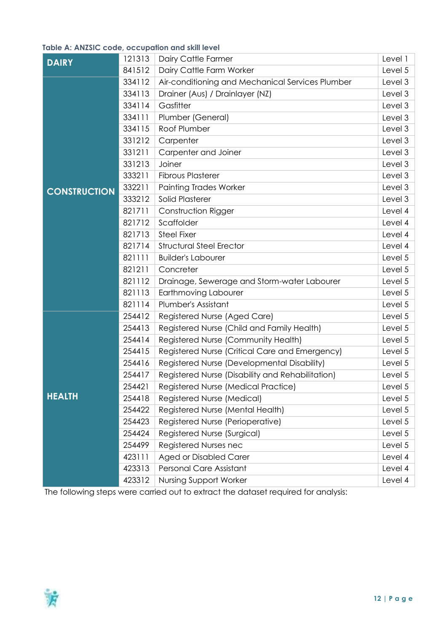#### **Table A: ANZSIC code, occupation and skill level**

| 121313<br>Dairy Cattle Farmer<br><b>DAIRY</b> |        |                                                  |         |  |  |  |
|-----------------------------------------------|--------|--------------------------------------------------|---------|--|--|--|
|                                               | 841512 | Dairy Cattle Farm Worker                         | Level 5 |  |  |  |
|                                               | 334112 | Air-conditioning and Mechanical Services Plumber | Level 3 |  |  |  |
|                                               | 334113 | Drainer (Aus) / Drainlayer (NZ)                  | Level 3 |  |  |  |
|                                               | 334114 | Gasfitter                                        | Level 3 |  |  |  |
|                                               | 334111 | Plumber (General)                                | Level 3 |  |  |  |
|                                               | 334115 | Roof Plumber                                     | Level 3 |  |  |  |
|                                               | 331212 | Carpenter                                        | Level 3 |  |  |  |
|                                               | 331211 | Carpenter and Joiner                             | Level 3 |  |  |  |
|                                               | 331213 | Joiner                                           | Level 3 |  |  |  |
|                                               | 333211 | <b>Fibrous Plasterer</b>                         | Level 3 |  |  |  |
| <b>CONSTRUCTION</b>                           | 332211 | <b>Painting Trades Worker</b>                    | Level 3 |  |  |  |
|                                               | 333212 | Solid Plasterer                                  | Level 3 |  |  |  |
|                                               | 821711 | Construction Rigger                              | Level 4 |  |  |  |
|                                               | 821712 | Scaffolder                                       | Level 4 |  |  |  |
|                                               | 821713 | <b>Steel Fixer</b>                               | Level 4 |  |  |  |
|                                               | 821714 | <b>Structural Steel Erector</b>                  | Level 4 |  |  |  |
|                                               | 821111 | <b>Builder's Labourer</b>                        | Level 5 |  |  |  |
|                                               | 821211 | Concreter                                        | Level 5 |  |  |  |
|                                               | 821112 | Drainage, Sewerage and Storm-water Labourer      | Level 5 |  |  |  |
|                                               | 821113 | Earthmoving Labourer                             | Level 5 |  |  |  |
|                                               | 821114 | Plumber's Assistant                              | Level 5 |  |  |  |
|                                               | 254412 | Registered Nurse (Aged Care)                     | Level 5 |  |  |  |
|                                               | 254413 | Registered Nurse (Child and Family Health)       | Level 5 |  |  |  |
|                                               | 254414 | Registered Nurse (Community Health)              | Level 5 |  |  |  |
|                                               | 254415 | Registered Nurse (Critical Care and Emergency)   | Level 5 |  |  |  |
|                                               | 254416 | Registered Nurse (Developmental Disability)      | Level 5 |  |  |  |
|                                               | 254417 | Registered Nurse (Disability and Rehabilitation) | Level 5 |  |  |  |
|                                               | 254421 | Registered Nurse (Medical Practice)              | Level 5 |  |  |  |
| <b>HEALTH</b>                                 | 254418 | Registered Nurse (Medical)                       | Level 5 |  |  |  |
|                                               | 254422 | Registered Nurse (Mental Health)                 | Level 5 |  |  |  |
|                                               | 254423 | Registered Nurse (Perioperative)                 | Level 5 |  |  |  |
|                                               | 254424 | Registered Nurse (Surgical)                      | Level 5 |  |  |  |
|                                               | 254499 | Registered Nurses nec                            | Level 5 |  |  |  |
|                                               | 423111 | <b>Aged or Disabled Carer</b>                    | Level 4 |  |  |  |
|                                               | 423313 | Personal Care Assistant                          | Level 4 |  |  |  |
|                                               | 423312 | <b>Nursing Support Worker</b>                    | Level 4 |  |  |  |

The following steps were carried out to extract the dataset required for analysis:

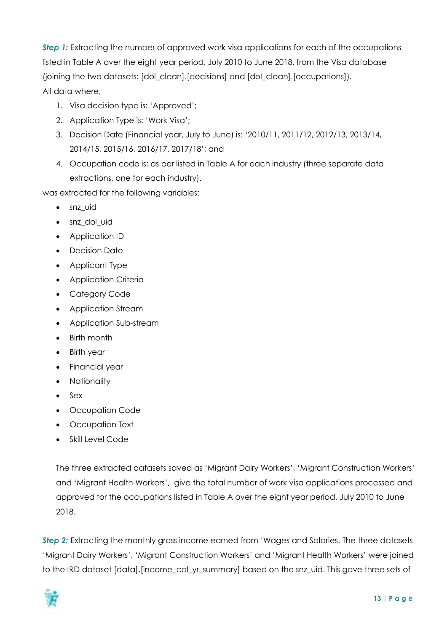**Step 1:** Extracting the number of approved work visa applications for each of the occupations listed in Table A over the eight year period, July 2010 to June 2018, from the Visa database (joining the two datasets: [dol\_clean].[decisions] and [dol\_clean].[occupations]). All data where,

- 1. Visa decision type is: 'Approved';
- 2. Application Type is: 'Work Visa';
- 3. Decision Date (Financial year, July to June) is: '2010/11, 2011/12, 2012/13, 2013/14, 2014/15, 2015/16, 2016/17, 2017/18'; and
- 4. Occupation code is: as per listed in Table A for each industry (three separate data extractions, one for each industry).

was extracted for the following variables:

- snz uid
- snz\_dol\_uid
- Application ID
- Decision Date
- Applicant Type
- Application Criteria
- Category Code
- Application Stream
- Application Sub-stream
- Birth month
- Birth year
- Financial year
- Nationality
- Sex
- Occupation Code
- Occupation Text
- Skill Level Code

The three extracted datasets saved as 'Migrant Dairy Workers', 'Migrant Construction Workers' and 'Migrant Health Workers', give the total number of work visa applications processed and approved for the occupations listed in Table A over the eight year period, July 2010 to June 2018.

*Step 2:* Extracting the monthly gross income earned from 'Wages and Salaries. The three datasets 'Migrant Dairy Workers', 'Migrant Construction Workers' and 'Migrant Health Workers' were joined to the IRD dataset [data].[income\_cal\_yr\_summary] based on the snz\_uid. This gave three sets of

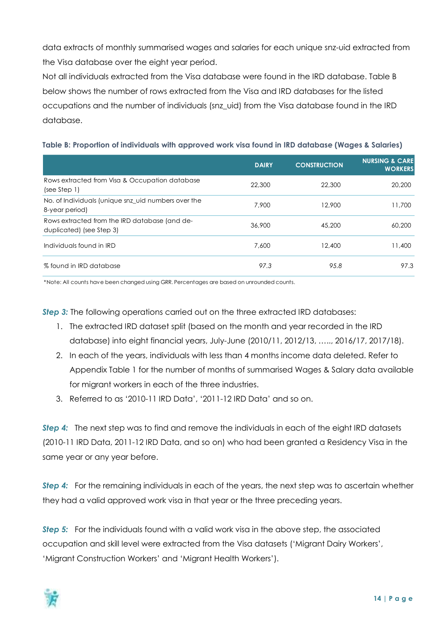data extracts of monthly summarised wages and salaries for each unique snz-uid extracted from the Visa database over the eight year period.

Not all individuals extracted from the Visa database were found in the IRD database. Table B below shows the number of rows extracted from the Visa and IRD databases for the listed occupations and the number of individuals (snz\_uid) from the Visa database found in the IRD database.

| Table B: Proportion of individuals with approved work visa found in IRD database (Wages & Salaries) |  |  |
|-----------------------------------------------------------------------------------------------------|--|--|
|-----------------------------------------------------------------------------------------------------|--|--|

|                                                                           | <b>DAIRY</b> | <b>CONSTRUCTION</b> | <b>NURSING &amp; CARE</b><br><b>WORKERS</b> |
|---------------------------------------------------------------------------|--------------|---------------------|---------------------------------------------|
| Rows extracted from Visa & Occupation database<br>(see Step 1)            | 22,300       | 22,300              | 20,200                                      |
| No. of Individuals (unique snz_uid numbers over the<br>8-year period)     | 7,900        | 12,900              | 11,700                                      |
| Rows extracted from the IRD database (and de-<br>duplicated) (see Step 3) | 36,900       | 45,200              | 60,200                                      |
| Individuals found in IRD                                                  | 7,600        | 12,400              | 11,400                                      |
| % found in IRD database                                                   | 97.3         | 95.8                | 97.3                                        |

\*Note: All counts have been changed using GRR. Percentages are based on unrounded counts.

*Step 3:* The following operations carried out on the three extracted IRD databases:

- 1. The extracted IRD dataset split (based on the month and year recorded in the IRD database) into eight financial years, July-June (2010/11, 2012/13, ….., 2016/17, 2017/18).
- 2. In each of the years, individuals with less than 4 months income data deleted. Refer to Appendix Table 1 for the number of months of summarised Wages & Salary data available for migrant workers in each of the three industries.
- 3. Referred to as '2010-11 IRD Data', '2011-12 IRD Data' and so on.

*Step 4:* The next step was to find and remove the individuals in each of the eight IRD datasets (2010-11 IRD Data, 2011-12 IRD Data, and so on) who had been granted a Residency Visa in the same year or any year before.

**Step 4:** For the remaining individuals in each of the years, the next step was to ascertain whether they had a valid approved work visa in that year or the three preceding years.

**Step 5:** For the individuals found with a valid work visa in the above step, the associated occupation and skill level were extracted from the Visa datasets ('Migrant Dairy Workers', 'Migrant Construction Workers' and 'Migrant Health Workers').

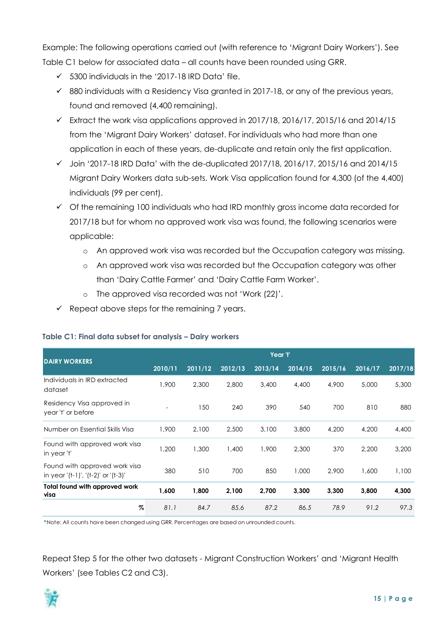Example: The following operations carried out (with reference to 'Migrant Dairy Workers'). See Table C1 below for associated data – all counts have been rounded using GRR.

- $\checkmark$  5300 individuals in the '2017-18 IRD Data' file.
- $\checkmark$  880 individuals with a Residency Visa granted in 2017-18, or any of the previous years, found and removed (4,400 remaining).
- $\checkmark$  Extract the work visa applications approved in 2017/18, 2016/17, 2015/16 and 2014/15 from the 'Migrant Dairy Workers' dataset. For individuals who had more than one application in each of these years, de-duplicate and retain only the first application.
- $\checkmark$  Join '2017-18 IRD Data' with the de-duplicated 2017/18, 2016/17, 2015/16 and 2014/15 Migrant Dairy Workers data sub-sets. Work Visa application found for 4,300 (of the 4,400) individuals (99 per cent).
- $\checkmark$  Of the remaining 100 individuals who had IRD monthly gross income data recorded for 2017/18 but for whom no approved work visa was found, the following scenarios were applicable:
	- o An approved work visa was recorded but the Occupation category was missing.
	- o An approved work visa was recorded but the Occupation category was other than 'Dairy Cattle Farmer' and 'Dairy Cattle Farm Worker'.

- 150 240 390 540 700 810 880

**%** *81.1 84.7 85.6 87.2 86.5 78.9 91.2 97.3*

- o The approved visa recorded was not 'Work (22)'.
- $\checkmark$  Repeat above steps for the remaining 7 years.

| <b>DAIRY WORKERS</b>                    |      |       |       | Year 't' |                                                                 |       |       |       |
|-----------------------------------------|------|-------|-------|----------|-----------------------------------------------------------------|-------|-------|-------|
|                                         |      |       |       |          | 2010/11 2011/12 2012/13 2013/14 2014/15 2015/16 2016/17 2017/18 |       |       |       |
| Individuals in IRD extracted<br>dataset | .900 | 2.300 | 2,800 | 3,400    | 4.400                                                           | 4.900 | 5,000 | 5,300 |

#### **Table C1: Final data subset for analysis – Dairy workers**

Residency Visa approved in

Found with approved work visa

Found with approved work visa

**Total found with approved work** 

year 't' or before

\*Note: All counts have been changed using GRR. Percentages are based on unrounded counts.

Repeat Step 5 for the other two datasets - Migrant Construction Workers' and 'Migrant Health Workers' (see Tables C2 and C3).

Number on Essential Skills Visa 1,900 2,100 2,500 3,100 3,800 4,200 4,200 4,400

in year 't' 1,200 1,300 1,400 1,900 2,300 370 2,200 3,200

in year '(t-1)', '(t-2)' or '(t-3)' 380 510 700 850 1,000 2,900 1,600 1,100

**visa 1,600 1,800 2,100 2,700 3,300 3,300 3,800 4,300**

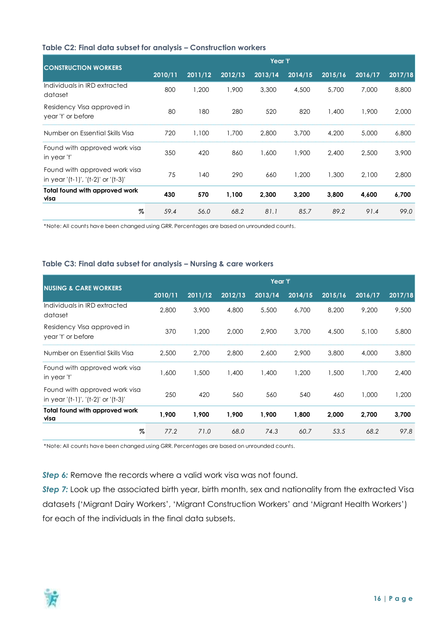#### **Table C2: Final data subset for analysis – Construction workers**

| <b>CONSTRUCTION WORKERS</b>                                          | Year 't' |         |         |         |         |         |         |         |
|----------------------------------------------------------------------|----------|---------|---------|---------|---------|---------|---------|---------|
|                                                                      | 2010/11  | 2011/12 | 2012/13 | 2013/14 | 2014/15 | 2015/16 | 2016/17 | 2017/18 |
| Individuals in IRD extracted<br>dataset                              | 800      | 1,200   | 1,900   | 3,300   | 4,500   | 5,700   | 7,000   | 8,800   |
| Residency Visa approved in<br>year 't' or before                     | 80       | 180     | 280     | 520     | 820     | 1,400   | 1,900   | 2,000   |
| Number on Essential Skills Visa                                      | 720      | 1,100   | 1,700   | 2,800   | 3,700   | 4,200   | 5,000   | 6,800   |
| Found with approved work visa<br>in year 't'                         | 350      | 420     | 860     | 1,600   | 1,900   | 2,400   | 2.500   | 3,900   |
| Found with approved work visa<br>in year '(t-1)', '(t-2)' or '(t-3)' | 75       | 140     | 290     | 660     | 1,200   | 1,300   | 2.100   | 2,800   |
| Total found with approved work<br>visa                               | 430      | 570     | 1,100   | 2,300   | 3,200   | 3,800   | 4,600   | 6,700   |
| %                                                                    | 59.4     | 56.0    | 68.2    | 81.1    | 85.7    | 89.2    | 91.4    | 99.0    |

\*Note: All counts have been changed using GRR. Percentages are based on unrounded counts.

#### **Table C3: Final data subset for analysis – Nursing & care workers**

| <b>NUSING &amp; CARE WORKERS</b>                                     | Year 't' |         |         |         |         |         |         |         |
|----------------------------------------------------------------------|----------|---------|---------|---------|---------|---------|---------|---------|
|                                                                      | 2010/11  | 2011/12 | 2012/13 | 2013/14 | 2014/15 | 2015/16 | 2016/17 | 2017/18 |
| Individuals in IRD extracted<br>dataset                              | 2,800    | 3,900   | 4,800   | 5,500   | 6.700   | 8,200   | 9,200   | 9,500   |
| Residency Visa approved in<br>year 't' or before                     | 370      | 1,200   | 2,000   | 2.900   | 3,700   | 4,500   | 5,100   | 5,800   |
| Number on Essential Skills Visa                                      | 2,500    | 2.700   | 2,800   | 2,600   | 2,900   | 3,800   | 4,000   | 3,800   |
| Found with approved work visa<br>in year 't'                         | 1,600    | 1,500   | 1,400   | 1,400   | 1,200   | 1,500   | 1,700   | 2,400   |
| Found with approved work visa<br>in year '(t-1)', '(t-2)' or '(t-3)' | 250      | 420     | 560     | 560     | 540     | 460     | 1.000   | 1,200   |
| Total found with approved work<br>visa                               | 1,900    | 1,900   | 1,900   | 1,900   | 1,800   | 2,000   | 2,700   | 3,700   |
| %                                                                    | 77.2     | 71.0    | 68.0    | 74.3    | 60.7    | 53.5    | 68.2    | 97.8    |

\*Note: All counts have been changed using GRR. Percentages are based on unrounded counts.

#### **Step 6:** Remove the records where a valid work visa was not found.

**Step 7:** Look up the associated birth year, birth month, sex and nationality from the extracted Visa datasets ('Migrant Dairy Workers', 'Migrant Construction Workers' and 'Migrant Health Workers') for each of the individuals in the final data subsets.

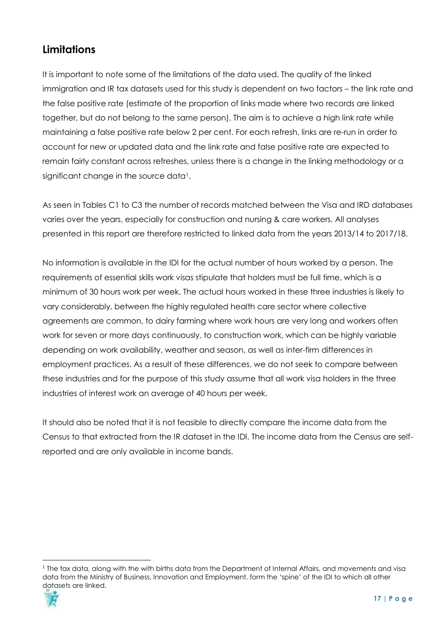## **Limitations**

It is important to note some of the limitations of the data used. The quality of the linked immigration and IR tax datasets used for this study is dependent on two factors – the link rate and the false positive rate (estimate of the proportion of links made where two records are linked together, but do not belong to the same person). The aim is to achieve a high link rate while maintaining a false positive rate below 2 per cent. For each refresh, links are re-run in order to account for new or updated data and the link rate and false positive rate are expected to remain fairly constant across refreshes, unless there is a change in the linking methodology or a significant change in the source data<sup>1</sup>.

As seen in Tables C1 to C3 the number of records matched between the Visa and IRD databases varies over the years, especially for construction and nursing & care workers. All analyses presented in this report are therefore restricted to linked data from the years 2013/14 to 2017/18.

No information is available in the IDI for the actual number of hours worked by a person. The requirements of essential skills work visas stipulate that holders must be full time, which is a minimum of 30 hours work per week. The actual hours worked in these three industries is likely to vary considerably, between the highly regulated health care sector where collective agreements are common, to dairy farming where work hours are very long and workers often work for seven or more days continuously, to construction work, which can be highly variable depending on work availability, weather and season, as well as inter-firm differences in employment practices. As a result of these differences, we do not seek to compare between these industries and for the purpose of this study assume that all work visa holders in the three industries of interest work an average of 40 hours per week.

It should also be noted that it is not feasible to directly compare the income data from the Census to that extracted from the IR dataset in the IDI. The income data from the Census are selfreported and are only available in income bands.

<sup>&</sup>lt;u>.</u> <sup>1</sup> The tax data, along with the with births data from the Department of Internal Affairs, and movements and visa data from the Ministry of Business, Innovation and Employment, form the 'spine' of the IDI to which all other datasets are linked.

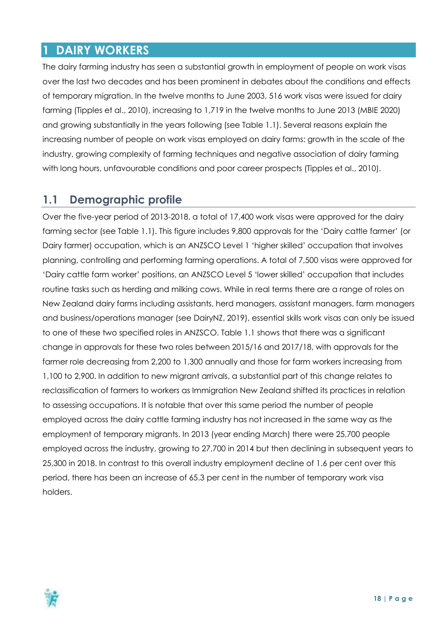## <span id="page-17-0"></span>**1 DAIRY WORKERS**

The dairy farming industry has seen a substantial growth in employment of people on work visas over the last two decades and has been prominent in debates about the conditions and effects of temporary migration. In the twelve months to June 2003, 516 work visas were issued for dairy farming (Tipples et al., 2010), increasing to 1,719 in the twelve months to June 2013 (MBIE 2020) and growing substantially in the years following (see Table 1.1). Several reasons explain the increasing number of people on work visas employed on dairy farms: growth in the scale of the industry, growing complexity of farming techniques and negative association of dairy farming with long hours, unfavourable conditions and poor career prospects (Tipples et al., 2010).

## <span id="page-17-1"></span>**1.1 Demographic profile**

Over the five-year period of 2013-2018, a total of 17,400 work visas were approved for the dairy farming sector (see Table 1.1). This figure includes 9,800 approvals for the 'Dairy cattle farmer' (or Dairy farmer) occupation, which is an ANZSCO Level 1 'higher skilled' occupation that involves planning, controlling and performing farming operations. A total of 7,500 visas were approved for 'Dairy cattle farm worker' positions, an ANZSCO Level 5 'lower skilled' occupation that includes routine tasks such as herding and milking cows. While in real terms there are a range of roles on New Zealand dairy farms including assistants, herd managers, assistant managers, farm managers and business/operations manager (see DairyNZ, 2019), essential skills work visas can only be issued to one of these two specified roles in ANZSCO. Table 1.1 shows that there was a significant change in approvals for these two roles between 2015/16 and 2017/18, with approvals for the farmer role decreasing from 2,200 to 1,300 annually and those for farm workers increasing from 1,100 to 2,900. In addition to new migrant arrivals, a substantial part of this change relates to reclassification of farmers to workers as Immigration New Zealand shifted its practices in relation to assessing occupations. It is notable that over this same period the number of people employed across the dairy cattle farming industry has not increased in the same way as the employment of temporary migrants. In 2013 (year ending March) there were 25,700 people employed across the industry, growing to 27,700 in 2014 but then declining in subsequent years to 25,300 in 2018. In contrast to this overall industry employment decline of 1.6 per cent over this period, there has been an increase of 65.3 per cent in the number of temporary work visa holders.

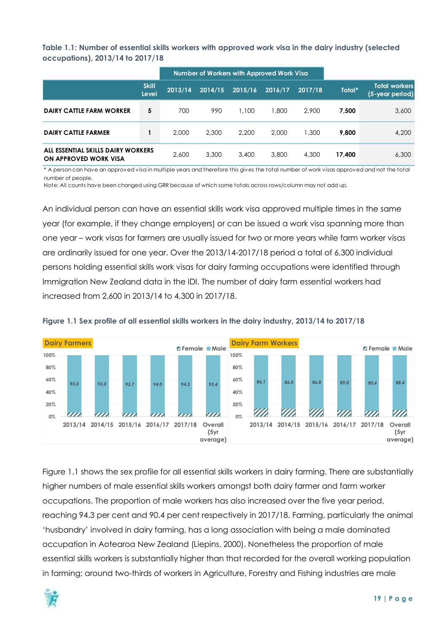<span id="page-18-0"></span>**Table 1.1: Number of essential skills workers with approved work visa in the dairy industry (selected occupations), 2013/14 to 2017/18**

|                                                             |                       | Number of Workers with Approved Work Visa |         |         |         |         |        |                                   |
|-------------------------------------------------------------|-----------------------|-------------------------------------------|---------|---------|---------|---------|--------|-----------------------------------|
|                                                             | <b>Skill</b><br>Level | 2013/14                                   | 2014/15 | 2015/16 | 2016/17 | 2017/18 | Total* | Total workers.<br>(5-year period) |
| <b>DAIRY CATTLE FARM WORKER</b>                             | 5                     | 700                                       | 990     | 1.100   | 1,800   | 2.900   | 7.500  | 3,600                             |
| <b>DAIRY CATTLE FARMER</b>                                  |                       | 2,000                                     | 2,300   | 2.200   | 2,000   | 1,300   | 9.800  | 4,200                             |
| ALL ESSENTIAL SKILLS DAIRY WORKERS<br>ON APPROVED WORK VISA |                       | 2,600                                     | 3,300   | 3,400   | 3,800   | 4,300   | 17.400 | 6,300                             |

\* A person can have an approved visa in multiple years and therefore this gives the total number of work visas approved and not the total number of people.

Note: All counts have been changed using GRR because of which some totals across rows/column may not add up.

An individual person can have an essential skills work visa approved multiple times in the same year (for example, if they change employers) or can be issued a work visa spanning more than one year – work visas for farmers are usually issued for two or more years while farm worker visas are ordinarily issued for one year. Over the 2013/14-2017/18 period a total of 6,300 individual persons holding essential skills work visas for dairy farming occupations were identified through Immigration New Zealand data in the IDI. The number of dairy farm essential workers had increased from 2,600 in 2013/14 to 4,300 in 2017/18.



<span id="page-18-1"></span>

Figure 1.1 shows the sex profile for all essential skills workers in dairy farming. There are substantially higher numbers of male essential skills workers amongst both dairy farmer and farm worker occupations. The proportion of male workers has also increased over the five year period, reaching 94.3 per cent and 90.4 per cent respectively in 2017/18. Farming, particularly the animal 'husbandry' involved in dairy farming, has a long association with being a male dominated occupation in Aotearoa New Zealand (Liepins, 2000). Nonetheless the proportion of male essential skills workers is substantially higher than that recorded for the overall working population in farming; around two-thirds of workers in Agriculture, Forestry and Fishing industries are male

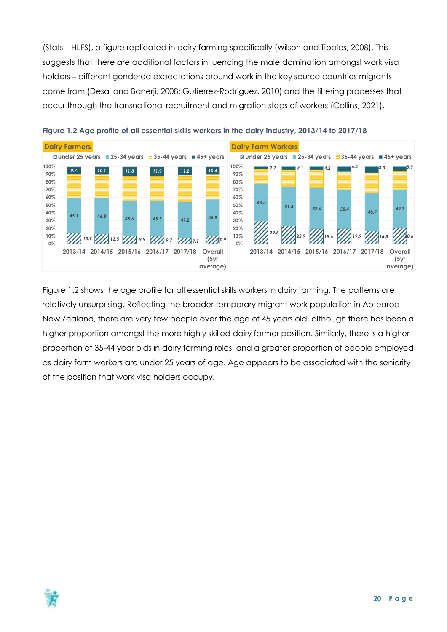(Stats – HLFS), a figure replicated in dairy farming specifically (Wilson and Tipples, 2008). This suggests that there are additional factors influencing the male domination amongst work visa holders – different gendered expectations around work in the key source countries migrants come from (Desai and Banerji, 2008; Gutiérrez-Rodríguez, 2010) and the filtering processes that occur through the transnational recruitment and migration steps of workers (Collins, 2021).



<span id="page-19-0"></span>

Figure 1.2 shows the age profile for all essential skills workers in dairy farming. The patterns are relatively unsurprising. Reflecting the broader temporary migrant work population in Aotearoa New Zealand, there are very few people over the age of 45 years old, although there has been a higher proportion amongst the more highly skilled dairy farmer position. Similarly, there is a higher proportion of 35-44 year olds in dairy farming roles, and a greater proportion of people employed as dairy farm workers are under 25 years of age. Age appears to be associated with the seniority of the position that work visa holders occupy.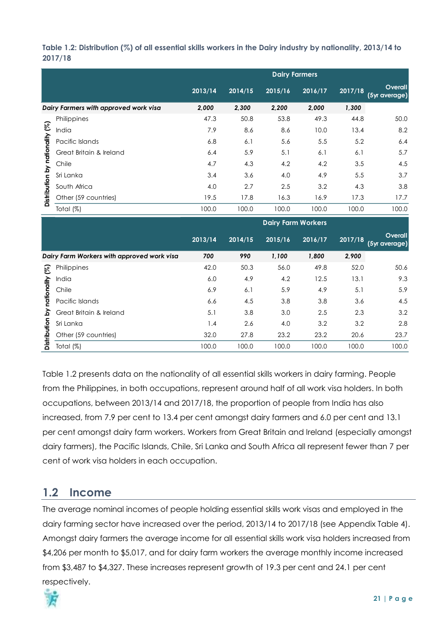#### <span id="page-20-1"></span>**Table 1.2: Distribution (%) of all essential skills workers in the Dairy industry by nationality, 2013/14 to 2017/18**

|                                 |                                       |         |         | <b>Dairy Farmers</b> |         |         |                          |
|---------------------------------|---------------------------------------|---------|---------|----------------------|---------|---------|--------------------------|
|                                 |                                       | 2013/14 | 2014/15 | 2015/16              | 2016/17 | 2017/18 | Overall<br>(5yr average) |
|                                 | Dairy Farmers with approved work visa | 2,000   | 2,300   | 2,200                | 2,000   | 1,300   |                          |
|                                 | Philippines                           | 47.3    | 50.8    | 53.8                 | 49.3    | 44.8    | 50.0                     |
|                                 | India                                 | 7.9     | 8.6     | 8.6                  | 10.0    | 13.4    | 8.2                      |
|                                 | Pacific Islands                       | 6.8     | 6.1     | 5.6                  | 5.5     | 5.2     | 6.4                      |
|                                 | Great Britain & Ireland               | 6.4     | 5.9     | 5.1                  | 6.1     | 6.1     | 5.7                      |
|                                 | Chile                                 | 4.7     | 4.3     | 4.2                  | 4.2     | 3.5     | 4.5                      |
|                                 | Sri Lanka                             | 3.4     | 3.6     | 4.0                  | 4.9     | 5.5     | 3.7                      |
|                                 | South Africa                          | 4.0     | 2.7     | 2.5                  | 3.2     | 4.3     | 3.8                      |
| Distribution by nationality (%) | Other (59 countries)                  | 19.5    | 17.8    | 16.3                 | 16.9    | 17.3    | 17.7                     |
|                                 | Total (%)                             | 100.0   | 100.0   | 100.0                | 100.0   | 100.0   | 100.0                    |

|              |                                            | <b>Dairy Farm Workers</b> |         |         |         |         |                          |  |
|--------------|--------------------------------------------|---------------------------|---------|---------|---------|---------|--------------------------|--|
|              |                                            | 2013/14                   | 2014/15 | 2015/16 | 2016/17 | 2017/18 | Overall<br>(5yr average) |  |
|              | Dairy Farm Workers with approved work visa | 700                       | 990     | 1,100   | 1,800   | 2,900   |                          |  |
| প্তি         | Philippines                                | 42.0                      | 50.3    | 56.0    | 49.8    | 52.0    | 50.6                     |  |
|              | India                                      | 6.0                       | 4.9     | 4.2     | 12.5    | 13.1    | 9.3                      |  |
| nationality  | Chile                                      | 6.9                       | 6.1     | 5.9     | 4.9     | 5.1     | 5.9                      |  |
|              | Pacific Islands                            | 6.6                       | 4.5     | 3.8     | 3.8     | 3.6     | 4.5                      |  |
| خ            | Great Britain & Ireland                    | 5.1                       | 3.8     | 3.0     | 2.5     | 2.3     | 3.2                      |  |
|              | Sri Lanka                                  | 1.4                       | 2.6     | 4.0     | 3.2     | 3.2     | 2.8                      |  |
| Distribution | Other (59 countries)                       | 32.0                      | 27.8    | 23.2    | 23.2    | 20.6    | 23.7                     |  |
|              | Total $(\%)$                               | 100.0                     | 100.0   | 100.0   | 100.0   | 100.0   | 100.0                    |  |

Table 1.2 presents data on the nationality of all essential skills workers in dairy farming. People from the Philippines, in both occupations, represent around half of all work visa holders. In both occupations, between 2013/14 and 2017/18, the proportion of people from India has also increased, from 7.9 per cent to 13.4 per cent amongst dairy farmers and 6.0 per cent and 13.1 per cent amongst dairy farm workers. Workers from Great Britain and Ireland (especially amongst dairy farmers), the Pacific Islands, Chile, Sri Lanka and South Africa all represent fewer than 7 per cent of work visa holders in each occupation.

## <span id="page-20-0"></span>**1.2 Income**

The average nominal incomes of people holding essential skills work visas and employed in the dairy farming sector have increased over the period, 2013/14 to 2017/18 (see Appendix Table 4). Amongst dairy farmers the average income for all essential skills work visa holders increased from \$4,206 per month to \$5,017, and for dairy farm workers the average monthly income increased from \$3,487 to \$4,327. These increases represent growth of 19.3 per cent and 24.1 per cent respectively.

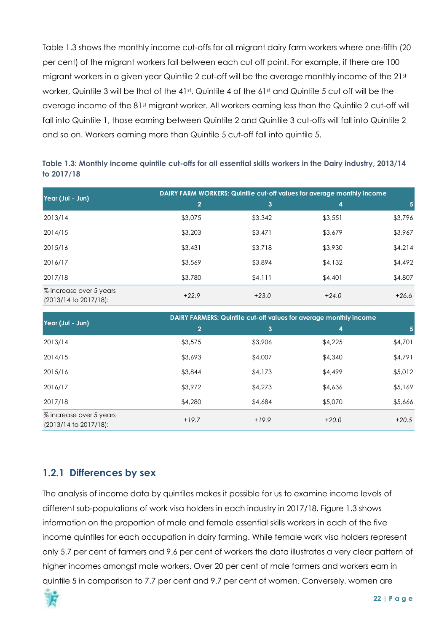Table 1.3 shows the monthly income cut-offs for all migrant dairy farm workers where one-fifth (20 per cent) of the migrant workers fall between each cut off point. For example, if there are 100 migrant workers in a given year Quintile 2 cut-off will be the average monthly income of the 21st worker, Quintile 3 will be that of the 41st, Quintile 4 of the 61st and Quintile 5 cut off will be the average income of the 81st migrant worker. All workers earning less than the Quintile 2 cut-off will fall into Quintile 1, those earning between Quintile 2 and Quintile 3 cut-offs will fall into Quintile 2 and so on. Workers earning more than Quintile 5 cut-off fall into quintile 5.

<span id="page-21-1"></span>

| Table 1.3: Monthly income quintile cut-offs for all essential skills workers in the Dairy industry, 2013/14 |  |
|-------------------------------------------------------------------------------------------------------------|--|
| to 2017/18                                                                                                  |  |

|                                                  | DAIRY FARM WORKERS: Quintile cut-off values for average monthly income |         |         |         |  |  |  |  |
|--------------------------------------------------|------------------------------------------------------------------------|---------|---------|---------|--|--|--|--|
| Year (Jul - Jun)                                 | $\overline{2}$                                                         | 3       | 4       | 5       |  |  |  |  |
| 2013/14                                          | \$3,075                                                                | \$3,342 | \$3,551 | \$3,796 |  |  |  |  |
| 2014/15                                          | \$3,203                                                                | \$3,471 | \$3,679 | \$3,967 |  |  |  |  |
| 2015/16                                          | \$3,431                                                                | \$3,718 | \$3,930 | \$4,214 |  |  |  |  |
| 2016/17                                          | \$3,569                                                                | \$3,894 | \$4,132 | \$4,492 |  |  |  |  |
| 2017/18                                          | \$3,780                                                                | \$4,111 | \$4,401 | \$4,807 |  |  |  |  |
| % increase over 5 years<br>(2013/14 to 2017/18): | $+22.9$                                                                | $+23.0$ | $+24.0$ | $+26.6$ |  |  |  |  |

|                                                       | DAIRY FARMERS: Quintile cut-off values for average monthly income |         |                  |         |  |  |  |  |
|-------------------------------------------------------|-------------------------------------------------------------------|---------|------------------|---------|--|--|--|--|
| Year (Jul - Jun)                                      | $\overline{2}$                                                    | 3       | $\boldsymbol{4}$ | 5       |  |  |  |  |
| 2013/14                                               | \$3,575                                                           | \$3,906 | \$4,225          | \$4,701 |  |  |  |  |
| 2014/15                                               | \$3,693                                                           | \$4,007 | \$4,340          | \$4,791 |  |  |  |  |
| 2015/16                                               | \$3,844                                                           | \$4,173 | \$4,499          | \$5,012 |  |  |  |  |
| 2016/17                                               | \$3,972                                                           | \$4,273 | \$4,636          | \$5,169 |  |  |  |  |
| 2017/18                                               | \$4,280                                                           | \$4,684 | \$5,070          | \$5,666 |  |  |  |  |
| % increase over 5 years<br>$(2013/14$ to $2017/18$ ): | $+19.7$                                                           | $+19.9$ | $+20.0$          | $+20.5$ |  |  |  |  |

#### <span id="page-21-0"></span>**1.2.1 Differences by sex**

The analysis of income data by quintiles makes it possible for us to examine income levels of different sub-populations of work visa holders in each industry in 2017/18. Figure 1.3 shows information on the proportion of male and female essential skills workers in each of the five income quintiles for each occupation in dairy farming. While female work visa holders represent only 5.7 per cent of farmers and 9.6 per cent of workers the data illustrates a very clear pattern of higher incomes amongst male workers. Over 20 per cent of male farmers and workers earn in quintile 5 in comparison to 7.7 per cent and 9.7 per cent of women. Conversely, women are

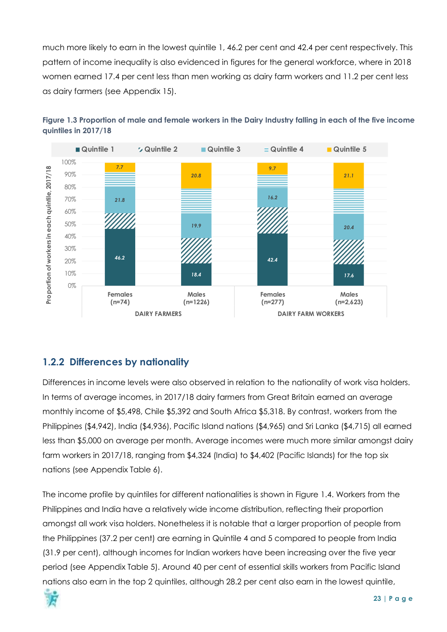much more likely to earn in the lowest quintile 1, 46.2 per cent and 42.4 per cent respectively. This pattern of income inequality is also evidenced in figures for the general workforce, where in 2018 women earned 17.4 per cent less than men working as dairy farm workers and 11.2 per cent less as dairy farmers (see Appendix 15).



<span id="page-22-1"></span>

## <span id="page-22-0"></span>**1.2.2 Differences by nationality**

Differences in income levels were also observed in relation to the nationality of work visa holders. In terms of average incomes, in 2017/18 dairy farmers from Great Britain earned an average monthly income of \$5,498, Chile \$5,392 and South Africa \$5,318. By contrast, workers from the Philippines (\$4,942), India (\$4,936), Pacific Island nations (\$4,965) and Sri Lanka (\$4,715) all earned less than \$5,000 on average per month. Average incomes were much more similar amongst dairy farm workers in 2017/18, ranging from \$4,324 (India) to \$4,402 (Pacific Islands) for the top six nations (see Appendix Table 6).

The income profile by quintiles for different nationalities is shown in Figure 1.4. Workers from the Philippines and India have a relatively wide income distribution, reflecting their proportion amongst all work visa holders. Nonetheless it is notable that a larger proportion of people from the Philippines (37.2 per cent) are earning in Quintile 4 and 5 compared to people from India (31.9 per cent), although incomes for Indian workers have been increasing over the five year period (see Appendix Table 5). Around 40 per cent of essential skills workers from Pacific Island nations also earn in the top 2 quintiles, although 28.2 per cent also earn in the lowest quintile,

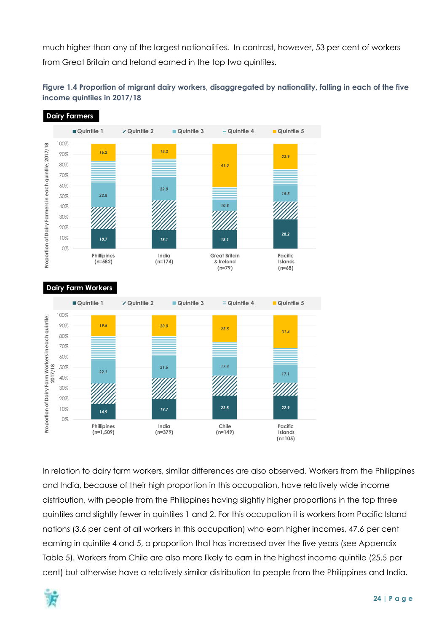much higher than any of the largest nationalities. In contrast, however, 53 per cent of workers from Great Britain and Ireland earned in the top two quintiles.

<span id="page-23-0"></span>



In relation to dairy farm workers, similar differences are also observed. Workers from the Philippines and India, because of their high proportion in this occupation, have relatively wide income distribution, with people from the Philippines having slightly higher proportions in the top three quintiles and slightly fewer in quintiles 1 and 2. For this occupation it is workers from Pacific Island nations (3.6 per cent of all workers in this occupation) who earn higher incomes, 47.6 per cent earning in quintile 4 and 5, a proportion that has increased over the five years (see Appendix Table 5). Workers from Chile are also more likely to earn in the highest income quintile (25.5 per cent) but otherwise have a relatively similar distribution to people from the Philippines and India.

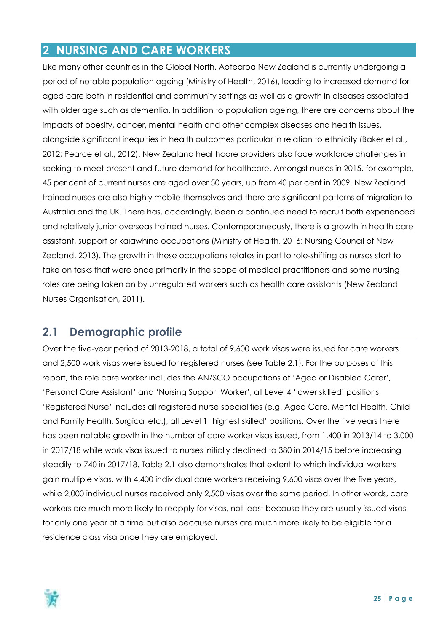## <span id="page-24-0"></span>**2 NURSING AND CARE WORKERS**

Like many other countries in the Global North, Aotearoa New Zealand is currently undergoing a period of notable population ageing (Ministry of Health, 2016), leading to increased demand for aged care both in residential and community settings as well as a growth in diseases associated with older age such as dementia. In addition to population ageing, there are concerns about the impacts of obesity, cancer, mental health and other complex diseases and health issues, alongside significant inequities in health outcomes particular in relation to ethnicity (Baker et al., 2012; Pearce et al., 2012). New Zealand healthcare providers also face workforce challenges in seeking to meet present and future demand for healthcare. Amongst nurses in 2015, for example, 45 per cent of current nurses are aged over 50 years, up from 40 per cent in 2009. New Zealand trained nurses are also highly mobile themselves and there are significant patterns of migration to Australia and the UK. There has, accordingly, been a continued need to recruit both experienced and relatively junior overseas trained nurses. Contemporaneously, there is a growth in health care assistant, support or kaiāwhina occupations (Ministry of Health, 2016; Nursing Council of New Zealand, 2013). The growth in these occupations relates in part to role-shifting as nurses start to take on tasks that were once primarily in the scope of medical practitioners and some nursing roles are being taken on by unregulated workers such as health care assistants (New Zealand Nurses Organisation, 2011).

## <span id="page-24-1"></span>**2.1 Demographic profile**

Over the five-year period of 2013-2018, a total of 9,600 work visas were issued for care workers and 2,500 work visas were issued for registered nurses (see Table 2.1). For the purposes of this report, the role care worker includes the ANZSCO occupations of 'Aged or Disabled Carer', 'Personal Care Assistant' and 'Nursing Support Worker', all Level 4 'lower skilled' positions; 'Registered Nurse' includes all registered nurse specialities (e.g. Aged Care, Mental Health, Child and Family Health, Surgical etc.), all Level 1 'highest skilled' positions. Over the five years there has been notable growth in the number of care worker visas issued, from 1,400 in 2013/14 to 3,000 in 2017/18 while work visas issued to nurses initially declined to 380 in 2014/15 before increasing steadily to 740 in 2017/18. Table 2.1 also demonstrates that extent to which individual workers gain multiple visas, with 4,400 individual care workers receiving 9,600 visas over the five years, while 2,000 individual nurses received only 2,500 visas over the same period. In other words, care workers are much more likely to reapply for visas, not least because they are usually issued visas for only one year at a time but also because nurses are much more likely to be eligible for a residence class visa once they are employed.

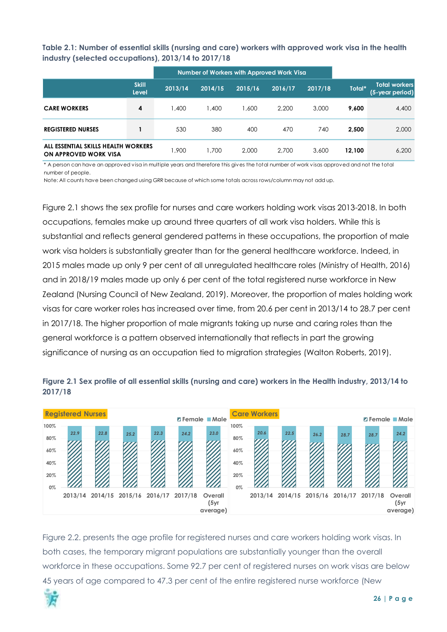<span id="page-25-0"></span>**Table 2.1: Number of essential skills (nursing and care) workers with approved work visa in the health industry (selected occupations), 2013/14 to 2017/18**

|                                                              |                              |         | Number of Workers with Approved Work Visa |         |         |         |        |                                         |
|--------------------------------------------------------------|------------------------------|---------|-------------------------------------------|---------|---------|---------|--------|-----------------------------------------|
|                                                              | <b>Skill</b><br><b>Level</b> | 2013/14 | 2014/15                                   | 2015/16 | 2016/17 | 2017/18 | Total* | <b>Total workers</b><br>(5-year period) |
| <b>CARE WORKERS</b>                                          | 4                            | 1,400   | 1,400                                     | .600    | 2.200   | 3,000   | 9.600  | 4,400                                   |
| <b>REGISTERED NURSES</b>                                     |                              | 530     | 380                                       | 400     | 470     | 740     | 2.500  | 2,000                                   |
| ALL ESSENTIAL SKILLS HEALTH WORKERS<br>ON APPROVED WORK VISA |                              | 1.900   | 1.700                                     | 2,000   | 2.700   | 3,600   | 12.100 | 6,200                                   |

\* A person can have an approved visa in multiple years and therefore this gives the total number of work visas approved and not the total number of people.

Note: All counts have been changed using GRR because of which some totals across rows/column may not add up.

Figure 2.1 shows the sex profile for nurses and care workers holding work visas 2013-2018. In both occupations, females make up around three quarters of all work visa holders. While this is substantial and reflects general gendered patterns in these occupations, the proportion of male work visa holders is substantially greater than for the general healthcare workforce. Indeed, in 2015 males made up only 9 per cent of all unregulated healthcare roles (Ministry of Health, 2016) and in 2018/19 males made up only 6 per cent of the total registered nurse workforce in New Zealand (Nursing Council of New Zealand, 2019). Moreover, the proportion of males holding work visas for care worker roles has increased over time, from 20.6 per cent in 2013/14 to 28.7 per cent in 2017/18. The higher proportion of male migrants taking up nurse and caring roles than the general workforce is a pattern observed internationally that reflects in part the growing significance of nursing as an occupation tied to migration strategies (Walton Roberts, 2019).



<span id="page-25-1"></span>**Figure 2.1 Sex profile of all essential skills (nursing and care) workers in the Health industry, 2013/14 to 2017/18**

Figure 2.2. presents the age profile for registered nurses and care workers holding work visas. In both cases, the temporary migrant populations are substantially younger than the overall workforce in these occupations. Some 92.7 per cent of registered nurses on work visas are below 45 years of age compared to 47.3 per cent of the entire registered nurse workforce (New

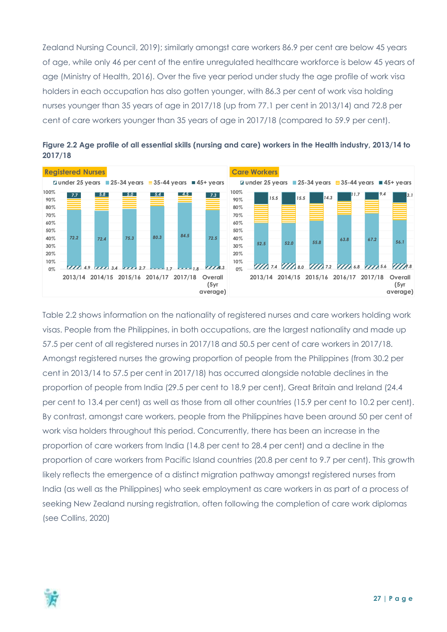Zealand Nursing Council, 2019); similarly amongst care workers 86.9 per cent are below 45 years of age, while only 46 per cent of the entire unregulated healthcare workforce is below 45 years of age (Ministry of Health, 2016). Over the five year period under study the age profile of work visa holders in each occupation has also gotten younger, with 86.3 per cent of work visa holding nurses younger than 35 years of age in 2017/18 (up from 77.1 per cent in 2013/14) and 72.8 per cent of care workers younger than 35 years of age in 2017/18 (compared to 59.9 per cent).



<span id="page-26-0"></span>

Table 2.2 shows information on the nationality of registered nurses and care workers holding work visas. People from the Philippines, in both occupations, are the largest nationality and made up 57.5 per cent of all registered nurses in 2017/18 and 50.5 per cent of care workers in 2017/18. Amongst registered nurses the growing proportion of people from the Philippines (from 30.2 per cent in 2013/14 to 57.5 per cent in 2017/18) has occurred alongside notable declines in the proportion of people from India (29.5 per cent to 18.9 per cent), Great Britain and Ireland (24.4 per cent to 13.4 per cent) as well as those from all other countries (15.9 per cent to 10.2 per cent). By contrast, amongst care workers, people from the Philippines have been around 50 per cent of work visa holders throughout this period. Concurrently, there has been an increase in the proportion of care workers from India (14.8 per cent to 28.4 per cent) and a decline in the proportion of care workers from Pacific Island countries (20.8 per cent to 9.7 per cent). This growth likely reflects the emergence of a distinct migration pathway amongst registered nurses from India (as well as the Philippines) who seek employment as care workers in as part of a process of seeking New Zealand nursing registration, often following the completion of care work diplomas (see Collins, 2020)

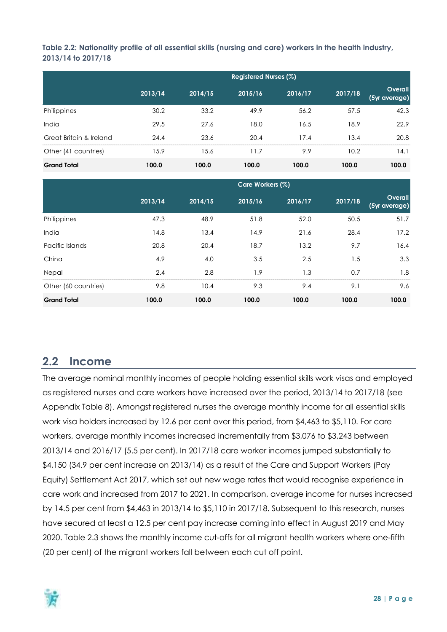<span id="page-27-1"></span>**Table 2.2: Nationality profile of all essential skills (nursing and care) workers in the health industry, 2013/14 to 2017/18**

|                         | Registered Nurses (%) |         |         |         |         |                          |  |  |
|-------------------------|-----------------------|---------|---------|---------|---------|--------------------------|--|--|
|                         | 2013/14               | 2014/15 | 2015/16 | 2016/17 | 2017/18 | Overall<br>(5yr average) |  |  |
| Philippines             | 30.2                  | 33.2    | 49.9    | 56.2    | 57.5    | 42.3                     |  |  |
| India                   | 29.5                  | 27.6    | 18.0    | 16.5    | 18.9    | 22.9                     |  |  |
| Great Britain & Ireland | 24.4                  | 23.6    | 20.4    | 17.4    | 13.4    | 20.8                     |  |  |
| Other (41 countries)    | 15.9                  | 15.6    | 11.7    | 9.9     | 10.2    | 14.                      |  |  |
| <b>Grand Total</b>      | 100.0                 | 100.0   | 100.0   | 100.0   | 100.0   | 100.0                    |  |  |

|                      | Care Workers (%) |         |         |         |         |                          |  |  |
|----------------------|------------------|---------|---------|---------|---------|--------------------------|--|--|
|                      | 2013/14          | 2014/15 | 2015/16 | 2016/17 | 2017/18 | Overall<br>(5yr average) |  |  |
| Philippines          | 47.3             | 48.9    | 51.8    | 52.0    | 50.5    | 51.7                     |  |  |
| India                | 14.8             | 13.4    | 14.9    | 21.6    | 28.4    | 17.2                     |  |  |
| Pacific Islands      | 20.8             | 20.4    | 18.7    | 13.2    | 9.7     | 16.4                     |  |  |
| China                | 4.9              | 4.0     | 3.5     | 2.5     | 1.5     | 3.3                      |  |  |
| Nepal                | 2.4              | 2.8     | 1.9     | 1.3     | 0.7     | 1.8                      |  |  |
| Other (60 countries) | 9.8              | 10.4    | 9.3     | 9.4     | 9.1     | 9.6                      |  |  |
| <b>Grand Total</b>   | 100.0            | 100.0   | 100.0   | 100.0   | 100.0   | 100.0                    |  |  |

## <span id="page-27-0"></span>**2.2 Income**

The average nominal monthly incomes of people holding essential skills work visas and employed as registered nurses and care workers have increased over the period, 2013/14 to 2017/18 (see Appendix Table 8). Amongst registered nurses the average monthly income for all essential skills work visa holders increased by 12.6 per cent over this period, from \$4,463 to \$5,110. For care workers, average monthly incomes increased incrementally from \$3,076 to \$3,243 between 2013/14 and 2016/17 (5.5 per cent). In 2017/18 care worker incomes jumped substantially to \$4,150 (34.9 per cent increase on 2013/14) as a result of the Care and Support Workers (Pay Equity) Settlement Act 2017, which set out new wage rates that would recognise experience in care work and increased from 2017 to 2021. In comparison, average income for nurses increased by 14.5 per cent from \$4,463 in 2013/14 to \$5,110 in 2017/18. Subsequent to this research, nurses have secured at least a 12.5 per cent pay increase coming into effect in August 2019 and May 2020. Table 2.3 shows the monthly income cut-offs for all migrant health workers where one-fifth (20 per cent) of the migrant workers fall between each cut off point.

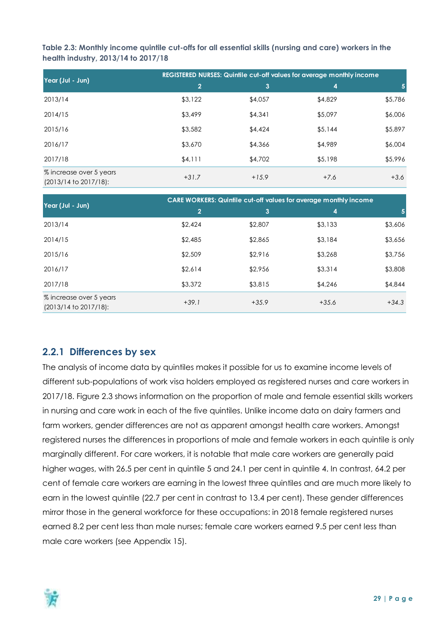<span id="page-28-1"></span>**Table 2.3: Monthly income quintile cut-offs for all essential skills (nursing and care) workers in the health industry, 2013/14 to 2017/18**

| Year (Jul - Jun)                                 | REGISTERED NURSES: Quintile cut-off values for average monthly income |         |         |         |  |  |  |  |
|--------------------------------------------------|-----------------------------------------------------------------------|---------|---------|---------|--|--|--|--|
|                                                  | $\overline{2}$                                                        | 3       | 4       |         |  |  |  |  |
| 2013/14                                          | \$3,122                                                               | \$4,057 | \$4,829 | \$5,786 |  |  |  |  |
| 2014/15                                          | \$3,499                                                               | \$4,341 | \$5,097 | \$6,006 |  |  |  |  |
| 2015/16                                          | \$3,582                                                               | \$4,424 | \$5,144 | \$5,897 |  |  |  |  |
| 2016/17                                          | \$3,670                                                               | \$4,366 | \$4,989 | \$6,004 |  |  |  |  |
| 2017/18                                          | \$4,111                                                               | \$4,702 | \$5,198 | \$5,996 |  |  |  |  |
| % increase over 5 years<br>(2013/14 to 2017/18): | $+31.7$                                                               | $+15.9$ | $+7.6$  | $+3.6$  |  |  |  |  |

|                                                  | <b>CARE WORKERS: Quintile cut-off values for average monthly income</b> |         |                         |         |  |  |  |  |
|--------------------------------------------------|-------------------------------------------------------------------------|---------|-------------------------|---------|--|--|--|--|
| Year (Jul - Jun)                                 | $\overline{2}$                                                          | 3       | $\overline{\mathbf{4}}$ | 5       |  |  |  |  |
| 2013/14                                          | \$2,424                                                                 | \$2,807 | \$3,133                 | \$3,606 |  |  |  |  |
| 2014/15                                          | \$2,485                                                                 | \$2,865 | \$3,184                 | \$3,656 |  |  |  |  |
| 2015/16                                          | \$2,509                                                                 | \$2,916 | \$3,268                 | \$3,756 |  |  |  |  |
| 2016/17                                          | \$2,614                                                                 | \$2,956 | \$3,314                 | \$3,808 |  |  |  |  |
| 2017/18                                          | \$3,372                                                                 | \$3,815 | \$4,246                 | \$4,844 |  |  |  |  |
| % increase over 5 years<br>(2013/14 to 2017/18): | $+39.1$                                                                 | $+35.9$ | $+35.6$                 | $+34.3$ |  |  |  |  |

#### <span id="page-28-0"></span>**2.2.1 Differences by sex**

The analysis of income data by quintiles makes it possible for us to examine income levels of different sub-populations of work visa holders employed as registered nurses and care workers in 2017/18. Figure 2.3 shows information on the proportion of male and female essential skills workers in nursing and care work in each of the five quintiles. Unlike income data on dairy farmers and farm workers, gender differences are not as apparent amongst health care workers. Amongst registered nurses the differences in proportions of male and female workers in each quintile is only marginally different. For care workers, it is notable that male care workers are generally paid higher wages, with 26.5 per cent in quintile 5 and 24.1 per cent in quintile 4. In contrast, 64.2 per cent of female care workers are earning in the lowest three quintiles and are much more likely to earn in the lowest quintile (22.7 per cent in contrast to 13.4 per cent). These gender differences mirror those in the general workforce for these occupations: in 2018 female registered nurses earned 8.2 per cent less than male nurses; female care workers earned 9.5 per cent less than male care workers (see Appendix 15).

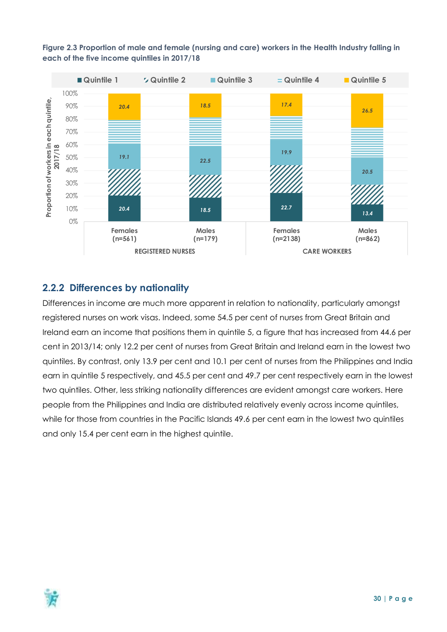<span id="page-29-1"></span>



#### <span id="page-29-0"></span>**2.2.2 Differences by nationality**

Differences in income are much more apparent in relation to nationality, particularly amongst registered nurses on work visas. Indeed, some 54.5 per cent of nurses from Great Britain and Ireland earn an income that positions them in quintile 5, a figure that has increased from 44.6 per cent in 2013/14; only 12.2 per cent of nurses from Great Britain and Ireland earn in the lowest two quintiles. By contrast, only 13.9 per cent and 10.1 per cent of nurses from the Philippines and India earn in quintile 5 respectively, and 45.5 per cent and 49.7 per cent respectively earn in the lowest two quintiles. Other, less striking nationality differences are evident amongst care workers. Here people from the Philippines and India are distributed relatively evenly across income quintiles, while for those from countries in the Pacific Islands 49.6 per cent earn in the lowest two quintiles and only 15.4 per cent earn in the highest quintile.

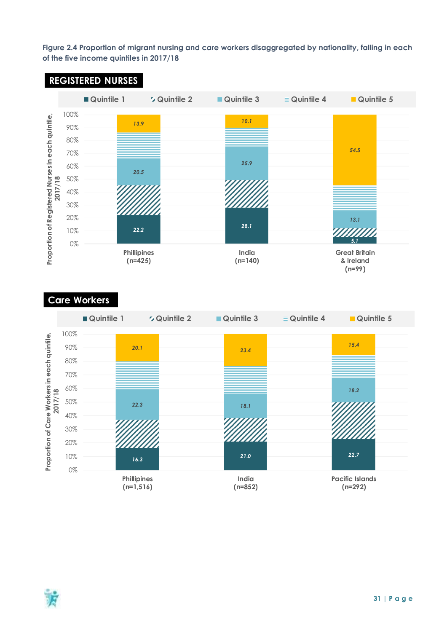<span id="page-30-0"></span>**Figure 2.4 Proportion of migrant nursing and care workers disaggregated by nationality, falling in each of the five income quintiles in 2017/18**



#### **Care Workers**



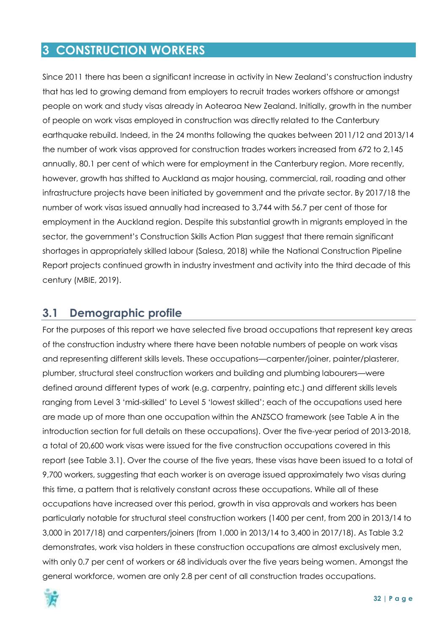## <span id="page-31-0"></span>**3 CONSTRUCTION WORKERS**

Since 2011 there has been a significant increase in activity in New Zealand's construction industry that has led to growing demand from employers to recruit trades workers offshore or amongst people on work and study visas already in Aotearoa New Zealand. Initially, growth in the number of people on work visas employed in construction was directly related to the Canterbury earthquake rebuild. Indeed, in the 24 months following the quakes between 2011/12 and 2013/14 the number of work visas approved for construction trades workers increased from 672 to 2,145 annually, 80.1 per cent of which were for employment in the Canterbury region. More recently, however, growth has shifted to Auckland as major housing, commercial, rail, roading and other infrastructure projects have been initiated by government and the private sector. By 2017/18 the number of work visas issued annually had increased to 3,744 with 56.7 per cent of those for employment in the Auckland region. Despite this substantial growth in migrants employed in the sector, the government's Construction Skills Action Plan suggest that there remain significant shortages in appropriately skilled labour (Salesa, 2018) while the National Construction Pipeline Report projects continued growth in industry investment and activity into the third decade of this century (MBIE, 2019).

## <span id="page-31-1"></span>**3.1 Demographic profile**

For the purposes of this report we have selected five broad occupations that represent key areas of the construction industry where there have been notable numbers of people on work visas and representing different skills levels. These occupations—carpenter/joiner, painter/plasterer, plumber, structural steel construction workers and building and plumbing labourers—were defined around different types of work (e.g. carpentry, painting etc.) and different skills levels ranging from Level 3 'mid-skilled' to Level 5 'lowest skilled'; each of the occupations used here are made up of more than one occupation within the ANZSCO framework (see Table A in the introduction section for full details on these occupations). Over the five-year period of 2013-2018, a total of 20,600 work visas were issued for the five construction occupations covered in this report (see Table 3.1). Over the course of the five years, these visas have been issued to a total of 9,700 workers, suggesting that each worker is on average issued approximately two visas during this time, a pattern that is relatively constant across these occupations. While all of these occupations have increased over this period, growth in visa approvals and workers has been particularly notable for structural steel construction workers (1400 per cent, from 200 in 2013/14 to 3,000 in 2017/18) and carpenters/joiners (from 1,000 in 2013/14 to 3,400 in 2017/18). As Table 3.2 demonstrates, work visa holders in these construction occupations are almost exclusively men, with only 0.7 per cent of workers or 68 individuals over the five years being women. Amongst the general workforce, women are only 2.8 per cent of all construction trades occupations.

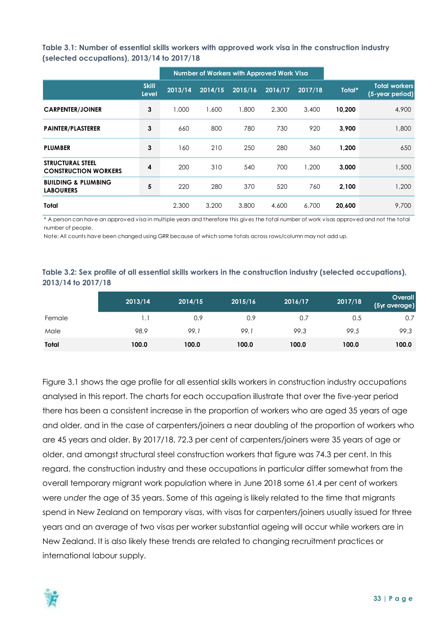<span id="page-32-0"></span>**Table 3.1: Number of essential skills workers with approved work visa in the construction industry (selected occupations), 2013/14 to 2017/18**

|                                                        |                              | Number of Workers with Approved Work Visa |         |         |         |         |        |                                         |
|--------------------------------------------------------|------------------------------|-------------------------------------------|---------|---------|---------|---------|--------|-----------------------------------------|
|                                                        | <b>Skill</b><br><b>Level</b> | 2013/14                                   | 2014/15 | 2015/16 | 2016/17 | 2017/18 | Total* | <b>Total workers</b><br>(5-year period) |
| <b>CARPENTER/JOINER</b>                                | 3                            | 1,000                                     | 1,600   | 1,800   | 2,300   | 3,400   | 10,200 | 4,900                                   |
| <b>PAINTER/PLASTERER</b>                               | 3                            | 660                                       | 800     | 780     | 730     | 920     | 3,900  | 1,800                                   |
| <b>PLUMBER</b>                                         | 3                            | 160                                       | 210     | 250     | 280     | 360     | 1,200  | 650                                     |
| <b>STRUCTURAL STEEL</b><br><b>CONSTRUCTION WORKERS</b> | 4                            | 200                                       | 310     | 540     | 700     | 1,200   | 3,000  | 1,500                                   |
| <b>BUILDING &amp; PLUMBING</b><br><b>LABOURERS</b>     | 5                            | 220                                       | 280     | 370     | 520     | 760     | 2,100  | 1,200                                   |
| <b>Total</b>                                           |                              | 2,300                                     | 3,200   | 3,800   | 4,600   | 6.700   | 20,600 | 9,700                                   |

\* A person can have an approved visa in multiple years and therefore this gives the total number of work visas approved and not the total number of people.

Note: All counts have been changed using GRR because of which some totals across rows/column may not add up.

#### <span id="page-32-1"></span>**Table 3.2: Sex profile of all essential skills workers in the construction industry (selected occupations), 2013/14 to 2017/18**

|        | 2013/14 | 2014/15 | 2015/16 | 2016/17 | 2017/18 | Overall<br>(5yr average) |
|--------|---------|---------|---------|---------|---------|--------------------------|
| Female | 1.1     | 0.9     | 0.9     | 0.7     | 0.5     | 0.7                      |
| Male   | 98.9    | 99.1    | 99.1    | 99.3    | 99.5    | 99.3                     |
| Total  | 100.0   | 100.0   | 100.0   | 100.0   | 100.0   | 100.0                    |

Figure 3.1 shows the age profile for all essential skills workers in construction industry occupations analysed in this report. The charts for each occupation illustrate that over the five-year period there has been a consistent increase in the proportion of workers who are aged 35 years of age and older, and in the case of carpenters/joiners a near doubling of the proportion of workers who are 45 years and older. By 2017/18, 72.3 per cent of carpenters/joiners were 35 years of age or older, and amongst structural steel construction workers that figure was 74.3 per cent. In this regard, the construction industry and these occupations in particular differ somewhat from the overall temporary migrant work population where in June 2018 some 61.4 per cent of workers were *under* the age of 35 years. Some of this ageing is likely related to the time that migrants spend in New Zealand on temporary visas, with visas for carpenters/joiners usually issued for three years and an average of two visas per worker substantial ageing will occur while workers are in New Zealand. It is also likely these trends are related to changing recruitment practices or international labour supply.

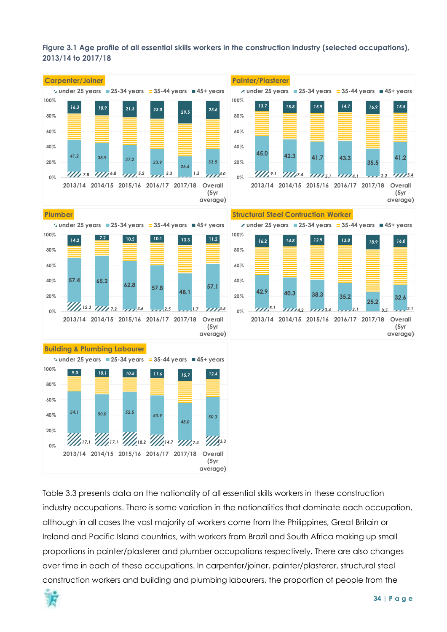#### <span id="page-33-0"></span>**Figure 3.1 Age profile of all essential skills workers in the construction industry (selected occupations), 2013/14 to 2017/18**



**average)**

Table 3.3 presents data on the nationality of all essential skills workers in these construction industry occupations. There is some variation in the nationalities that dominate each occupation, although in all cases the vast majority of workers come from the Philippines, Great Britain or Ireland and Pacific Island countries, with workers from Brazil and South Africa making up small proportions in painter/plasterer and plumber occupations respectively. There are also changes over time in each of these occupations. In carpenter/joiner, painter/plasterer, structural steel construction workers and building and plumbing labourers, the proportion of people from the

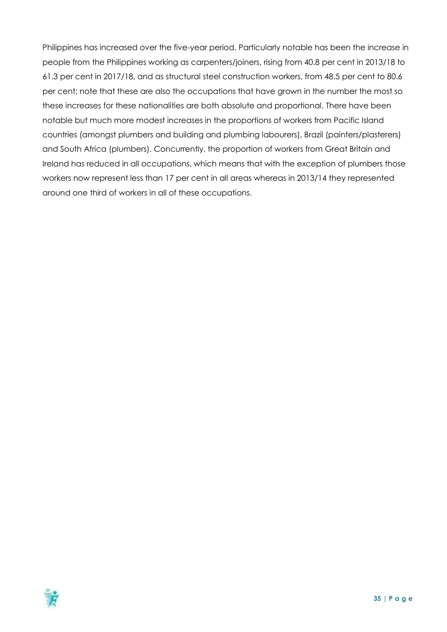Philippines has increased over the five-year period. Particularly notable has been the increase in people from the Philippines working as carpenters/joiners, rising from 40.8 per cent in 2013/18 to 61.3 per cent in 2017/18, and as structural steel construction workers, from 48.5 per cent to 80.6 per cent; note that these are also the occupations that have grown in the number the most so these increases for these nationalities are both absolute and proportional. There have been notable but much more modest increases in the proportions of workers from Pacific Island countries (amongst plumbers and building and plumbing labourers), Brazil (painters/plasterers) and South Africa (plumbers). Concurrently, the proportion of workers from Great Britain and Ireland has reduced in all occupations, which means that with the exception of plumbers those workers now represent less than 17 per cent in all areas whereas in 2013/14 they represented around one third of workers in all of these occupations.

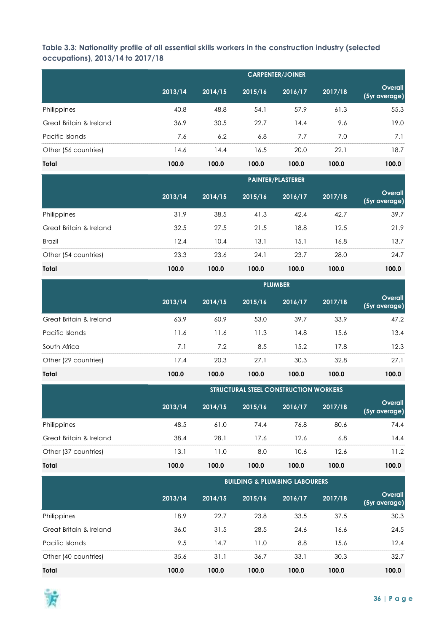<span id="page-35-0"></span>**Table 3.3: Nationality profile of all essential skills workers in the construction industry (selected occupations), 2013/14 to 2017/18**

|                         | <b>CARPENTER/JOINER</b> |         |         |         |         |                                 |
|-------------------------|-------------------------|---------|---------|---------|---------|---------------------------------|
|                         | 2013/14                 | 2014/15 | 2015/16 | 2016/17 | 2017/18 | <b>Overall</b><br>(5yr average) |
| Philippines             | 40.8                    | 48.8    | 54.1    | 57.9    | 61.3    | 55.3                            |
| Great Britain & Ireland | 36.9                    | 30.5    | 22.7    | 14.4    | 9.6     | 19.0                            |
| Pacific Islands         | 7.6                     | 6.2     | 6.8     | 7.7     | 7.0     | 7.1                             |
| Other (56 countries)    | 14.6                    | 14.4    | 16.5    | 20.0    | 22.1    | 18.7                            |
| Total                   | 100.0                   | 100.0   | 100.0   | 100.0   | 100.0   | 100.0                           |

|                         |         | <b>PAINTER/PLASTERER</b> |         |         |         |                                 |  |
|-------------------------|---------|--------------------------|---------|---------|---------|---------------------------------|--|
|                         | 2013/14 | 2014/15                  | 2015/16 | 2016/17 | 2017/18 | <b>Overall</b><br>(5yr average) |  |
| Philippines             | 31.9    | 38.5                     | 41.3    | 42.4    | 42.7    | 39.7                            |  |
| Great Britain & Ireland | 32.5    | 27.5                     | 21.5    | 18.8    | 12.5    | 21.9                            |  |
| <b>Brazil</b>           | 12.4    | 10.4                     | 13.1    | 15.1    | 16.8    | 13.7                            |  |
| Other (54 countries)    | 23.3    | 23.6                     | 24.1    | 23.7    | 28.0    | 24.7                            |  |
| Total                   | 100.0   | 100.0                    | 100.0   | 100.0   | 100.0   | 100.0                           |  |

|                         |         | <b>PLUMBER</b> |         |         |         |                          |  |
|-------------------------|---------|----------------|---------|---------|---------|--------------------------|--|
|                         | 2013/14 | 2014/15        | 2015/16 | 2016/17 | 2017/18 | Overall<br>(5yr average) |  |
| Great Britain & Ireland | 63.9    | 60.9           | 53.0    | 39.7    | 33.9    | 47.2                     |  |
| Pacific Islands         | 11.6    | 11.6           | 11.3    | 14.8    | 5.6     | 13.4                     |  |
| South Africa            | 7.1     | 7.2            | 8.5     | 15.2    | 17.8    | 12.3                     |  |
| Other (29 countries)    | 17.4    | 20.3           | 27.1    | 30.3    | 32.8    | 27.1                     |  |
| Total                   | 100.0   | 100.0          | 100.0   | 100.0   | 100.0   | 100.0                    |  |

|                         |         | <b>STRUCTURAL STEEL CONSTRUCTION WORKERS</b> |         |         |         |                                 |  |
|-------------------------|---------|----------------------------------------------|---------|---------|---------|---------------------------------|--|
|                         | 2013/14 | 2014/15                                      | 2015/16 | 2016/17 | 2017/18 | <b>Overall</b><br>(5yr average) |  |
| Philippines             | 48.5    | 61.0                                         | 74.4    | 76.8    | 80.6    | 74.4                            |  |
| Great Britain & Ireland | 38.4    | 28.1                                         | 17.6    | 12.6    | 6.8     | 4.4                             |  |
| Other (37 countries)    | 3.1     | 11.0                                         | 8.0     | 10.6    | 12.6    | 11.2                            |  |
| Total                   | 100.0   | 100.0                                        | 100.0   | 100.0   | 100.0   | 100.0                           |  |

|                         |         | <b>BUILDING &amp; PLUMBING LABOURERS</b> |         |         |         |                          |  |
|-------------------------|---------|------------------------------------------|---------|---------|---------|--------------------------|--|
|                         | 2013/14 | 2014/15                                  | 2015/16 | 2016/17 | 2017/18 | Overall<br>(5yr average) |  |
| Philippines             | 18.9    | 22.7                                     | 23.8    | 33.5    | 37.5    | 30.3                     |  |
| Great Britain & Ireland | 36.0    | 31.5                                     | 28.5    | 24.6    | 16.6    | 24.5                     |  |
| Pacific Islands         | 9.5     | 14.7                                     | 11.0    | 8.8     | 15.6    | 12.4                     |  |
| Other (40 countries)    | 35.6    | 31.1                                     | 36.7    | 33.1    | 30.3    | 32.7                     |  |
| Total                   | 100.0   | 100.0                                    | 100.0   | 100.0   | 100.0   | 100.0                    |  |

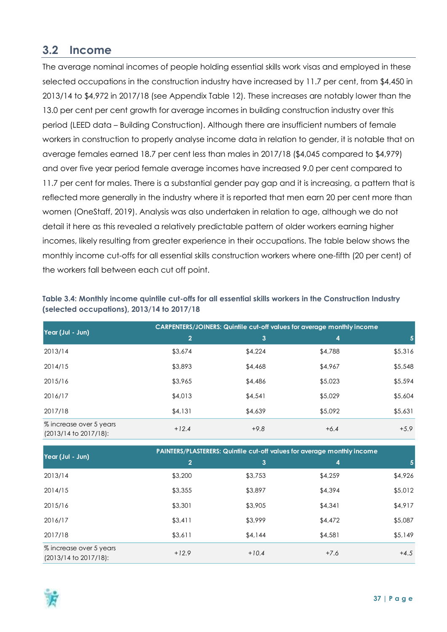## <span id="page-36-0"></span>**3.2 Income**

The average nominal incomes of people holding essential skills work visas and employed in these selected occupations in the construction industry have increased by 11.7 per cent, from \$4,450 in 2013/14 to \$4,972 in 2017/18 (see Appendix Table 12). These increases are notably lower than the 13.0 per cent per cent growth for average incomes in building construction industry over this period (LEED data – Building Construction). Although there are insufficient numbers of female workers in construction to properly analyse income data in relation to gender, it is notable that on average females earned 18.7 per cent less than males in 2017/18 (\$4,045 compared to \$4,979) and over five year period female average incomes have increased 9.0 per cent compared to 11.7 per cent for males. There is a substantial gender pay gap and it is increasing, a pattern that is reflected more generally in the industry where it is reported that men earn 20 per cent more than women (OneStaff, 2019). Analysis was also undertaken in relation to age, although we do not detail it here as this revealed a relatively predictable pattern of older workers earning higher incomes, likely resulting from greater experience in their occupations. The table below shows the monthly income cut-offs for all essential skills construction workers where one-fifth (20 per cent) of the workers fall between each cut off point.

<span id="page-36-1"></span>

| Table 3.4: Monthly income quintile cut-offs for all essential skills workers in the Construction Industry |  |
|-----------------------------------------------------------------------------------------------------------|--|
| (selected occupations), 2013/14 to 2017/18                                                                |  |

|                                                  | <b>CARPENTERS/JOINERS: Quintile cut-off values for average monthly income</b> |         |         |         |  |  |
|--------------------------------------------------|-------------------------------------------------------------------------------|---------|---------|---------|--|--|
| Year (Jul - Jun)                                 | $\overline{2}$                                                                | 3       | 4       | 5.      |  |  |
| 2013/14                                          | \$3,674                                                                       | \$4,224 | \$4,788 | \$5,316 |  |  |
| 2014/15                                          | \$3,893                                                                       | \$4,468 | \$4,967 | \$5,548 |  |  |
| 2015/16                                          | \$3,965                                                                       | \$4,486 | \$5,023 | \$5,594 |  |  |
| 2016/17                                          | \$4,013                                                                       | \$4,54] | \$5,029 | \$5,604 |  |  |
| 2017/18                                          | \$4,131                                                                       | \$4,639 | \$5,092 | \$5,631 |  |  |
| % increase over 5 years<br>(2013/14 to 2017/18): | $+12.4$                                                                       | $+9.8$  | $+6.4$  | $+5.9$  |  |  |

|                                                       | PAINTERS/PLASTERERS: Quintile cut-off values for average monthly income |         |         |         |  |  |  |
|-------------------------------------------------------|-------------------------------------------------------------------------|---------|---------|---------|--|--|--|
| Year (Jul - Jun)                                      | $\overline{2}$                                                          | 3       | 4       | 5       |  |  |  |
| 2013/14                                               | \$3,200                                                                 | \$3,753 | \$4,259 | \$4,926 |  |  |  |
| 2014/15                                               | \$3,355                                                                 | \$3,897 | \$4,394 | \$5,012 |  |  |  |
| 2015/16                                               | \$3,301                                                                 | \$3,905 | \$4,341 | \$4,917 |  |  |  |
| 2016/17                                               | \$3,411                                                                 | \$3,999 | \$4,472 | \$5,087 |  |  |  |
| 2017/18                                               | \$3,611                                                                 | \$4,144 | \$4,581 | \$5,149 |  |  |  |
| % increase over 5 years<br>$(2013/14$ to $2017/18$ ): | $+12.9$                                                                 | $+10.4$ | $+7.6$  | $+4.5$  |  |  |  |

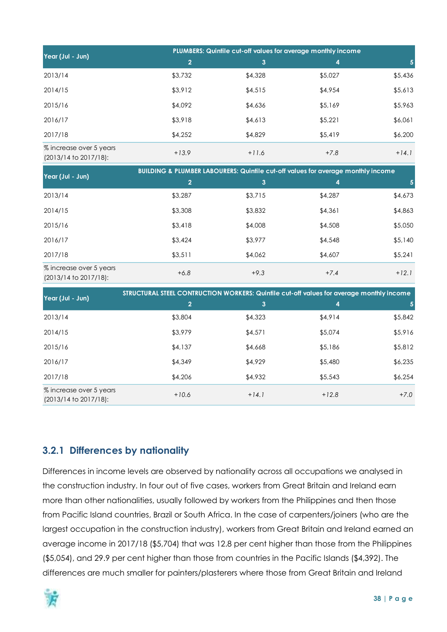|                                                       | PLUMBERS: Quintile cut-off values for average monthly income |         |         |         |  |  |
|-------------------------------------------------------|--------------------------------------------------------------|---------|---------|---------|--|--|
| Year (Jul - Jun)                                      | 2                                                            | 3       | 4       |         |  |  |
| 2013/14                                               | \$3,732                                                      | \$4,328 | \$5,027 | \$5,436 |  |  |
| 2014/15                                               | \$3,912                                                      | \$4,515 | \$4,954 | \$5,613 |  |  |
| 2015/16                                               | \$4,092                                                      | \$4,636 | \$5,169 | \$5,963 |  |  |
| 2016/17                                               | \$3,918                                                      | \$4,613 | \$5,221 | \$6,061 |  |  |
| 2017/18                                               | \$4,252                                                      | \$4,829 | \$5,419 | \$6,200 |  |  |
| % increase over 5 years<br>$(2013/14$ to $2017/18$ ): | $+13.9$                                                      | $+11.6$ | $+7.8$  | $+14.1$ |  |  |

| Year (Jul - Jun)                                      | <b>BUILDING &amp; PLUMBER LABOURERS: Quintile cut-off values for average monthly income</b> |         |         |         |  |  |  |
|-------------------------------------------------------|---------------------------------------------------------------------------------------------|---------|---------|---------|--|--|--|
|                                                       | $\overline{2}$                                                                              | 3       | 4       |         |  |  |  |
| 2013/14                                               | \$3,287                                                                                     | \$3,715 | \$4,287 | \$4,673 |  |  |  |
| 2014/15                                               | \$3,308                                                                                     | \$3,832 | \$4,361 | \$4,863 |  |  |  |
| 2015/16                                               | \$3,418                                                                                     | \$4,008 | \$4,508 | \$5,050 |  |  |  |
| 2016/17                                               | \$3,424                                                                                     | \$3,977 | \$4,548 | \$5,140 |  |  |  |
| 2017/18                                               | \$3,511                                                                                     | \$4,062 | \$4,607 | \$5,241 |  |  |  |
| % increase over 5 years<br>$(2013/14$ to $2017/18)$ : | $+6.8$                                                                                      | $+9.3$  | $+7.4$  | $+12.1$ |  |  |  |

| Year (Jul - Jun)                                      | STRUCTURAL STEEL CONTRUCTION WORKERS: Quintile cut-off values for average monthly income |                |         |         |  |  |  |  |
|-------------------------------------------------------|------------------------------------------------------------------------------------------|----------------|---------|---------|--|--|--|--|
|                                                       | $\overline{2}$                                                                           | $\overline{3}$ | 4       |         |  |  |  |  |
| 2013/14                                               | \$3,804                                                                                  | \$4,323        | \$4,914 | \$5,842 |  |  |  |  |
| 2014/15                                               | \$3,979                                                                                  | \$4,571        | \$5,074 | \$5,916 |  |  |  |  |
| 2015/16                                               | \$4,137                                                                                  | \$4,668        | \$5,186 | \$5,812 |  |  |  |  |
| 2016/17                                               | \$4,349                                                                                  | \$4,929        | \$5,480 | \$6,235 |  |  |  |  |
| 2017/18                                               | \$4,206                                                                                  | \$4,932        | \$5,543 | \$6,254 |  |  |  |  |
| % increase over 5 years<br>$(2013/14$ to $2017/18$ ): | $+10.6$                                                                                  | $+14.1$        | $+12.8$ | $+7.0$  |  |  |  |  |

## <span id="page-37-0"></span>**3.2.1 Differences by nationality**

Differences in income levels are observed by nationality across all occupations we analysed in the construction industry. In four out of five cases, workers from Great Britain and Ireland earn more than other nationalities, usually followed by workers from the Philippines and then those from Pacific Island countries, Brazil or South Africa. In the case of carpenters/joiners (who are the largest occupation in the construction industry), workers from Great Britain and Ireland earned an average income in 2017/18 (\$5,704) that was 12.8 per cent higher than those from the Philippines (\$5,054), and 29.9 per cent higher than those from countries in the Pacific Islands (\$4,392). The differences are much smaller for painters/plasterers where those from Great Britain and Ireland

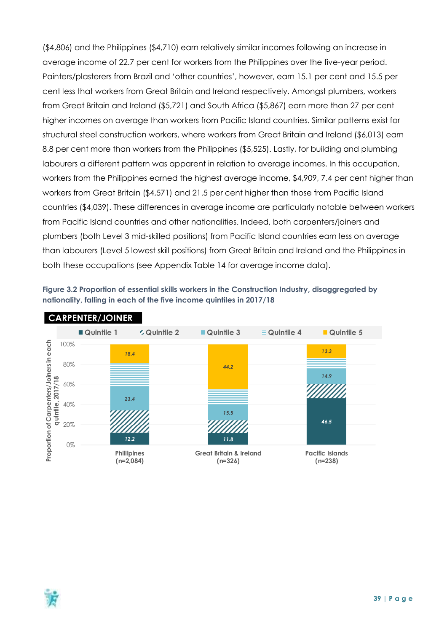(\$4,806) and the Philippines (\$4,710) earn relatively similar incomes following an increase in average income of 22.7 per cent for workers from the Philippines over the five-year period. Painters/plasterers from Brazil and 'other countries', however, earn 15.1 per cent and 15.5 per cent less that workers from Great Britain and Ireland respectively. Amongst plumbers, workers from Great Britain and Ireland (\$5,721) and South Africa (\$5,867) earn more than 27 per cent higher incomes on average than workers from Pacific Island countries. Similar patterns exist for structural steel construction workers, where workers from Great Britain and Ireland (\$6,013) earn 8.8 per cent more than workers from the Philippines (\$5,525). Lastly, for building and plumbing labourers a different pattern was apparent in relation to average incomes. In this occupation, workers from the Philippines earned the highest average income, \$4,909, 7.4 per cent higher than workers from Great Britain (\$4,571) and 21.5 per cent higher than those from Pacific Island countries (\$4,039). These differences in average income are particularly notable between workers from Pacific Island countries and other nationalities. Indeed, both carpenters/joiners and plumbers (both Level 3 mid-skilled positions) from Pacific Island countries earn less on average than labourers (Level 5 lowest skill positions) from Great Britain and Ireland and the Philippines in both these occupations (see Appendix Table 14 for average income data).

<span id="page-38-0"></span>



#### **CARPENTER/JOINER**

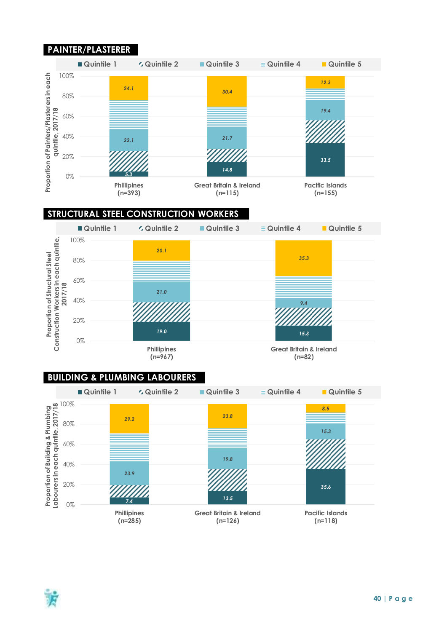## **PAINTER/PLASTERER**



#### **STRUCTURAL STEEL CONSTRUCTION WORKERS**



#### **BUILDING & PLUMBING LABOURERS**



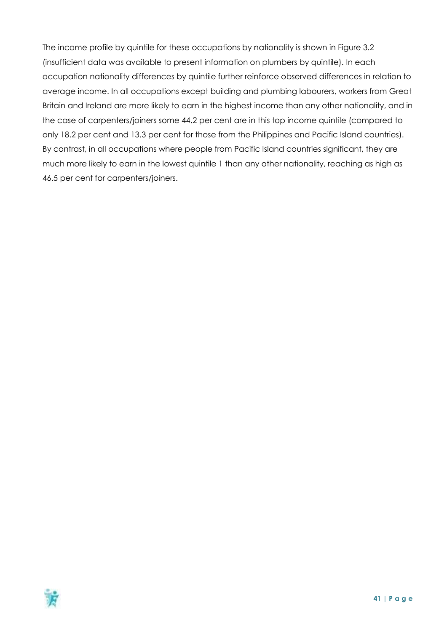The income profile by quintile for these occupations by nationality is shown in Figure 3.2 (insufficient data was available to present information on plumbers by quintile). In each occupation nationality differences by quintile further reinforce observed differences in relation to average income. In all occupations except building and plumbing labourers, workers from Great Britain and Ireland are more likely to earn in the highest income than any other nationality, and in the case of carpenters/joiners some 44.2 per cent are in this top income quintile (compared to only 18.2 per cent and 13.3 per cent for those from the Philippines and Pacific Island countries). By contrast, in all occupations where people from Pacific Island countries significant, they are much more likely to earn in the lowest quintile 1 than any other nationality, reaching as high as 46.5 per cent for carpenters/joiners.

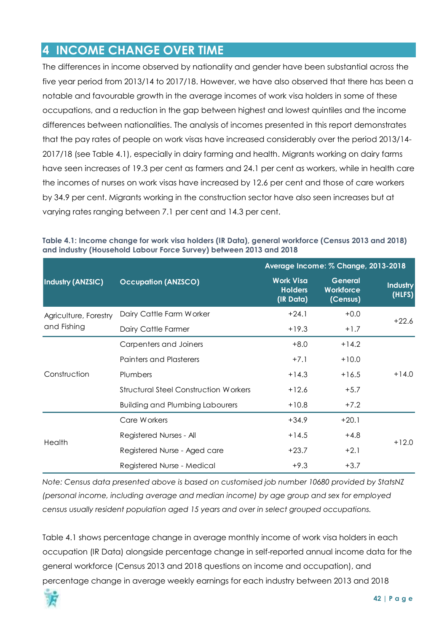## <span id="page-41-0"></span>**4 INCOME CHANGE OVER TIME**

The differences in income observed by nationality and gender have been substantial across the five year period from 2013/14 to 2017/18. However, we have also observed that there has been a notable and favourable growth in the average incomes of work visa holders in some of these occupations, and a reduction in the gap between highest and lowest quintiles and the income differences between nationalities. The analysis of incomes presented in this report demonstrates that the pay rates of people on work visas have increased considerably over the period 2013/14- 2017/18 (see Table 4.1), especially in dairy farming and health. Migrants working on dairy farms have seen increases of 19.3 per cent as farmers and 24.1 per cent as workers, while in health care the incomes of nurses on work visas have increased by 12.6 per cent and those of care workers by 34.9 per cent. Migrants working in the construction sector have also seen increases but at varying rates ranging between 7.1 per cent and 14.3 per cent.

|                          |                                              |                                                 | Average Income: % Change, 2013-2018            |                    |
|--------------------------|----------------------------------------------|-------------------------------------------------|------------------------------------------------|--------------------|
| <b>Industry (ANZSIC)</b> | <b>Occupation (ANZSCO)</b>                   | <b>Work Visa</b><br><b>Holders</b><br>(IR Data) | <b>General</b><br><b>Workforce</b><br>(Census) | Industry<br>(HLFS) |
| Agriculture, Forestry    | Dairy Cattle Farm Worker                     | $+24.1$                                         | $+0.0$                                         | $+22.6$            |
| and Fishing              | Dairy Cattle Farmer                          | $+19.3$                                         | $+1.7$                                         |                    |
|                          | Carpenters and Joiners                       | $+8.0$                                          | $+14.2$                                        |                    |
|                          | <b>Painters and Plasterers</b>               | $+7.1$                                          | $+10.0$                                        |                    |
| Construction             | Plumbers                                     | $+14.3$                                         | $+16.5$                                        | $+14.0$            |
|                          | <b>Structural Steel Construction Workers</b> | $+12.6$                                         | $+5.7$                                         |                    |
|                          | <b>Building and Plumbing Labourers</b>       | $+10.8$                                         | $+7.2$                                         |                    |
|                          | Care Workers                                 | $+34.9$                                         | $+20.1$                                        |                    |
| Health                   | Registered Nurses - All                      | $+14.5$                                         | $+4.8$                                         | $+12.0$            |
|                          | Registered Nurse - Aged care                 | $+23.7$                                         | $+2.1$                                         |                    |
|                          | Registered Nurse - Medical                   | $+9.3$                                          | $+3.7$                                         |                    |

<span id="page-41-1"></span>**Table 4.1: Income change for work visa holders (IR Data), general workforce (Census 2013 and 2018) and industry (Household Labour Force Survey) between 2013 and 2018**

*Note: Census data presented above is based on customised job number 10680 provided by StatsNZ (personal income, including average and median income) by age group and sex for employed census usually resident population aged 15 years and over in select grouped occupations.*

Table 4.1 shows percentage change in average monthly income of work visa holders in each occupation (IR Data) alongside percentage change in self-reported annual income data for the general workforce (Census 2013 and 2018 questions on income and occupation), and percentage change in average weekly earnings for each industry between 2013 and 2018

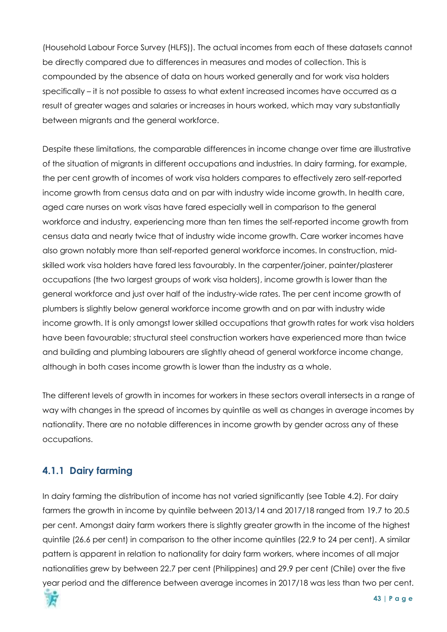(Household Labour Force Survey (HLFS)). The actual incomes from each of these datasets cannot be directly compared due to differences in measures and modes of collection. This is compounded by the absence of data on hours worked generally and for work visa holders specifically – it is not possible to assess to what extent increased incomes have occurred as a result of greater wages and salaries or increases in hours worked, which may vary substantially between migrants and the general workforce.

Despite these limitations, the comparable differences in income change over time are illustrative of the situation of migrants in different occupations and industries. In dairy farming, for example, the per cent growth of incomes of work visa holders compares to effectively zero self-reported income growth from census data and on par with industry wide income growth. In health care, aged care nurses on work visas have fared especially well in comparison to the general workforce and industry, experiencing more than ten times the self-reported income growth from census data and nearly twice that of industry wide income growth. Care worker incomes have also grown notably more than self-reported general workforce incomes. In construction, midskilled work visa holders have fared less favourably. In the carpenter/joiner, painter/plasterer occupations (the two largest groups of work visa holders), income growth is lower than the general workforce and just over half of the industry-wide rates. The per cent income growth of plumbers is slightly below general workforce income growth and on par with industry wide income growth. It is only amongst lower skilled occupations that growth rates for work visa holders have been favourable; structural steel construction workers have experienced more than twice and building and plumbing labourers are slightly ahead of general workforce income change, although in both cases income growth is lower than the industry as a whole.

The different levels of growth in incomes for workers in these sectors overall intersects in a range of way with changes in the spread of incomes by quintile as well as changes in average incomes by nationality. There are no notable differences in income growth by gender across any of these occupations.

## <span id="page-42-0"></span>**4.1.1 Dairy farming**

In dairy farming the distribution of income has not varied significantly (see Table 4.2). For dairy farmers the growth in income by quintile between 2013/14 and 2017/18 ranged from 19.7 to 20.5 per cent. Amongst dairy farm workers there is slightly greater growth in the income of the highest quintile (26.6 per cent) in comparison to the other income quintiles (22.9 to 24 per cent). A similar pattern is apparent in relation to nationality for dairy farm workers, where incomes of all major nationalities grew by between 22.7 per cent (Philippines) and 29.9 per cent (Chile) over the five year period and the difference between average incomes in 2017/18 was less than two per cent.

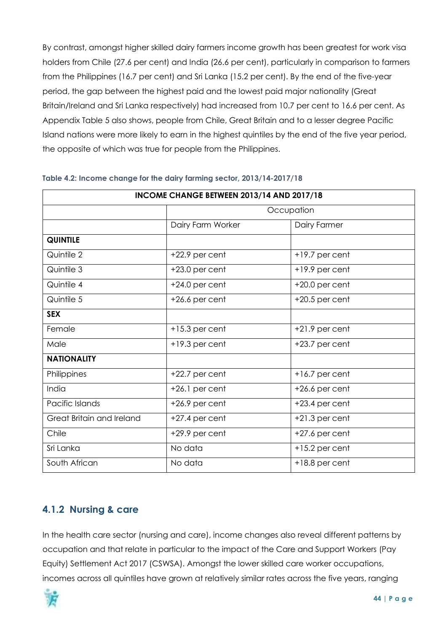By contrast, amongst higher skilled dairy farmers income growth has been greatest for work visa holders from Chile (27.6 per cent) and India (26.6 per cent), particularly in comparison to farmers from the Philippines (16.7 per cent) and Sri Lanka (15.2 per cent). By the end of the five-year period, the gap between the highest paid and the lowest paid major nationality (Great Britain/Ireland and Sri Lanka respectively) had increased from 10.7 per cent to 16.6 per cent. As Appendix Table 5 also shows, people from Chile, Great Britain and to a lesser degree Pacific Island nations were more likely to earn in the highest quintiles by the end of the five year period, the opposite of which was true for people from the Philippines.

|                           | INCOME CHANGE BETWEEN 2013/14 AND 2017/18 |                  |
|---------------------------|-------------------------------------------|------------------|
|                           |                                           | Occupation       |
|                           | Dairy Farm Worker                         | Dairy Farmer     |
| <b>QUINTILE</b>           |                                           |                  |
| Quintile 2                | $+22.9$ per cent                          | +19.7 per cent   |
| Quintile 3                | $+23.0$ per cent                          | +19.9 per cent   |
| Quintile 4                | $+24.0$ per cent                          | $+20.0$ per cent |
| Quintile 5                | $+26.6$ per cent                          | $+20.5$ per cent |
| <b>SEX</b>                |                                           |                  |
| Female                    | $+15.3$ per cent                          | $+21.9$ per cent |
| Male                      | $+19.3$ per cent                          | $+23.7$ per cent |
| <b>NATIONALITY</b>        |                                           |                  |
| Philippines               | $+22.7$ per cent                          | $+16.7$ per cent |
| India                     | +26.1 per cent                            | $+26.6$ per cent |
| Pacific Islands           | $+26.9$ per cent                          | $+23.4$ per cent |
| Great Britain and Ireland | $+27.4$ per cent                          | $+21.3$ per cent |
| Chile                     | +29.9 per cent                            | $+27.6$ per cent |
| Sri Lanka                 | No data                                   | $+15.2$ per cent |
| South African             | No data                                   | +18.8 per cent   |

#### <span id="page-43-1"></span>**Table 4.2: Income change for the dairy farming sector, 2013/14-2017/18**

#### <span id="page-43-0"></span>**4.1.2 Nursing & care**

In the health care sector (nursing and care), income changes also reveal different patterns by occupation and that relate in particular to the impact of the Care and Support Workers (Pay Equity) Settlement Act 2017 (CSWSA). Amongst the lower skilled care worker occupations, incomes across all quintiles have grown at relatively similar rates across the five years, ranging

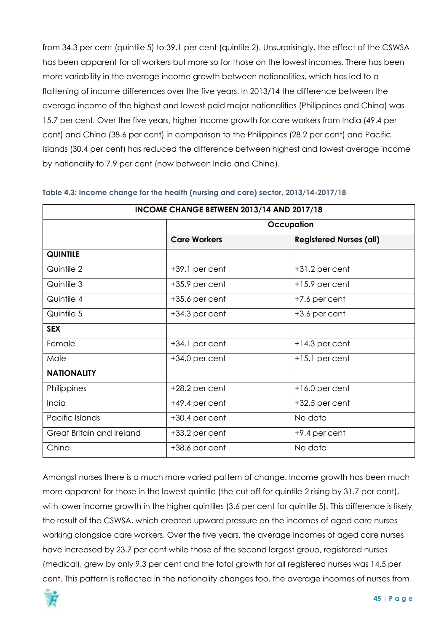from 34.3 per cent (quintile 5) to 39.1 per cent (quintile 2). Unsurprisingly, the effect of the CSWSA has been apparent for all workers but more so for those on the lowest incomes. There has been more variability in the average income growth between nationalities, which has led to a flattening of income differences over the five years. In 2013/14 the difference between the average income of the highest and lowest paid major nationalities (Philippines and China) was 15.7 per cent. Over the five years, higher income growth for care workers from India (49.4 per cent) and China (38.6 per cent) in comparison to the Philippines (28.2 per cent) and Pacific Islands (30.4 per cent) has reduced the difference between highest and lowest average income by nationality to 7.9 per cent (now between India and China).

|                           | INCOME CHANGE BETWEEN 2013/14 AND 2017/18 |                                |
|---------------------------|-------------------------------------------|--------------------------------|
|                           |                                           | Occupation                     |
|                           | <b>Care Workers</b>                       | <b>Registered Nurses (all)</b> |
| <b>QUINTILE</b>           |                                           |                                |
| Quintile 2                | +39.1 per cent                            | $+31.2$ per cent               |
| Quintile 3                | $+35.9$ per cent                          | $+15.9$ per cent               |
| Quintile 4                | $+35.6$ per cent                          | +7.6 per cent                  |
| Quintile 5                | $+34.3$ per cent                          | $+3.6$ per cent                |
| <b>SEX</b>                |                                           |                                |
| Female                    | $+34.1$ per cent                          | $+14.3$ per cent               |
| Male                      | $+34.0$ per cent                          | $+15.1$ per cent               |
| <b>NATIONALITY</b>        |                                           |                                |
| Philippines               | $+28.2$ per cent                          | $+16.0$ per cent               |
| India                     | +49.4 per cent                            | $+32.5$ per cent               |
| Pacific Islands           | $+30.4$ per cent                          | No data                        |
| Great Britain and Ireland | $+33.2$ per cent                          | +9.4 per cent                  |
| China                     | $+38.6$ per cent                          | No data                        |

#### <span id="page-44-0"></span>**Table 4.3: Income change for the health (nursing and care) sector, 2013/14-2017/18**

Amongst nurses there is a much more varied pattern of change. Income growth has been much more apparent for those in the lowest quintile (the cut off for quintile 2 rising by 31.7 per cent), with lower income growth in the higher quintiles (3.6 per cent for quintile 5). This difference is likely the result of the CSWSA, which created upward pressure on the incomes of aged care nurses working alongside care workers. Over the five years, the average incomes of aged care nurses have increased by 23.7 per cent while those of the second largest group, registered nurses (medical), grew by only 9.3 per cent and the total growth for all registered nurses was 14.5 per cent. This pattern is reflected in the nationality changes too, the average incomes of nurses from

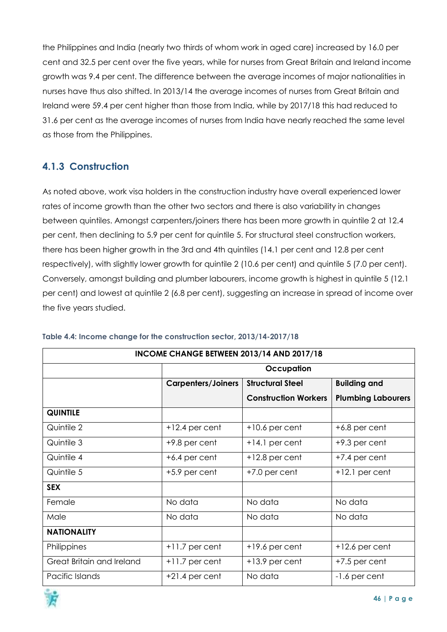the Philippines and India (nearly two thirds of whom work in aged care) increased by 16.0 per cent and 32.5 per cent over the five years, while for nurses from Great Britain and Ireland income growth was 9.4 per cent. The difference between the average incomes of major nationalities in nurses have thus also shifted. In 2013/14 the average incomes of nurses from Great Britain and Ireland were 59.4 per cent higher than those from India, while by 2017/18 this had reduced to 31.6 per cent as the average incomes of nurses from India have nearly reached the same level as those from the Philippines.

## <span id="page-45-0"></span>**4.1.3 Construction**

As noted above, work visa holders in the construction industry have overall experienced lower rates of income growth than the other two sectors and there is also variability in changes between quintiles. Amongst carpenters/joiners there has been more growth in quintile 2 at 12.4 per cent, then declining to 5.9 per cent for quintile 5. For structural steel construction workers, there has been higher growth in the 3rd and 4th quintiles (14.1 per cent and 12.8 per cent respectively), with slightly lower growth for quintile 2 (10.6 per cent) and quintile 5 (7.0 per cent). Conversely, amongst building and plumber labourers, income growth is highest in quintile 5 (12.1 per cent) and lowest at quintile 2 (6.8 per cent), suggesting an increase in spread of income over the five years studied.

|                           | INCOME CHANGE BETWEEN 2013/14 AND 2017/18 |                             |                           |  |  |  |  |  |  |  |  |  |
|---------------------------|-------------------------------------------|-----------------------------|---------------------------|--|--|--|--|--|--|--|--|--|
|                           |                                           | Occupation                  |                           |  |  |  |  |  |  |  |  |  |
|                           | <b>Carpenters/Joiners</b>                 | <b>Structural Steel</b>     | <b>Building and</b>       |  |  |  |  |  |  |  |  |  |
|                           |                                           | <b>Construction Workers</b> | <b>Plumbing Labourers</b> |  |  |  |  |  |  |  |  |  |
| <b>QUINTILE</b>           |                                           |                             |                           |  |  |  |  |  |  |  |  |  |
| Quintile 2                | $+12.4$ per cent                          | $+10.6$ per cent            | $+6.8$ per cent           |  |  |  |  |  |  |  |  |  |
| Quintile 3                | $+9.8$ per cent                           | $+14.1$ per cent            | $+9.3$ per cent           |  |  |  |  |  |  |  |  |  |
| Quintile 4                | $+6.4$ per cent                           | $+12.8$ per cent            | +7.4 per cent             |  |  |  |  |  |  |  |  |  |
| Quintile 5                | +5.9 per cent                             | $+7.0$ per cent             | $+12.1$ per cent          |  |  |  |  |  |  |  |  |  |
| <b>SEX</b>                |                                           |                             |                           |  |  |  |  |  |  |  |  |  |
| Female                    | No data                                   | No data                     | No data                   |  |  |  |  |  |  |  |  |  |
| Male                      | No data                                   | No data                     | No data                   |  |  |  |  |  |  |  |  |  |
| <b>NATIONALITY</b>        |                                           |                             |                           |  |  |  |  |  |  |  |  |  |
| Philippines               | $+11.7$ per cent                          | $+19.6$ per cent            | $+12.6$ per cent          |  |  |  |  |  |  |  |  |  |
| Great Britain and Ireland | $+11.7$ per cent                          | $+13.9$ per cent            | $+7.5$ per cent           |  |  |  |  |  |  |  |  |  |
| Pacific Islands           | $+21.4$ per cent                          | No data                     | -1.6 per cent             |  |  |  |  |  |  |  |  |  |

#### <span id="page-45-1"></span>**Table 4.4: Income change for the construction sector, 2013/14-2017/18**

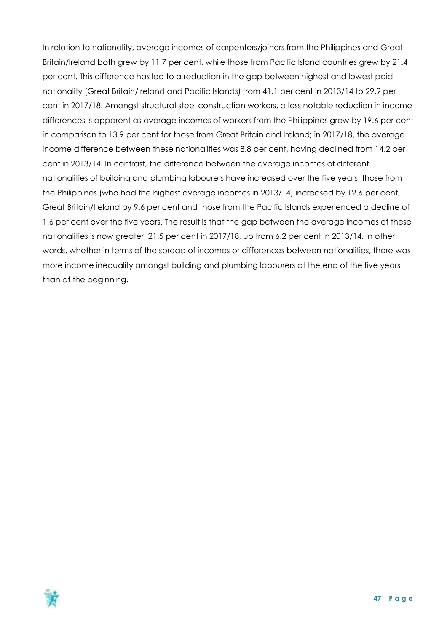In relation to nationality, average incomes of carpenters/joiners from the Philippines and Great Britain/Ireland both grew by 11.7 per cent, while those from Pacific Island countries grew by 21.4 per cent. This difference has led to a reduction in the gap between highest and lowest paid nationality (Great Britain/Ireland and Pacific Islands) from 41.1 per cent in 2013/14 to 29.9 per cent in 2017/18. Amongst structural steel construction workers, a less notable reduction in income differences is apparent as average incomes of workers from the Philippines grew by 19.6 per cent in comparison to 13.9 per cent for those from Great Britain and Ireland; in 2017/18, the average income difference between these nationalities was 8.8 per cent, having declined from 14.2 per cent in 2013/14. In contrast, the difference between the average incomes of different nationalities of building and plumbing labourers have increased over the five years; those from the Philippines (who had the highest average incomes in 2013/14) increased by 12.6 per cent, Great Britain/Ireland by 9.6 per cent and those from the Pacific Islands experienced a decline of 1.6 per cent over the five years. The result is that the gap between the average incomes of these nationalities is now greater, 21.5 per cent in 2017/18, up from 6.2 per cent in 2013/14. In other words, whether in terms of the spread of incomes or differences between nationalities, there was more income inequality amongst building and plumbing labourers at the end of the five years than at the beginning.

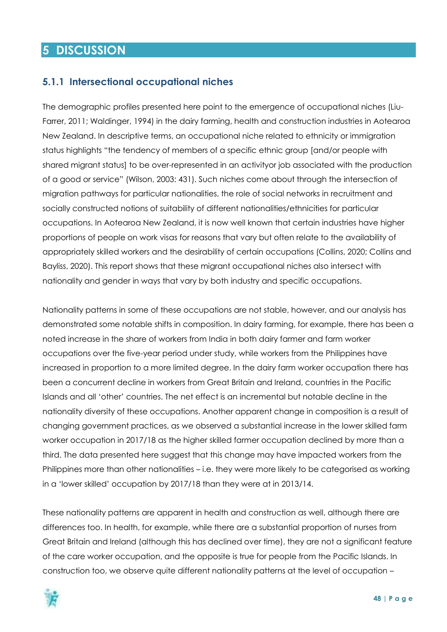## <span id="page-47-0"></span>**5 DISCUSSION**

#### <span id="page-47-1"></span>**5.1.1 Intersectional occupational niches**

The demographic profiles presented here point to the emergence of occupational niches (Liu-Farrer, 2011; Waldinger, 1994) in the dairy farming, health and construction industries in Aotearoa New Zealand. In descriptive terms, an occupational niche related to ethnicity or immigration status highlights "the tendency of members of a specific ethnic group [and/or people with shared migrant status] to be over-represented in an activityor job associated with the production of a good or service" (Wilson, 2003: 431). Such niches come about through the intersection of migration pathways for particular nationalities, the role of social networks in recruitment and socially constructed notions of suitability of different nationalities/ethnicities for particular occupations. In Aotearoa New Zealand, it is now well known that certain industries have higher proportions of people on work visas for reasons that vary but often relate to the availability of appropriately skilled workers and the desirability of certain occupations (Collins, 2020; Collins and Bayliss, 2020). This report shows that these migrant occupational niches also intersect with nationality and gender in ways that vary by both industry and specific occupations.

Nationality patterns in some of these occupations are not stable, however, and our analysis has demonstrated some notable shifts in composition. In dairy farming, for example, there has been a noted increase in the share of workers from India in both dairy farmer and farm worker occupations over the five-year period under study, while workers from the Philippines have increased in proportion to a more limited degree. In the dairy farm worker occupation there has been a concurrent decline in workers from Great Britain and Ireland, countries in the Pacific Islands and all 'other' countries. The net effect is an incremental but notable decline in the nationality diversity of these occupations. Another apparent change in composition is a result of changing government practices, as we observed a substantial increase in the lower skilled farm worker occupation in 2017/18 as the higher skilled farmer occupation declined by more than a third. The data presented here suggest that this change may have impacted workers from the Philippines more than other nationalities – i.e. they were more likely to be categorised as working in a 'lower skilled' occupation by 2017/18 than they were at in 2013/14.

These nationality patterns are apparent in health and construction as well, although there are differences too. In health, for example, while there are a substantial proportion of nurses from Great Britain and Ireland (although this has declined over time), they are not a significant feature of the care worker occupation, and the opposite is true for people from the Pacific Islands. In construction too, we observe quite different nationality patterns at the level of occupation –

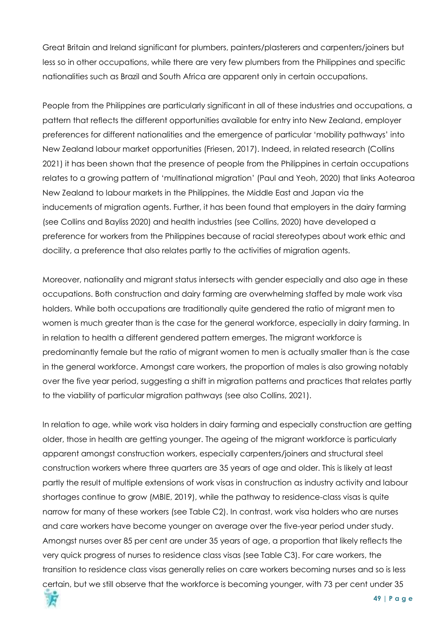Great Britain and Ireland significant for plumbers, painters/plasterers and carpenters/joiners but less so in other occupations, while there are very few plumbers from the Philippines and specific nationalities such as Brazil and South Africa are apparent only in certain occupations.

People from the Philippines are particularly significant in all of these industries and occupations, a pattern that reflects the different opportunities available for entry into New Zealand, employer preferences for different nationalities and the emergence of particular 'mobility pathways' into New Zealand labour market opportunities (Friesen, 2017). Indeed, in related research (Collins 2021) it has been shown that the presence of people from the Philippines in certain occupations relates to a growing pattern of 'multinational migration' (Paul and Yeoh, 2020) that links Aotearoa New Zealand to labour markets in the Philippines, the Middle East and Japan via the inducements of migration agents. Further, it has been found that employers in the dairy farming (see Collins and Bayliss 2020) and health industries (see Collins, 2020) have developed a preference for workers from the Philippines because of racial stereotypes about work ethic and docility, a preference that also relates partly to the activities of migration agents.

Moreover, nationality and migrant status intersects with gender especially and also age in these occupations. Both construction and dairy farming are overwhelming staffed by male work visa holders. While both occupations are traditionally quite gendered the ratio of migrant men to women is much greater than is the case for the general workforce, especially in dairy farming. In in relation to health a different gendered pattern emerges. The migrant workforce is predominantly female but the ratio of migrant women to men is actually smaller than is the case in the general workforce. Amongst care workers, the proportion of males is also growing notably over the five year period, suggesting a shift in migration patterns and practices that relates partly to the viability of particular migration pathways (see also Collins, 2021).

In relation to age, while work visa holders in dairy farming and especially construction are getting older, those in health are getting younger. The ageing of the migrant workforce is particularly apparent amongst construction workers, especially carpenters/joiners and structural steel construction workers where three quarters are 35 years of age and older. This is likely at least partly the result of multiple extensions of work visas in construction as industry activity and labour shortages continue to grow (MBIE, 2019), while the pathway to residence-class visas is quite narrow for many of these workers (see Table C2). In contrast, work visa holders who are nurses and care workers have become younger on average over the five-year period under study. Amongst nurses over 85 per cent are under 35 years of age, a proportion that likely reflects the very quick progress of nurses to residence class visas (see Table C3). For care workers, the transition to residence class visas generally relies on care workers becoming nurses and so is less certain, but we still observe that the workforce is becoming younger, with 73 per cent under 35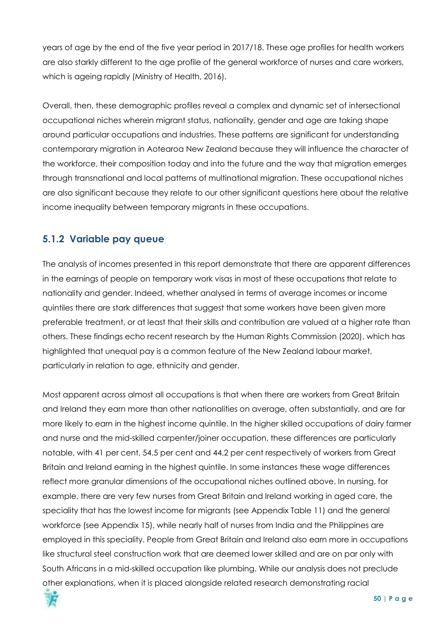years of age by the end of the five year period in 2017/18. These age profiles for health workers are also starkly different to the age profile of the general workforce of nurses and care workers, which is ageing rapidly (Ministry of Health, 2016).

Overall, then, these demographic profiles reveal a complex and dynamic set of intersectional occupational niches wherein migrant status, nationality, gender and age are taking shape around particular occupations and industries. These patterns are significant for understanding contemporary migration in Aotearoa New Zealand because they will influence the character of the workforce, their composition today and into the future and the way that migration emerges through transnational and local patterns of multinational migration. These occupational niches are also significant because they relate to our other significant questions here about the relative income inequality between temporary migrants in these occupations.

## <span id="page-49-0"></span>**5.1.2 Variable pay queue**

The analysis of incomes presented in this report demonstrate that there are apparent differences in the earnings of people on temporary work visas in most of these occupations that relate to nationality and gender. Indeed, whether analysed in terms of average incomes or income quintiles there are stark differences that suggest that some workers have been given more preferable treatment, or at least that their skills and contribution are valued at a higher rate than others. These findings echo recent research by the Human Rights Commission (2020), which has highlighted that unequal pay is a common feature of the New Zealand labour market, particularly in relation to age, ethnicity and gender.

Most apparent across almost all occupations is that when there are workers from Great Britain and Ireland they earn more than other nationalities on average, often substantially, and are far more likely to earn in the highest income quintile. In the higher skilled occupations of dairy farmer and nurse and the mid-skilled carpenter/joiner occupation, these differences are particularly notable, with 41 per cent, 54.5 per cent and 44.2 per cent respectively of workers from Great Britain and Ireland earning in the highest quintile. In some instances these wage differences reflect more granular dimensions of the occupational niches outlined above. In nursing, for example, there are very few nurses from Great Britain and Ireland working in aged care, the speciality that has the lowest income for migrants (see Appendix Table 11) and the general workforce (see Appendix 15), while nearly half of nurses from India and the Philippines are employed in this speciality. People from Great Britain and Ireland also earn more in occupations like structural steel construction work that are deemed lower skilled and are on par only with South Africans in a mid-skilled occupation like plumbing. While our analysis does not preclude other explanations, when it is placed alongside related research demonstrating racial

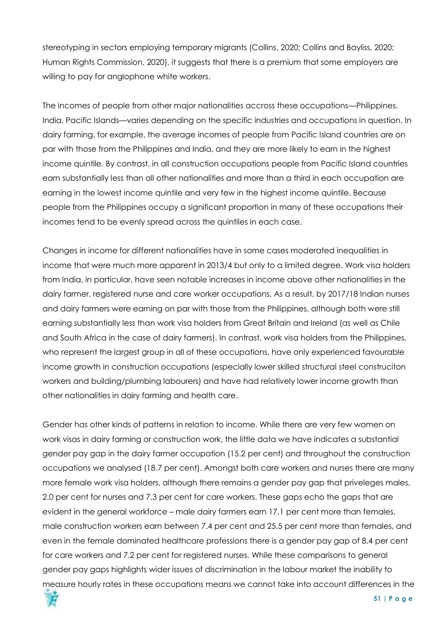stereotyping in sectors employing temporary migrants (Collins, 2020; Collins and Bayliss, 2020; Human Rights Commission, 2020), it suggests that there is a premium that some employers are willing to pay for anglophone white workers.

The incomes of people from other major nationalities accross these occupations—Philippines, India, Pacific Islands—varies depending on the specific industries and occupations in question. In dairy farming, for example, the average incomes of people from Pacific Island countries are on par with those from the Philippines and India, and they are more likely to earn in the highest income quintile. By contrast, in all construction occupations people from Pacific Island countries earn substantially less than all other nationalities and more than a third in each occupation are earning in the lowest income quintile and very few in the highest income quintile. Because people from the Philippines occupy a significant proportion in many of these occupations their incomes tend to be evenly spread across the quintiles in each case.

Changes in income for different nationalities have in some cases moderated inequalities in income that were much more apparent in 2013/4 but only to a limited degree. Work visa holders from India, in particular, have seen notable increases in income above other nationalities in the dairy farmer, registered nurse and care worker occupations. As a result, by 2017/18 Indian nurses and dairy farmers were earning on par with those from the Philippines, although both were still earning substantially less than work visa holders from Great Britain and Ireland (as well as Chile and South Africa in the case of dairy farmers). In contrast, work visa holders from the Philippines, who represent the largest group in all of these occupations, have only experienced favourable income growth in construction occupations (especially lower skilled structural steel construciton workers and building/plumbing labourers) and have had relatively lower income growth than other nationalities in dairy farming and health care.

Gender has other kinds of patterns in relation to income. While there are very few women on work visas in dairy farming or construction work, the little data we have indicates a substantial gender pay gap in the dairy farmer occupation (15.2 per cent) and throughout the construction occupations we analysed (18.7 per cent). Amongst both care workers and nurses there are many more female work visa holders, although there remains a gender pay gap that priveleges males, 2.0 per cent for nurses and 7.3 per cent for care workers. These gaps echo the gaps that are evident in the general workforce – male dairy farmers earn 17.1 per cent more than females, male construction workers earn between 7.4 per cent and 25.5 per cent more than females, and even in the female dominated healthcare professions there is a gender pay gap of 8.4 per cent for care workers and 7.2 per cent for registered nurses. While these comparisons to general gender pay gaps highlights wider issues of discrimination in the labour market the inability to measure hourly rates in these occupations means we cannot take into account differences in the

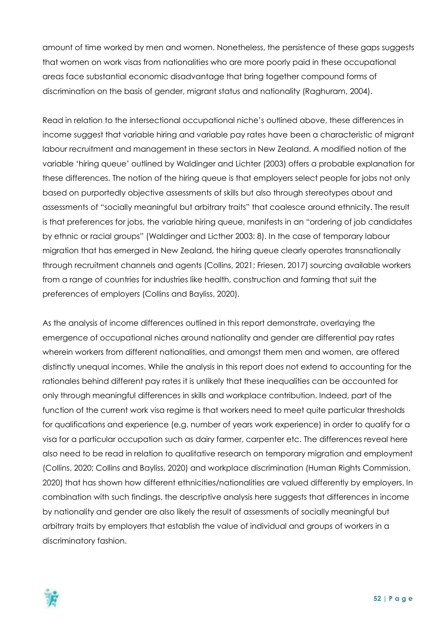amount of time worked by men and women. Nonetheless, the persistence of these gaps suggests that women on work visas from nationalities who are more poorly paid in these occupational areas face substantial economic disadvantage that bring together compound forms of discrimination on the basis of gender, migrant status and nationality (Raghuram, 2004).

Read in relation to the intersectional occupational niche's outlined above, these differences in income suggest that variable hiring and variable pay rates have been a characteristic of migrant labour recruitment and management in these sectors in New Zealand. A modified notion of the variable 'hiring queue' outlined by Waldinger and Lichter (2003) offers a probable explanation for these differences. The notion of the hiring queue is that employers select people for jobs not only based on purportedly objective assessments of skills but also through stereotypes about and assessments of "socially meaningful but arbitrary traits" that coalesce around ethnicity. The result is that preferences for jobs, the variable hiring queue, manifests in an "ordering of job candidates by ethnic or racial groups" (Waldinger and Licther 2003: 8). In the case of temporary labour migration that has emerged in New Zealand, the hiring queue clearly operates transnationally through recruitment channels and agents (Collins, 2021; Friesen, 2017) sourcing available workers from a range of countries for industries like health, construction and farming that suit the preferences of employers (Collins and Bayliss, 2020).

As the analysis of income differences outlined in this report demonstrate, overlaying the emergence of occupational niches around nationality and gender are differential pay rates wherein workers from different nationalities, and amongst them men and women, are offered distinctly unequal incomes. While the analysis in this report does not extend to accounting for the rationales behind different pay rates it is unlikely that these inequalities can be accounted for only through meaningful differences in skills and workplace contribution. Indeed, part of the function of the current work visa regime is that workers need to meet quite particular thresholds for qualifications and experience (e.g. number of years work experience) in order to qualify for a visa for a particular occupation such as dairy farmer, carpenter etc. The differences reveal here also need to be read in relation to qualitative research on temporary migration and employment (Collins, 2020; Collins and Bayliss, 2020) and workplace discrimination (Human Rights Commission, 2020) that has shown how different ethnicities/nationalities are valued differently by employers. In combination with such findings, the descriptive analysis here suggests that differences in income by nationality and gender are also likely the result of assessments of socially meaningful but arbitrary traits by employers that establish the value of individual and groups of workers in a discriminatory fashion.

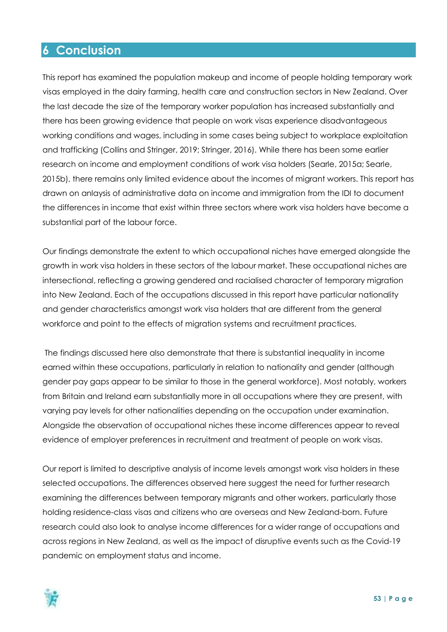## <span id="page-52-0"></span>**6 Conclusion**

This report has examined the population makeup and income of people holding temporary work visas employed in the dairy farming, health care and construction sectors in New Zealand. Over the last decade the size of the temporary worker population has increased substantially and there has been growing evidence that people on work visas experience disadvantageous working conditions and wages, including in some cases being subject to workplace exploitation and trafficking (Collins and Stringer, 2019; Stringer, 2016). While there has been some earlier research on income and employment conditions of work visa holders (Searle, 2015a; Searle, 2015b), there remains only limited evidence about the incomes of migrant workers. This report has drawn on anlaysis of administrative data on income and immigration from the IDI to document the differences in income that exist within three sectors where work visa holders have become a substantial part of the labour force.

Our findings demonstrate the extent to which occupational niches have emerged alongside the growth in work visa holders in these sectors of the labour market. These occupational niches are intersectional, reflecting a growing gendered and racialised character of temporary migration into New Zealand. Each of the occupations discussed in this report have particular nationality and gender characteristics amongst work visa holders that are different from the general workforce and point to the effects of migration systems and recruitment practices.

The findings discussed here also demonstrate that there is substantial inequality in income earned within these occupations, particularly in relation to nationality and gender (although gender pay gaps appear to be similar to those in the general workforce). Most notably, workers from Britain and Ireland earn substantially more in all occupations where they are present, with varying pay levels for other nationalities depending on the occupation under examination. Alongside the observation of occupational niches these income differences appear to reveal evidence of employer preferences in recruitment and treatment of people on work visas.

Our report is limited to descriptive analysis of income levels amongst work visa holders in these selected occupations. The differences observed here suggest the need for further research examining the differences between temporary migrants and other workers, particularly those holding residence-class visas and citizens who are overseas and New Zealand-born. Future research could also look to analyse income differences for a wider range of occupations and across regions in New Zealand, as well as the impact of disruptive events such as the Covid-19 pandemic on employment status and income.

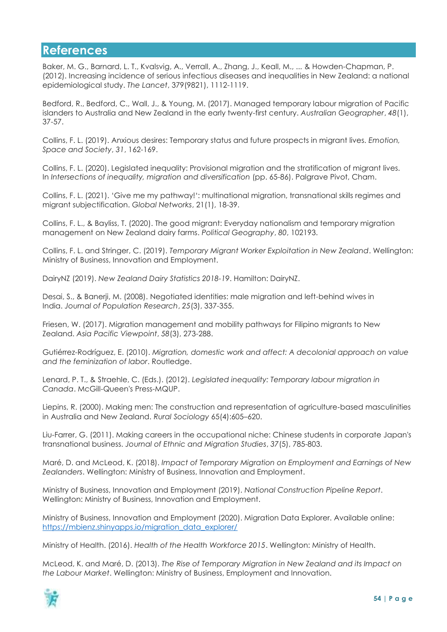## <span id="page-53-0"></span>**References**

Baker, M. G., Barnard, L. T., Kvalsvig, A., Verrall, A., Zhang, J., Keall, M., ... & Howden-Chapman, P. (2012). Increasing incidence of serious infectious diseases and inequalities in New Zealand: a national epidemiological study. *The Lancet*, 379(9821), 1112-1119.

Bedford, R., Bedford, C., Wall, J., & Young, M. (2017). Managed temporary labour migration of Pacific islanders to Australia and New Zealand in the early twenty-first century. *Australian Geographer*, *48*(1), 37-57.

Collins, F. L. (2019). Anxious desires: Temporary status and future prospects in migrant lives. *Emotion, Space and Society*, *31*, 162-169.

Collins, F. L. (2020). Legislated inequality: Provisional migration and the stratification of migrant lives. In *Intersections of inequality, migration and diversification* (pp. 65-86). Palgrave Pivot, Cham.

Collins, F. L. (2021). 'Give me my pathway!': multinational migration, transnational skills regimes and migrant subjectification. *Global Networks*, 21(1), 18-39.

Collins, F. L., & Bayliss, T. (2020). The good migrant: Everyday nationalism and temporary migration management on New Zealand dairy farms. *Political Geography*, *80*, 102193.

Collins, F. L. and Stringer, C. (2019). *Temporary Migrant Worker Exploitation in New Zealand*. Wellington: Ministry of Business, Innovation and Employment.

DairyNZ (2019). *New Zealand Dairy Statistics 2018-19*. Hamilton: DairyNZ.

Desai, S., & Banerji, M. (2008). Negotiated identities: male migration and left-behind wives in India. *Journal of Population Research*, *25*(3), 337-355.

Friesen, W. (2017). Migration management and mobility pathways for Filipino migrants to New Zealand. *Asia Pacific Viewpoint*, *58*(3), 273-288.

Gutiérrez-Rodríguez, E. (2010). *Migration, domestic work and affect: A decolonial approach on value and the feminization of labor*. Routledge.

Lenard, P. T., & Straehle, C. (Eds.). (2012). *Legislated inequality: Temporary labour migration in Canada*. McGill-Queen's Press-MQUP.

Liepins, R. (2000). Making men: The construction and representation of agriculture‐based masculinities in Australia and New Zealand. *Rural Sociology* 65(4):605–620.

Liu-Farrer, G. (2011). Making careers in the occupational niche: Chinese students in corporate Japan's transnational business. *Journal of Ethnic and Migration Studies*, *37*(5), 785-803.

Maré, D. and McLeod, K. (2018). *Impact of Temporary Migration on Employment and Earnings of New Zealanders*. Wellington: Ministry of Business, Innovation and Employment.

Ministry of Business, Innovation and Employment (2019). *National Construction Pipeline Report*. Wellington: Ministry of Business, Innovation and Employment.

Ministry of Business, Innovation and Employment (2020). Migration Data Explorer. Available online: [https://mbienz.shinyapps.io/migration\\_data\\_explorer/](https://mbienz.shinyapps.io/migration_data_explorer/)

Ministry of Health. (2016). *Health of the Health Workforce 2015*. Wellington: Ministry of Health.

McLeod, K. and Maré, D. (2013). *The Rise of Temporary Migration in New Zealand and its Impact on the Labour Market*. Wellington: Ministry of Business, Employment and Innovation.

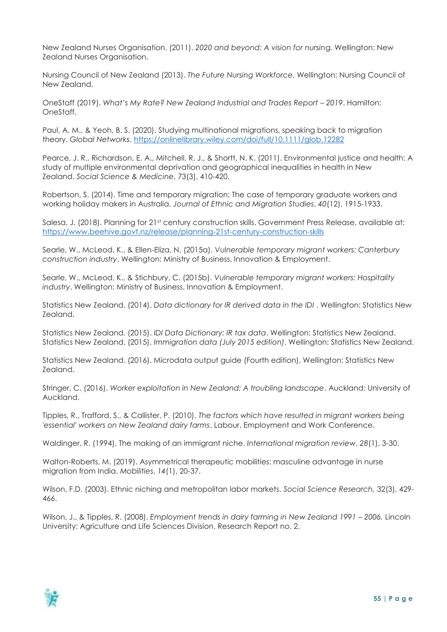New Zealand Nurses Organisation. (2011). *2020 and beyond: A vision for nursin*g. Wellington: New Zealand Nurses Organisation.

Nursing Council of New Zealand (2013). *The Future Nursing Workforce.* Wellington: Nursing Council of New Zealand.

OneStaff (2019). *What's My Rate? New Zealand Industrial and Trades Report – 2019*. Hamilton: OneStaff.

Paul, A. M., & Yeoh, B. S. (2020). Studying multinational migrations, speaking back to migration theory. *Global Networks*.<https://onlinelibrary.wiley.com/doi/full/10.1111/glob.12282>

Pearce, J. R., Richardson, E. A., Mitchell, R. J., & Shortt, N. K. (2011). Environmental justice and health: A study of multiple environmental deprivation and geographical inequalities in health in New Zealand. *Social Science & Medicine*, 73(3), 410-420.

Robertson, S. (2014). Time and temporary migration: The case of temporary graduate workers and working holiday makers in Australia. *Journal of Ethnic and Migration Studies*, *40*(12), 1915-1933.

Salesa, J. (2018). Planning for 21st century construction skills. Government Press Release, available at: <https://www.beehive.govt.nz/release/planning-21st-century-construction-skills>

Searle, W., McLeod, K., & Ellen-Eliza, N. (2015a). *Vulnerable temporary migrant workers: Canterbury construction industry*. Wellington: Ministry of Business, Innovation & Employment.

Searle, W., McLeod, K., & Stichbury, C. (2015b). *Vulnerable temporary migrant workers: Hospitality industry*. Wellington: Ministry of Business, Innovation & Employment.

Statistics New Zealand. (2014). *Data dictionary for IR derived data in the IDI* . Wellington: Statistics New Zealand.

Statistics New Zealand. (2015). *IDI Data Dictionary: IR tax data*. Wellington: Statistics New Zealand. Statistics New Zealand. (2015). *Immigration data (July 2015 edition)*. Wellington: Statistics New Zealand.

Statistics New Zealand. (2016). Microdata output guide (Fourth edition). Wellington: Statistics New Zealand.

Stringer, C. (2016). *Worker exploitation in New Zealand: A troubling landscape*. Auckland: University of Auckland.

Tipples, R., Trafford, S., & Callister, P. (2010). *The factors which have resulted in migrant workers being 'essential' workers on New Zealand dairy farms*. Labour, Employment and Work Conference.

Waldinger, R. (1994). The making of an immigrant niche. *International migration review*, *28*(1), 3-30.

Walton-Roberts, M. (2019). Asymmetrical therapeutic mobilities: masculine advantage in nurse migration from India. *Mobilities*, *14*(1), 20-37.

Wilson, F.D. (2003). Ethnic niching and metropolitan labor markets. *Social Science Research,* 32(3), 429- 466.

Wilson, J., & Tipples, R. (2008). *Employment trends in dairy farming in New Zealand 1991 - 2006*. Lincoln University: Agriculture and Life Sciences Division. Research Report no. 2.

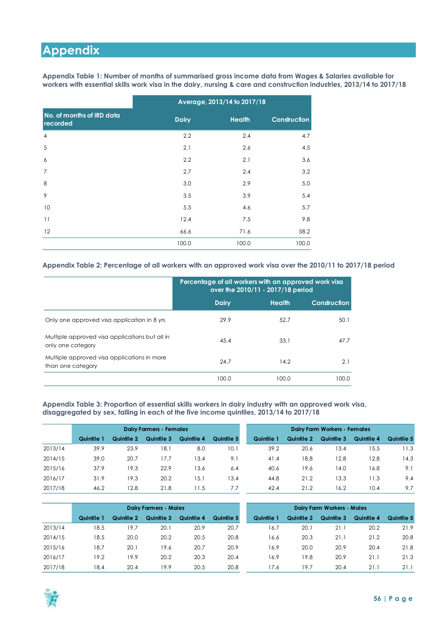# <span id="page-55-0"></span>**Appendix**

<span id="page-55-1"></span>**Appendix Table 1: Number of months of summarised gross income data from Wages & Salaries available for workers with essential skills work visa in the dairy, nursing & care and construction industries, 2013/14 to 2017/18**

|                                       |              | Average, 2013/14 to 2017/18 |                     |
|---------------------------------------|--------------|-----------------------------|---------------------|
| No. of months of IRD data<br>recorded | <b>Dairy</b> | <b>Health</b>               | <b>Construction</b> |
| 4                                     | 2.2          | 2.4                         | 4.7                 |
| 5                                     | 2.1          | 2.6                         | 4.5                 |
| 6                                     | 2.2          | 2.1                         | 3.6                 |
| $\overline{7}$                        | 2.7          | 2.4                         | 3.2                 |
| 8                                     | 3.0          | 2.9                         | 5.0                 |
| 9                                     | 3.5          | 3.9                         | 5.4                 |
| 10                                    | 5.5          | 4.6                         | 5.7                 |
| 11                                    | 12.4         | 7.5                         | 9.8                 |
| 12                                    | 66.6         | 71.6                        | 58.2                |
|                                       | 100.0        | 100.0                       | 100.0               |

#### <span id="page-55-2"></span>**Appendix Table 2: Percentage of all workers with an approved work visa over the 2010/11 to 2017/18 period**

|                                                                     | Percentage of all workers with an approved work visa<br>over the 2010/11 - 2017/18 period |        |                     |  |  |  |  |  |  |
|---------------------------------------------------------------------|-------------------------------------------------------------------------------------------|--------|---------------------|--|--|--|--|--|--|
|                                                                     | <b>Dairy</b>                                                                              | Health | <b>Construction</b> |  |  |  |  |  |  |
| Only one approved visa application in 8 yrs                         | 29.9                                                                                      | 52.7   | 50.1                |  |  |  |  |  |  |
| Multiple approved visa applications but all in<br>only one category | 45.4                                                                                      | 33.1   | 47.7                |  |  |  |  |  |  |
| Multiple approved visa applications in more<br>than one category    | 24.7                                                                                      | 14.2   | 2.1                 |  |  |  |  |  |  |
|                                                                     | 100.0                                                                                     | 100.0  | 100.0               |  |  |  |  |  |  |

<span id="page-55-3"></span>**Appendix Table 3: Proportion of essential skills workers in dairy industry with an approved work visa, disaggregated by sex, falling in each of the five income quintiles, 2013/14 to 2017/18**

|         |            |            | <b>Dairy Farmers - Females</b> |            | <b>Dairy Farm Workers - Females</b> |            |            |            |            |            |
|---------|------------|------------|--------------------------------|------------|-------------------------------------|------------|------------|------------|------------|------------|
|         | Quintile 1 | Quintile 2 | Quintile 3                     | Quintile 4 | Quintile 5                          | Quintile 1 | Quintile 2 | Quintile 3 | Quintile 4 | Quintile 5 |
| 2013/14 | 39.9       | 23.9       | 18.1                           | 8.0        | 10.                                 | 39.2       | 20.6       | 13.4       | 15.5       | 1.3        |
| 2014/15 | 39.0       | 20.7       | 17.7                           | 13.4       | 9.1                                 | 41.4       | 18.8       | 12.8       | 12.8       | 14.3       |
| 2015/16 | 37.9       | 19.3       | 22.9                           | 13.6       | 6.4                                 | 40.6       | 19.6       | 14.0       | 16.8       | 9.1        |
| 2016/17 | 31.9       | 19.3       | 20.2                           | 15.1       | 13.4                                | 44.8       | 21.2       | 13.3       | 11.3       | 9.4        |
| 2017/18 | 46.2       | 12.8       | 21.8                           | l 1.5      | 7.7                                 | 42.4       | 21.2       | 16.2       | 10.4       | 9.7        |

|         | <b>Dairy Farmers - Males</b> |            |            |            |            |  |            | <b>Dairy Farm Workers - Males</b> |            |            |            |  |  |
|---------|------------------------------|------------|------------|------------|------------|--|------------|-----------------------------------|------------|------------|------------|--|--|
|         | Quintile 1                   | Quintile 2 | Quintile 3 | Quintile 4 | Quintile 5 |  | Quintile 1 | Quintile 2                        | Quintile 3 | Quintile 4 | Quintile 5 |  |  |
| 2013/14 | 18.5                         | 19.7       | 20.1       | 20.9       | 20.7       |  | 16.7       | 20.1                              | 21.1       | 20.2       | 21.9       |  |  |
| 2014/15 | 18.5                         | 20.0       | 20.2       | 20.5       | 20.8       |  | 16.6       | 20.3                              | 21.1       | 21.2       | 20.8       |  |  |
| 2015/16 | 18.7                         | 20.1       | 19.6       | 20.7       | 20.9       |  | 16.9       | 20.0                              | 20.9       | 20.4       | 21.8       |  |  |
| 2016/17 | 19.2                         | 19.9       | 20.2       | 20.3       | 20.4       |  | 16.9       | 19.8                              | 20.9       | 21.1       | 21.3       |  |  |
| 2017/18 | 18.4                         | 20.4       | 19.9       | 20.5       | 20.8       |  | 17.6       | 19.7                              | 20.4       | 21.1       | 21.1       |  |  |

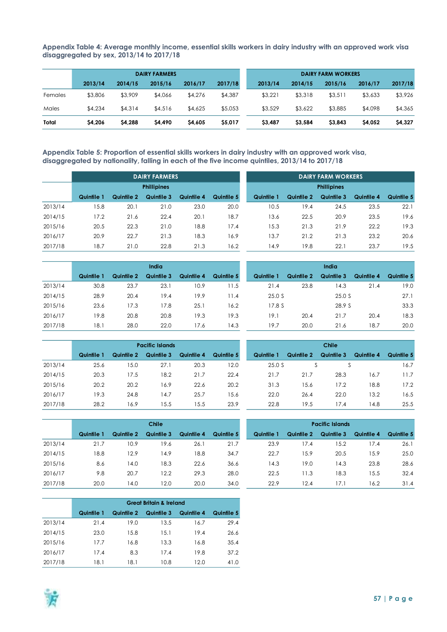<span id="page-56-0"></span>**Appendix Table 4: Average monthly income, essential skills workers in dairy industry with an approved work visa disaggregated by sex, 2013/14 to 2017/18**

| <b>DAIRY FARMERS</b> |         |         |         |         |         |  | <b>DAIRY FARM WORKERS</b> |         |         |         |         |  |
|----------------------|---------|---------|---------|---------|---------|--|---------------------------|---------|---------|---------|---------|--|
|                      | 2013/14 | 2014/15 | 2015/16 | 2016/17 | 2017/18 |  | 2013/14                   | 2014/15 | 2015/16 | 2016/17 | 2017/18 |  |
| Females              | \$3,806 | \$3,909 | \$4,066 | \$4,276 | \$4,387 |  | \$3,221                   | \$3,318 | \$3,51  | \$3,633 | \$3,926 |  |
| Males                | \$4,234 | \$4,314 | \$4,516 | \$4,625 | \$5,053 |  | \$3,529                   | \$3,622 | \$3,885 | \$4,098 | \$4,365 |  |
| Total                | \$4,206 | \$4,288 | \$4,490 | \$4,605 | \$5,017 |  | \$3,487                   | \$3,584 | \$3,843 | \$4,052 | \$4,327 |  |

<span id="page-56-1"></span>**Appendix Table 5: Proportion of essential skills workers in dairy industry with an approved work visa, disaggregated by nationality, falling in each of the five income quintiles, 2013/14 to 2017/18**

|         |                    |            | <b>DAIRY FARMERS</b> |            |            |  | <b>DAIRY FARM WORKERS</b> |                    |            |            |            |  |  |  |
|---------|--------------------|------------|----------------------|------------|------------|--|---------------------------|--------------------|------------|------------|------------|--|--|--|
|         | <b>Phillipines</b> |            |                      |            |            |  |                           | <b>Phillipines</b> |            |            |            |  |  |  |
|         | Quintile 1         | Quintile 2 | Quintile 3           | Quintile 4 | Quintile 5 |  | Quintile 1                | Quintile 2         | Quintile 3 | Quintile 4 | Quintile 5 |  |  |  |
| 2013/14 | 5.8                | 20.1       | 21.0                 | 23.0       | 20.0       |  | 10.5                      | 19.4               | 24.5       | 23.5       | 22.1       |  |  |  |
| 2014/15 | 17.2               | 21.6       | 22.4                 | 20.1       | 18.7       |  | 13.6                      | 22.5               | 20.9       | 23.5       | 19.6       |  |  |  |
| 2015/16 | 20.5               | 22.3       | 21.0                 | 18.8       | 17.4       |  | 15.3                      | 21.3               | 21.9       | 22.2       | 19.3       |  |  |  |
| 2016/17 | 20.9               | 22.7       | 21.3                 | 18.3       | 16.9       |  | 13.7                      | 21.2               | 21.3       | 23.2       | 20.6       |  |  |  |
| 2017/18 | 18.7               | 21.0       | 22.8                 | 21.3       | 16.2       |  | 4.9                       | 19.8               | 22.1       | 23.7       | 19.5       |  |  |  |

|         |            |            | India      |            |            | India |            |            |            |            |            |
|---------|------------|------------|------------|------------|------------|-------|------------|------------|------------|------------|------------|
|         | Quintile 1 | Quintile 2 | Quintile 3 | Quintile 4 | Quintile 5 |       | Quintile 1 | Quintile 2 | Quintile 3 | Quintile 4 | Quintile 5 |
| 2013/14 | 30.8       | 23.7       | 23.1       | 10.9       | 11.5       |       | 21.4       | 23.8       | 14.3       | 21.4       | 19.0       |
| 2014/15 | 28.9       | 20.4       | 19.4       | 19.9       | 11.4       |       | 25.0 S     |            | 25.0 S     |            | 27.1       |
| 2015/16 | 23.6       | 17.3       | 17.8       | 25.1       | 16.2       |       | 17.8 S     |            | 28.9S      |            | 33.3       |
| 2016/17 | 19.8       | 20.8       | 20.8       | 19.3       | 19.3       |       | 19.1       | 20.4       | 21.7       | 20.4       | 18.3       |
| 2017/18 | 18.1       | 28.0       | 22.0       | 17.6       | 14.3       |       | 19.7       | 20.0       | 21.6       | 18.7       | 20.0       |

|         |            |            | <b>Pacific Islands</b> |            |            |            |            | Chile      |            |            |
|---------|------------|------------|------------------------|------------|------------|------------|------------|------------|------------|------------|
|         | Quintile 1 | Quintile 2 | Quintile 3             | Quintile 4 | Quintile 5 | Quintile 1 | Quintile 2 | Quintile 3 | Quintile 4 | Quintile 5 |
| 2013/14 | 25.6       | 15.0       | 27.1                   | 20.3       | 12.0       | 25.0 S     |            |            |            | 16.7       |
| 2014/15 | 20.3       | 17.5       | 18.2                   | 21.7       | 22.4       | 21.7       | 21.7       | 28.3       | 16.7       | 11.7       |
| 2015/16 | 20.2       | 20.2       | 16.9                   | 22.6       | 20.2       | 31.3       | 15.6       | 17.2       | 18.8       | 17.2       |
| 2016/17 | 19.3       | 24.8       | 14.7                   | 25.7       | 15.6       | 22.0       | 26.4       | 22.0       | 13.2       | 16.5       |
| 2017/18 | 28.2       | 16.9       | 5.5                    | 15.5       | 23.9       | 22.8       | 19.5       | 17.4       | 14.8       | 25.5       |

|         | <b>Chile</b> |            |            |            |            |  | <b>Pacific Islands</b> |            |            |            |            |  |
|---------|--------------|------------|------------|------------|------------|--|------------------------|------------|------------|------------|------------|--|
|         | Quintile 1   | Quintile 2 | Quintile 3 | Quintile 4 | Quintile 5 |  | Quintile 1             | Quintile 2 | Quintile 3 | Quintile 4 | Quintile 5 |  |
| 2013/14 | 21.7         | 10.9       | 19.6       | 26.1       | 21.7       |  | 23.9                   | 17.4       | 15.2       | 17.4       | 26.1       |  |
| 2014/15 | 8.8          | 12.9       | 14.9       | 18.8       | 34.7       |  | 22.7                   | 15.9       | 20.5       | 15.9       | 25.0       |  |
| 2015/16 | 8.6          | 14.0       | 18.3       | 22.6       | 36.6       |  | 4.3                    | 19.0       | 14.3       | 23.8       | 28.6       |  |
| 2016/17 | 9.8          | 20.7       | 12.2       | 29.3       | 28.0       |  | 22.5                   | l 1.3      | 18.3       | 15.5       | 32.4       |  |
| 2017/18 | 20.0         | 14.0       | 12.0       | 20.0       | 34.0       |  | 22.9                   | 12.4       | 17.1       | 16.2       | 31.4       |  |

|         |            |            | <b>Great Britain &amp; Ireland</b> |            |            |
|---------|------------|------------|------------------------------------|------------|------------|
|         | Quintile 1 | Quintile 2 | Quintile 3                         | Quintile 4 | Quintile 5 |
| 2013/14 | 21.4       | 19.0       | 13.5                               | 16.7       | 29.4       |
| 2014/15 | 23.0       | 15.8       | 15.1                               | 19.4       | 26.6       |
| 2015/16 | 17.7       | 16.8       | 13.3                               | 16.8       | 35.4       |
| 2016/17 | 17.4       | 8.3        | 17.4                               | 19.8       | 37.2       |
| 2017/18 | 18.1       | 18.1       | 10.8                               | 12.0       | 41.0       |

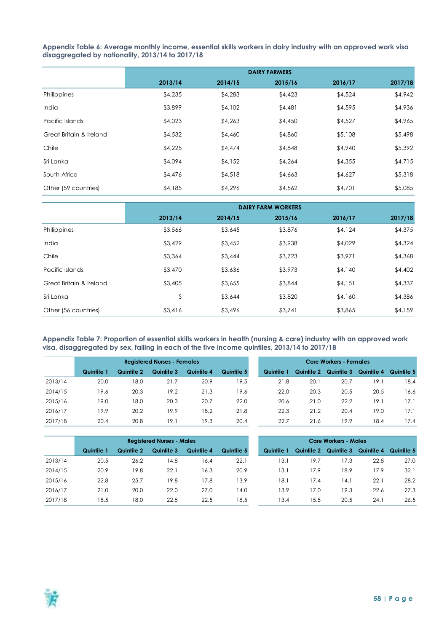<span id="page-57-0"></span>**Appendix Table 6: Average monthly income, essential skills workers in dairy industry with an approved work visa disaggregated by nationality, 2013/14 to 2017/18**

|                         |         |         | <b>DAIRY FARMERS</b> |         |         |
|-------------------------|---------|---------|----------------------|---------|---------|
|                         | 2013/14 | 2014/15 | 2015/16              | 2016/17 | 2017/18 |
| Philippines             | \$4,235 | \$4,283 | \$4,423              | \$4,524 | \$4,942 |
| India                   | \$3,899 | \$4,102 | \$4,481              | \$4,595 | \$4,936 |
| Pacific Islands         | \$4,023 | \$4,263 | \$4,450              | \$4,527 | \$4,965 |
| Great Britain & Ireland | \$4,532 | \$4,460 | \$4,860              | \$5,108 | \$5,498 |
| Chile                   | \$4,225 | \$4,474 | \$4,848              | \$4,940 | \$5,392 |
| Sri Lanka               | \$4,094 | \$4,152 | \$4,264              | \$4,355 | \$4,715 |
| South Africa            | \$4,476 | \$4,518 | \$4,663              | \$4,627 | \$5,318 |
| Other (59 countries)    | \$4,185 | \$4,296 | \$4,562              | \$4,701 | \$5,085 |

|                         | <b>DAIRY FARM WORKERS</b> |         |         |         |         |  |  |  |  |  |  |
|-------------------------|---------------------------|---------|---------|---------|---------|--|--|--|--|--|--|
|                         | 2013/14                   | 2014/15 | 2015/16 | 2016/17 | 2017/18 |  |  |  |  |  |  |
| Philippines             | \$3,566                   | \$3,645 | \$3,876 | \$4,124 | \$4,375 |  |  |  |  |  |  |
| India                   | \$3,429                   | \$3,452 | \$3,938 | \$4,029 | \$4,324 |  |  |  |  |  |  |
| Chile                   | \$3,364                   | \$3,444 | \$3,723 | \$3,971 | \$4,368 |  |  |  |  |  |  |
| Pacific Islands         | \$3,470                   | \$3,636 | \$3,973 | \$4,140 | \$4,402 |  |  |  |  |  |  |
| Great Britain & Ireland | \$3,405                   | \$3,655 | \$3,844 | \$4,151 | \$4,337 |  |  |  |  |  |  |
| Sri Lanka               | S                         | \$3,644 | \$3,820 | \$4,160 | \$4,386 |  |  |  |  |  |  |
| Other (56 countries)    | \$3,416                   | \$3,496 | \$3,741 | \$3,865 | \$4,159 |  |  |  |  |  |  |

<span id="page-57-1"></span>**Appendix Table 7: Proportion of essential skills workers in health (nursing & care) industry with an approved work visa, disaggregated by sex, falling in each of the five income quintiles, 2013/14 to 2017/18**

|         | <b>Registered Nurses - Females</b> |            |            |            |            |  | <b>Care Workers - Females</b> |            |            |            |            |  |
|---------|------------------------------------|------------|------------|------------|------------|--|-------------------------------|------------|------------|------------|------------|--|
|         | Quintile 1                         | Quintile 2 | Quintile 3 | Quintile 4 | Quintile 5 |  | Quintile 1                    | Quintile 2 | Quintile 3 | Quintile 4 | Quintile 5 |  |
| 2013/14 | 20.0                               | 18.0       | 21.7       | 20.9       | 19.5       |  | 21.8                          | 20.1       | 20.7       | 19.1       | 18.4       |  |
| 2014/15 | 19.6                               | 20.3       | 19.2       | 21.3       | 19.6       |  | 22.0                          | 20.3       | 20.5       | 20.5       | 16.6       |  |
| 2015/16 | 19.0                               | 18.0       | 20.3       | 20.7       | 22.0       |  | 20.6                          | 21.0       | 22.2       | 19.1       | 17.1       |  |
| 2016/17 | 19.9                               | 20.2       | 19.9       | 18.2       | 21.8       |  | 22.3                          | 21.2       | 20.4       | 19.0       | 17.1       |  |
| 2017/18 | 20.4                               | 20.8       | 19.1       | 19.3       | 20.4       |  | 22.7                          | 21.6       | 19.9       | 18.4       | 17.4       |  |

|         |            |            | <b>Registered Nurses - Males</b> |            |            | <b>Care Workers - Males</b> |            |            |            |            |            |
|---------|------------|------------|----------------------------------|------------|------------|-----------------------------|------------|------------|------------|------------|------------|
|         | Quintile 1 | Quintile 2 | Quintile 3                       | Quintile 4 | Quintile 5 |                             | Quintile 1 | Quintile 2 | Quintile 3 | Quintile 4 | Quintile 5 |
| 2013/14 | 20.5       | 26.2       | 4.8                              | 16.4       | 22.1       |                             | 13.1       | 9.7        | 17.3       | 22.8       | 27.0       |
| 2014/15 | 20.9       | 19.8       | 22.1                             | 16.3       | 20.9       |                             | 13.1       | 7.9        | 18.9       | 17.9       | 32.1       |
| 2015/16 | 22.8       | 25.7       | 19.8                             | 17.8       | 13.9       |                             | 18.1       | 7.4        | 14.1       | 22.1       | 28.2       |
| 2016/17 | 21.0       | 20.0       | 22.0                             | 27.0       | 14.0       |                             | 13.9       | 7.0        | 19.3       | 22.6       | 27.3       |
| 2017/18 | 18.5       | 18.0       | 22.5                             | 22.5       | 18.5       |                             | 13.4       | 5.5        | 20.5       | 24.1       | 26.5       |

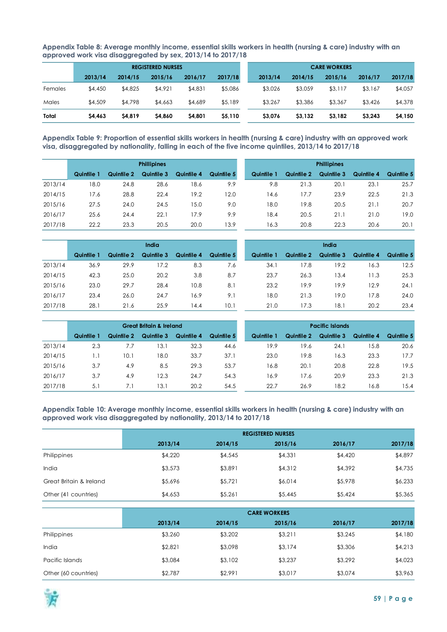<span id="page-58-0"></span>**Appendix Table 8: Average monthly income, essential skills workers in health (nursing & care) industry with an approved work visa disaggregated by sex, 2013/14 to 2017/18**

|         | <b>REGISTERED NURSES</b> |         |         |         |         |  | <b>CARE WORKERS</b> |         |         |         |         |  |
|---------|--------------------------|---------|---------|---------|---------|--|---------------------|---------|---------|---------|---------|--|
|         | 2013/14                  | 2014/15 | 2015/16 | 2016/17 | 2017/18 |  | 2013/14             | 2014/15 | 2015/16 | 2016/17 | 2017/18 |  |
| Females | \$4,450                  | \$4,825 | \$4,921 | \$4,831 | \$5,086 |  | \$3,026             | \$3,059 | \$3,117 | \$3,167 | \$4,057 |  |
| Males   | \$4,509                  | \$4,798 | \$4,663 | \$4,689 | \$5,189 |  | \$3,267             | \$3,386 | \$3,367 | \$3,426 | \$4,378 |  |
| Total   | \$4,463                  | \$4,819 | \$4,860 | \$4,801 | \$5,110 |  | \$3,076             | \$3,132 | \$3,182 | \$3,243 | \$4,150 |  |

<span id="page-58-1"></span>**Appendix Table 9: Proportion of essential skills workers in health (nursing & care) industry with an approved work visa, disaggregated by nationality, falling in each of the five income quintiles, 2013/14 to 2017/18**

|         |            | <b>Phillipines</b> |            |            |            |  |            | <b>Phillipines</b> |            |            |            |  |  |
|---------|------------|--------------------|------------|------------|------------|--|------------|--------------------|------------|------------|------------|--|--|
|         | Quintile 1 | Quintile 2         | Quintile 3 | Quintile 4 | Quintile 5 |  | Quintile 1 | Quintile 2         | Quintile 3 | Quintile 4 | Quintile 5 |  |  |
| 2013/14 | 18.0       | 24.8               | 28.6       | 18.6       | 9.9        |  | 9.8        | 21.3               | 20.1       | 23.1       | 25.7       |  |  |
| 2014/15 | 17.6       | 28.8               | 22.4       | 19.2       | 12.0       |  | 14.6       | 17.7               | 23.9       | 22.5       | 21.3       |  |  |
| 2015/16 | 27.5       | 24.0               | 24.5       | 15.0       | 9.0        |  | 18.0       | 19.8               | 20.5       | 21.1       | 20.7       |  |  |
| 2016/17 | 25.6       | 24.4               | 22.1       | 17.9       | 9.9        |  | 18.4       | 20.5               | 21.1       | 21.0       | 19.0       |  |  |
| 2017/18 | 22.2       | 23.3               | 20.5       | 20.0       | 13.9       |  | 16.3       | 20.8               | 22.3       | 20.6       | 20.1       |  |  |

|         |            | <b>India</b> |            |            |            |  |            | India      |            |            |            |  |  |
|---------|------------|--------------|------------|------------|------------|--|------------|------------|------------|------------|------------|--|--|
|         | Quintile 1 | Quintile 2   | Quintile 3 | Quintile 4 | Quintile 5 |  | Quintile 1 | Quintile 2 | Quintile 3 | Quintile 4 | Quintile 5 |  |  |
| 2013/14 | 36.9       | 29.9         | 17.2       | 8.3        | 7.6        |  | 34.1       | 17.8       | 19.2       | 16.3       | 12.5       |  |  |
| 2014/15 | 42.3       | 25.0         | 20.2       | 3.8        | 8.7        |  | 23.7       | 26.3       | 13.4       | 1.3        | 25.3       |  |  |
| 2015/16 | 23.0       | 29.7         | 28.4       | 10.8       | 8.1        |  | 23.2       | 19.9       | 19.9       | 12.9       | 24.1       |  |  |
| 2016/17 | 23.4       | 26.0         | 24.7       | 16.9       | 9.1        |  | 18.0       | 21.3       | 19.0       | 17.8       | 24.0       |  |  |
| 2017/18 | 28.1       | 21.6         | 25.9       | 14.4       | 10.1       |  | 21.0       | 17.3       | 18.1       | 20.2       | 23.4       |  |  |

|         | <b>Great Britain &amp; Ireland</b> |            |            |            |            |  | <b>Pacific Islands</b> |            |            |            |            |  |
|---------|------------------------------------|------------|------------|------------|------------|--|------------------------|------------|------------|------------|------------|--|
|         | Quintile 1                         | Quintile 2 | Quintile 3 | Quintile 4 | Quintile 5 |  | Quintile 1             | Quintile 2 | Quintile 3 | Quintile 4 | Quintile 5 |  |
| 2013/14 | 2.3                                | 7.7        | 13.1       | 32.3       | 44.6       |  | 19.9                   | 19.6       | 24.1       | 15.8       | 20.6       |  |
| 2014/15 | 1.1                                | 10.1       | 18.0       | 33.7       | 37.1       |  | 23.0                   | 19.8       | 16.3       | 23.3       | 17.7       |  |
| 2015/16 | 3.7                                | 4.9        | 8.5        | 29.3       | 53.7       |  | 16.8                   | 20.1       | 20.8       | 22.8       | 19.5       |  |
| 2016/17 | 3.7                                | 4.9        | 12.3       | 24.7       | 54.3       |  | 16.9                   | 17.6       | 20.9       | 23.3       | 21.3       |  |
| 2017/18 | 5.1                                |            | 13.1       | 20.2       | 54.5       |  | 22.7                   | 26.9       | 18.2       | 16.8       | 15.4       |  |

<span id="page-58-2"></span>**Appendix Table 10: Average monthly income, essential skills workers in health (nursing & care) industry with an approved work visa disaggregated by nationality, 2013/14 to 2017/18**

|                         | <b>REGISTERED NURSES</b> |         |         |         |         |  |  |  |  |  |  |
|-------------------------|--------------------------|---------|---------|---------|---------|--|--|--|--|--|--|
|                         | 2013/14                  | 2014/15 | 2015/16 | 2016/17 | 2017/18 |  |  |  |  |  |  |
| Philippines             | \$4,220                  | \$4,545 | \$4,331 | \$4,420 | \$4,897 |  |  |  |  |  |  |
| India                   | \$3,573                  | \$3,891 | \$4,312 | \$4,392 | \$4,735 |  |  |  |  |  |  |
| Great Britain & Ireland | \$5,696                  | \$5,721 | \$6,014 | \$5,978 | \$6,233 |  |  |  |  |  |  |
| Other (41 countries)    | \$4,653                  | \$5,261 | \$5,445 | \$5,424 | \$5,365 |  |  |  |  |  |  |

|                      | <b>CARE WORKERS</b> |         |         |         |         |  |  |  |  |  |
|----------------------|---------------------|---------|---------|---------|---------|--|--|--|--|--|
|                      | 2013/14             | 2014/15 | 2015/16 | 2016/17 | 2017/18 |  |  |  |  |  |
| Philippines          | \$3,260             | \$3,202 | \$3,211 | \$3,245 | \$4,180 |  |  |  |  |  |
| India                | \$2,821             | \$3,098 | \$3,174 | \$3,306 | \$4,213 |  |  |  |  |  |
| Pacific Islands      | \$3,084             | \$3,102 | \$3,237 | \$3,292 | \$4,023 |  |  |  |  |  |
| Other (60 countries) | \$2,787             | \$2,991 | \$3,017 | \$3,074 | \$3,963 |  |  |  |  |  |

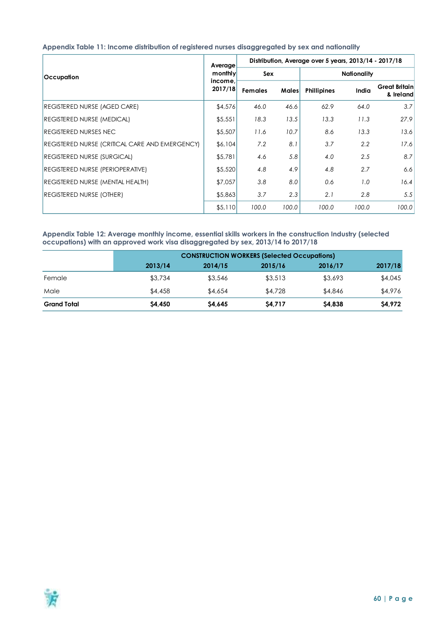#### <span id="page-59-0"></span>**Appendix Table 11: Income distribution of registered nurses disaggregated by sex and nationality**

|                                                | Average            | Distribution, Average over 5 years, 2013/14 - 2017/18 |              |                    |       |                                   |  |  |  |
|------------------------------------------------|--------------------|-------------------------------------------------------|--------------|--------------------|-------|-----------------------------------|--|--|--|
| Occupation                                     | monthly            | <b>Sex</b>                                            |              | <b>Nationality</b> |       |                                   |  |  |  |
|                                                | income,<br>2017/18 | <b>Females</b>                                        | <b>Males</b> | <b>Phillipines</b> | India | <b>Great Britain</b><br>& Ireland |  |  |  |
| <b>REGISTERED NURSE (AGED CARE)</b>            | \$4,576            | 46.0                                                  | 46.6         | 62.9               | 64.0  | 3.7                               |  |  |  |
| <b>REGISTERED NURSE (MEDICAL)</b>              | \$5,551            | 18.3                                                  | 13.5         | 13.3               | 11.3  | 27.9                              |  |  |  |
| <b>REGISTERED NURSES NEC</b>                   | \$5,507            | 11.6                                                  | 10.7         | 8.6                | 13.3  | 13.6                              |  |  |  |
| REGISTERED NURSE (CRITICAL CARE AND EMERGENCY) | \$6,104            | 7.2                                                   | 8.1          | 3.7                | 2.2   | 17.6                              |  |  |  |
| <b>REGISTERED NURSE (SURGICAL)</b>             | \$5,781            | 4.6                                                   | 5.8          | 4.0                | 2.5   | 8.7                               |  |  |  |
| <b>REGISTERED NURSE (PERIOPERATIVE)</b>        | \$5,520            | 4.8                                                   | 4.9          | 4.8                | 2.7   | 6.6                               |  |  |  |
| <b>REGISTERED NURSE (MENTAL HEALTH)</b>        | \$7,057            | 3.8                                                   | 8.0          | 0.6                | 1.0   | 16.4                              |  |  |  |
| <b>REGISTERED NURSE (OTHER)</b>                | \$5,863            | 3.7                                                   | 2.3          | 2.1                | 2.8   | 5.5                               |  |  |  |
|                                                | \$5,110            | 100.0                                                 | 100.0        | 100.0              | 100.0 | 100.0                             |  |  |  |

#### <span id="page-59-1"></span>**Appendix Table 12: Average monthly income, essential skills workers in the construction Industry (selected occupations) with an approved work visa disaggregated by sex, 2013/14 to 2017/18**

|                    | <b>CONSTRUCTION WORKERS (Selected Occupations)</b> |         |               |         |         |  |  |  |  |  |
|--------------------|----------------------------------------------------|---------|---------------|---------|---------|--|--|--|--|--|
|                    | 2013/14                                            | 2014/15 | 2015/16       | 2016/17 | 2017/18 |  |  |  |  |  |
| Female             | \$3,734                                            | \$3,546 | \$3,513       | \$3,693 | \$4,045 |  |  |  |  |  |
| Male               | \$4,458                                            | \$4,654 | \$4,728       | \$4,846 | \$4,976 |  |  |  |  |  |
| <b>Grand Total</b> | \$4,450                                            | S4.645  | <b>S4.717</b> | \$4,838 | \$4,972 |  |  |  |  |  |

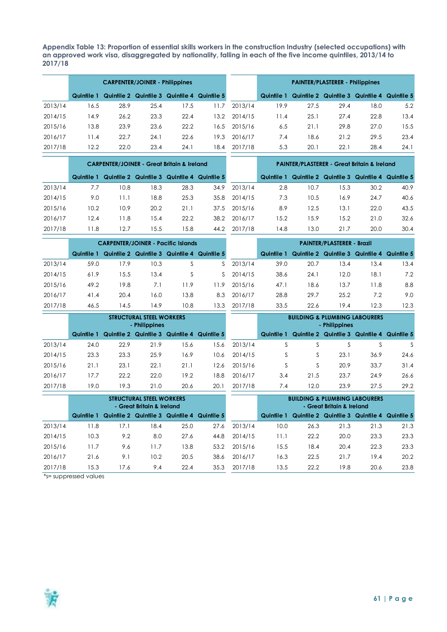<span id="page-60-0"></span>**Appendix Table 13: Proportion of essential skills workers in the construction Industry (selected occupations) with an approved work visa, disaggregated by nationality, falling in each of the five income quintiles, 2013/14 to 2017/18**

|         | <b>CARPENTER/JOINER - Philippines</b> |      |      |                                             |       |         | <b>PAINTER/PLASTERER - Philippines</b> |      |      |                                                    |      |
|---------|---------------------------------------|------|------|---------------------------------------------|-------|---------|----------------------------------------|------|------|----------------------------------------------------|------|
|         | Quintile 1                            |      |      | Quintile 2 Quintile 3 Quintile 4 Quintile 5 |       |         | Quintile 1                             |      |      | <b>Quintile 2 Quintile 3 Quintile 4 Quintile 5</b> |      |
| 2013/14 | 16.5                                  | 28.9 | 25.4 | 17.5                                        | l 1.7 | 2013/14 | 19.9                                   | 27.5 | 29.4 | 18.0                                               | 5.2  |
| 2014/15 | 14.9                                  | 26.2 | 23.3 | 22.4                                        | 13.2  | 2014/15 | 11.4                                   | 25.1 | 27.4 | 22.8                                               | 13.4 |
| 2015/16 | 13.8                                  | 23.9 | 23.6 | 22.2                                        | 16.5  | 2015/16 | 6.5                                    | 21.1 | 29.8 | 27.0                                               | 15.5 |
| 2016/17 | 11.4                                  | 22.7 | 24.1 | 22.6                                        | 19.3  | 2016/17 | 7.4                                    | 18.6 | 21.2 | 29.5                                               | 23.4 |
| 2017/18 | 12.2                                  | 22.0 | 23.4 | 24.1                                        | 18.4  | 2017/18 | 5.3                                    | 20.1 | 22.1 | 28.4                                               | 24.1 |
|         |                                       |      |      |                                             |       |         |                                        |      |      |                                                    |      |

|         | <b>CARPENTER/JOINER - Great Britain &amp; Ireland</b> |                                                        |      |      |      |              | <b>PAINTER/PLASTERER - Great Britain &amp; Ireland</b> |      |      |                                                        |      |
|---------|-------------------------------------------------------|--------------------------------------------------------|------|------|------|--------------|--------------------------------------------------------|------|------|--------------------------------------------------------|------|
|         |                                                       | Quintile 1 Quintile 2 Quintile 3 Quintile 4 Quintile 5 |      |      |      |              |                                                        |      |      | Quintile 1 Quintile 2 Quintile 3 Quintile 4 Quintile 5 |      |
| 2013/14 | 7.7                                                   | 10.8                                                   | 18.3 | 28.3 | 34.9 | 2013/14      | 2.8                                                    | 10.7 | 15.3 | 30.2                                                   | 40.9 |
| 2014/15 | 9.0                                                   | 11.1                                                   | 18.8 | 25.3 | 35.8 | 2014/15      | 7.3                                                    | 10.5 | 16.9 | 24.7                                                   | 40.6 |
| 2015/16 | 10.2                                                  | 10.9                                                   | 20.2 | 21.1 |      | 37.5 2015/16 | 8.9                                                    | 12.5 | 13.1 | 22.0                                                   | 43.5 |
| 2016/17 | 12.4                                                  | 11.8                                                   | 15.4 | 22.2 | 38.2 | 2016/17      | 15.2                                                   | 15.9 | 15.2 | 21.0                                                   | 32.6 |
| 2017/18 | 11.8                                                  | 12.7                                                   | 15.5 | 15.8 | 44.2 | 2017/18      | 14.8                                                   | 13.0 | 21.7 | 20.0                                                   | 30.4 |

|         |            | <b>CARPENTER/JOINER - Pacific Islands</b> |      |                                             |     |         | <b>PAINTER/PLASTERER - Brazil</b> |      |      |                                             |      |
|---------|------------|-------------------------------------------|------|---------------------------------------------|-----|---------|-----------------------------------|------|------|---------------------------------------------|------|
|         | Quintile 1 |                                           |      | Quintile 2 Quintile 3 Quintile 4 Quintile 5 |     |         | Quintile 1                        |      |      | Quintile 2 Quintile 3 Quintile 4 Quintile 5 |      |
| 2013/14 | 59.0       | 17.9                                      | 10.3 |                                             | S.  | 2013/14 | 39.0                              | 20.7 | 13.4 | 13.4                                        | 13.4 |
| 2014/15 | 61.9       | 15.5                                      | 13.4 |                                             | S.  | 2014/15 | 38.6                              | 24.1 | 12.0 | 18.1                                        | 7.2  |
| 2015/16 | 49.2       | 19.8                                      | 7.1  | 11.9                                        | 1.9 | 2015/16 | 47.1                              | 18.6 | 13.7 | 11.8                                        | 8.8  |
| 2016/17 | 41.4       | 20.4                                      | 16.0 | 13.8                                        | 8.3 | 2016/17 | 28.8                              | 29.7 | 25.2 | 7.2                                         | 9.0  |
| 2017/18 | 46.5       | 14.5                                      | 14.9 | 10.8                                        | 3.3 | 2017/18 | 33.5                              | 22.6 | 19.4 | 12.3                                        | 12.3 |

|         | STRUCTURAL STEEL WORKERS<br>- Philippines<br>Quintile 2 Quintile 3 Quintile 4 |      |      |      |            |         |            | <b>BUILDING &amp; PLUMBING LABOURERS</b> | - Philippines |                                             |      |
|---------|-------------------------------------------------------------------------------|------|------|------|------------|---------|------------|------------------------------------------|---------------|---------------------------------------------|------|
|         | Quintile 1                                                                    |      |      |      | Quintile 5 |         | Quintile 1 |                                          |               | Quintile 2 Quintile 3 Quintile 4 Quintile 5 |      |
| 2013/14 | 24.0                                                                          | 22.9 | 21.9 | 15.6 | 5.6        | 2013/14 |            |                                          |               |                                             |      |
| 2014/15 | 23.3                                                                          | 23.3 | 25.9 | 16.9 | 10.6       | 2014/15 |            | S                                        | 23.1          | 36.9                                        | 24.6 |
| 2015/16 | 21.1                                                                          | 23.1 | 22.1 | 21.1 | 12.6       | 2015/16 |            |                                          | 20.9          | 33.7                                        | 31.4 |
| 2016/17 | 17.7                                                                          | 22.2 | 22.0 | 19.2 | 18.8       | 2016/17 | 3.4        | 21.5                                     | 23.7          | 24.9                                        | 26.6 |
| 2017/18 | 19.0                                                                          | 19.3 | 21.0 | 20.6 | 20.1       | 2017/18 | 7.4        | 12.0                                     | 23.9          | 27.5                                        | 29.2 |
|         | ATBUATURAL ATEEL WARNERS                                                      |      |      |      |            |         |            | NUUNING A NUMBER LANGUNESS               |               |                                             |      |

|         | <b>STRUCTURAL STEEL WORKERS</b><br>- Great Britain & Ireland |      |      |                                             |      |         |            |      | <b>BUILDING &amp; PLUMBING LABOURERS</b><br>- Great Britain & Ireland |                                             |      |
|---------|--------------------------------------------------------------|------|------|---------------------------------------------|------|---------|------------|------|-----------------------------------------------------------------------|---------------------------------------------|------|
|         | Quintile 1                                                   |      |      | Quintile 2 Quintile 3 Quintile 4 Quintile 5 |      |         | Quintile 1 |      |                                                                       | Quintile 2 Quintile 3 Quintile 4 Quintile 5 |      |
| 2013/14 | l 1.8                                                        | 17.1 | 18.4 | 25.0                                        | 27.6 | 2013/14 | 10.0       | 26.3 | 21.3                                                                  | 21.3                                        | 21.3 |
| 2014/15 | 10.3                                                         | 9.2  | 8.0  | 27.6                                        | 44.8 | 2014/15 | 11.1       | 22.2 | 20.0                                                                  | 23.3                                        | 23.3 |
| 2015/16 | 11.7                                                         | 9.6  | 1.7  | 13.8                                        | 53.2 | 2015/16 | 15.5       | 18.4 | 20.4                                                                  | 22.3                                        | 23.3 |
| 2016/17 | 21.6                                                         | 9.1  | 10.2 | 20.5                                        | 38.6 | 2016/17 | 16.3       | 22.5 | 21.7                                                                  | 19.4                                        | 20.2 |
| 2017/18 | 15.3                                                         | 17.6 | 9.4  | 22.4                                        | 35.3 | 2017/18 | 13.5       | 22.2 | 19.8                                                                  | 20.6                                        | 23.8 |

\*s= suppressed values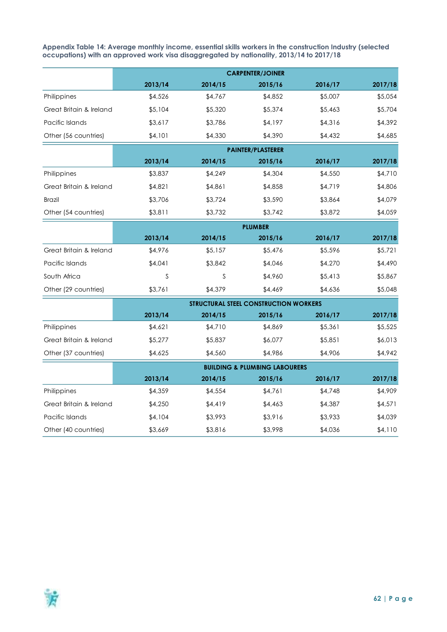<span id="page-61-0"></span>**Appendix Table 14: Average monthly income, essential skills workers in the construction Industry (selected occupations) with an approved work visa disaggregated by nationality, 2013/14 to 2017/18**

|                         | 2013/14 | 2014/15 | 2015/16                                      | 2016/17 | 2017/18 |
|-------------------------|---------|---------|----------------------------------------------|---------|---------|
| Philippines             | \$4,526 | \$4,767 | \$4,852                                      | \$5,007 | \$5,054 |
| Great Britain & Ireland | \$5,104 | \$5,320 | \$5,374                                      | \$5,463 | \$5,704 |
| Pacific Islands         | \$3,617 | \$3,786 | \$4,197                                      | \$4,316 | \$4,392 |
| Other (56 countries)    | \$4,101 | \$4,330 | \$4,390                                      | \$4,432 | \$4,685 |
|                         |         |         | <b>PAINTER/PLASTERER</b>                     |         |         |
|                         | 2013/14 | 2014/15 | 2015/16                                      | 2016/17 | 2017/18 |
| Philippines             | \$3,837 | \$4,249 | \$4,304                                      | \$4,550 | \$4,710 |
| Great Britain & Ireland | \$4,821 | \$4,861 | \$4,858                                      | \$4,719 | \$4,806 |
| <b>Brazil</b>           | \$3,706 | \$3,724 | \$3,590                                      | \$3,864 | \$4,079 |
| Other (54 countries)    | \$3,811 | \$3,732 | \$3,742                                      | \$3,872 | \$4,059 |
|                         |         |         | <b>PLUMBER</b>                               |         |         |
|                         | 2013/14 | 2014/15 | 2015/16                                      | 2016/17 | 2017/18 |
| Great Britain & Ireland | \$4,976 | \$5,157 | \$5,476                                      | \$5,596 | \$5,721 |
| Pacific Islands         | \$4,041 | \$3,842 | \$4,046                                      | \$4,270 | \$4,490 |
| South Africa            | S       | S       | \$4,960                                      | \$5,413 | \$5,867 |
| Other (29 countries)    | \$3,761 | \$4,379 | \$4,469                                      | \$4,636 | \$5,048 |
|                         |         |         | <b>STRUCTURAL STEEL CONSTRUCTION WORKERS</b> |         |         |
|                         | 2013/14 | 2014/15 | 2015/16                                      | 2016/17 | 2017/18 |
| Philippines             | \$4,621 | \$4,710 | \$4,869                                      | \$5,361 | \$5,525 |
| Great Britain & Ireland | \$5,277 | \$5,837 | \$6,077                                      | \$5,851 | \$6,013 |
| Other (37 countries)    | \$4,625 | \$4,560 | \$4,986                                      | \$4,906 | \$4,942 |
|                         |         |         | <b>BUILDING &amp; PLUMBING LABOURERS</b>     |         |         |
|                         | 2013/14 | 2014/15 | 2015/16                                      | 2016/17 | 2017/18 |
| Philippines             | \$4,359 | \$4,554 | \$4,761                                      | \$4,748 | \$4,909 |
| Great Britain & Ireland | \$4,250 | \$4,419 | \$4,463                                      | \$4,387 | \$4,571 |
| Pacific Islands         | \$4,104 | \$3,993 | \$3,916                                      | \$3,933 | \$4,039 |
| Other (40 countries)    | \$3,669 | \$3,816 | \$3,998                                      | \$4,036 | \$4,110 |

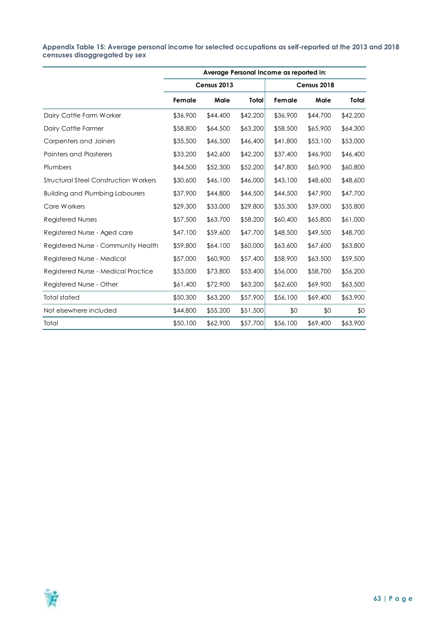#### <span id="page-62-0"></span>**Appendix Table 15: Average personal income for selected occupations as self-reported at the 2013 and 2018 censuses disaggregated by sex**

|                                              |          |             |          |          | Average Personal Income as reported in: |          |  |  |  |  |  |  |  |  |  |
|----------------------------------------------|----------|-------------|----------|----------|-----------------------------------------|----------|--|--|--|--|--|--|--|--|--|
|                                              |          | Census 2013 |          |          | Census 2018                             |          |  |  |  |  |  |  |  |  |  |
|                                              | Female   | Male        | Total    | Female   | Male                                    | Total    |  |  |  |  |  |  |  |  |  |
| Dairy Cattle Farm Worker                     | \$36,900 | \$44,400    | \$42,200 | \$36,900 | \$44,700                                | \$42,200 |  |  |  |  |  |  |  |  |  |
| Dairy Cattle Farmer                          | \$58,800 | \$64,500    | \$63,200 | \$58,500 | \$65,900                                | \$64,300 |  |  |  |  |  |  |  |  |  |
| Carpenters and Joiners                       | \$35,500 | \$46,500    | \$46,400 | \$41,800 | \$53,100                                | \$53,000 |  |  |  |  |  |  |  |  |  |
| <b>Painters and Plasterers</b>               | \$33,200 | \$42,600    | \$42,200 | \$37,400 | \$46,900                                | \$46,400 |  |  |  |  |  |  |  |  |  |
| Plumbers                                     | \$44,500 | \$52,300    | \$52,200 | \$47,800 | \$60,900                                | \$60,800 |  |  |  |  |  |  |  |  |  |
| <b>Structural Steel Construction Workers</b> | \$30,600 | \$46,100    | \$46,000 | \$43,100 | \$48,600                                | \$48,600 |  |  |  |  |  |  |  |  |  |
| <b>Building and Plumbing Labourers</b>       | \$37,900 | \$44,800    | \$44,500 | \$44,500 | \$47,900                                | \$47,700 |  |  |  |  |  |  |  |  |  |
| Care Workers                                 | \$29,300 | \$33,000    | \$29,800 | \$35,300 | \$39,000                                | \$35,800 |  |  |  |  |  |  |  |  |  |
| Registered Nurses                            | \$57,500 | \$63,700    | \$58,200 | \$60,400 | \$65,800                                | \$61,000 |  |  |  |  |  |  |  |  |  |
| Registered Nurse - Aged care                 | \$47,100 | \$59,600    | \$47,700 | \$48,500 | \$49,500                                | \$48,700 |  |  |  |  |  |  |  |  |  |
| Registered Nurse - Community Health          | \$59,800 | \$64,100    | \$60,000 | \$63,600 | \$67,600                                | \$63,800 |  |  |  |  |  |  |  |  |  |
| Registered Nurse - Medical                   | \$57,000 | \$60,900    | \$57,400 | \$58,900 | \$63,500                                | \$59,500 |  |  |  |  |  |  |  |  |  |
| Registered Nurse - Medical Practice          | \$53,000 | \$73,800    | \$53,400 | \$56,000 | \$58,700                                | \$56,200 |  |  |  |  |  |  |  |  |  |
| Registered Nurse - Other                     | \$61,400 | \$72,900    | \$63,200 | \$62,600 | \$69,900                                | \$63,500 |  |  |  |  |  |  |  |  |  |
| Total stated                                 | \$50,300 | \$63,200    | \$57,900 | \$56,100 | \$69,400                                | \$63,900 |  |  |  |  |  |  |  |  |  |
| Not elsewhere included                       | \$44,800 | \$55,200    | \$51,500 | \$0      | \$0                                     | \$0      |  |  |  |  |  |  |  |  |  |
| Total                                        | \$50,100 | \$62,900    | \$57,700 | \$56,100 | \$69,400                                | \$63,900 |  |  |  |  |  |  |  |  |  |